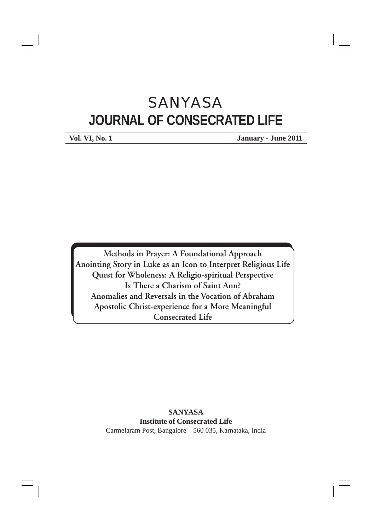# SANYASA **JOURNAL OF CONSECRATED LIFE**

**Vol. VI, No. 1 January - June 2011**

**Methods in Prayer: A Foundational Approach Anointing Story in Luke as an Icon to Interpret Religious Life Quest for Wholeness: A Religio-spiritual Perspective Is There a Charism of Saint Ann? Anomalies and Reversals in the Vocation of Abraham Apostolic Christ-experience for a More Meaningful Consecrated Life**

> **SANYASA Institute of Consecrated Life** Carmelaram Post, Bangalore – 560 035, Karnataka, India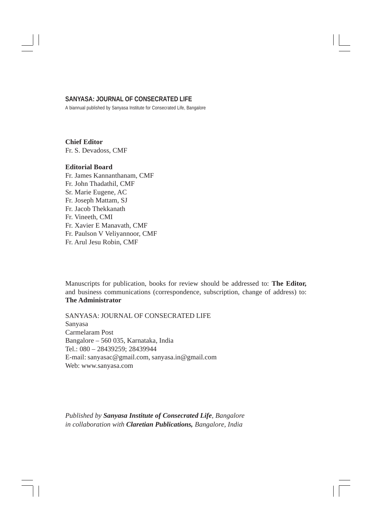#### **SANYASA: JOURNAL OF CONSECRATED LIFE**

A biannual published by Sanyasa Institute for Consecrated Life, Bangalore

### **Chief Editor**

Fr. S. Devadoss, CMF

#### **Editorial Board**

Fr. James Kannanthanam, CMF Fr. John Thadathil, CMF Sr. Marie Eugene, AC Fr. Joseph Mattam, SJ Fr. Jacob Thekkanath Fr. Vineeth, CMI Fr. Xavier E Manavath, CMF Fr. Paulson V Veliyannoor, CMF Fr. Arul Jesu Robin, CMF

Manuscripts for publication, books for review should be addressed to: **The Editor,** and business communications (correspondence, subscription, change of address) to: **The Administrator**

SANYASA: JOURNAL OF CONSECRATED LIFE Sanyasa Carmelaram Post Bangalore – 560 035, Karnataka, India Tel.: 080 – 28439259; 28439944 E-mail: sanyasac@gmail.com, sanyasa.in@gmail.com Web: www.sanyasa.com

*Published by Sanyasa Institute of Consecrated Life, Bangalore in collaboration with Claretian Publications, Bangalore, India*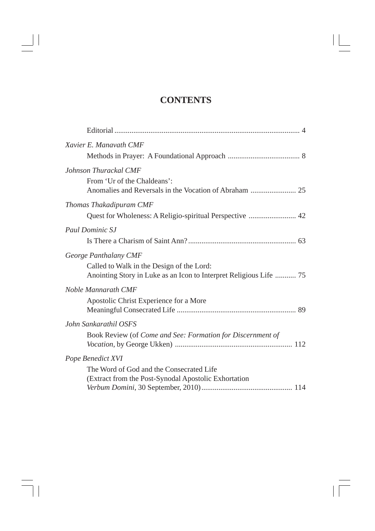## **CONTENTS**

 $\begin{tabular}{c} \hline \quad \quad & \quad \quad & \quad \quad \\ \hline \quad \quad & \quad \quad \\ \hline \end{tabular}$ 

 $\begin{array}{c|c} \hline \quad \quad & \quad \quad & \quad \quad \\ \hline \quad \quad & \quad \quad & \quad \quad \\ \hline \quad \quad & \quad \quad & \quad \quad \\ \hline \end{array}$ 

 $\frac{1}{\sqrt{2}}$ 

| Xavier E. Manavath CMF                                                                                          |
|-----------------------------------------------------------------------------------------------------------------|
| Johnson Thurackal CMF                                                                                           |
| From 'Ur of the Chaldeans':                                                                                     |
| Thomas Thakadipuram CMF                                                                                         |
|                                                                                                                 |
| <b>Paul Dominic SJ</b>                                                                                          |
|                                                                                                                 |
| George Panthalany CMF                                                                                           |
| Called to Walk in the Design of the Lord:<br>Anointing Story in Luke as an Icon to Interpret Religious Life  75 |
| Noble Mannarath CMF                                                                                             |
| Apostolic Christ Experience for a More                                                                          |
| John Sankarathil OSFS                                                                                           |
| Book Review (of Come and See: Formation for Discernment of                                                      |
| Pope Benedict XVI                                                                                               |
| The Word of God and the Consecrated Life<br>(Extract from the Post-Synodal Apostolic Exhortation)               |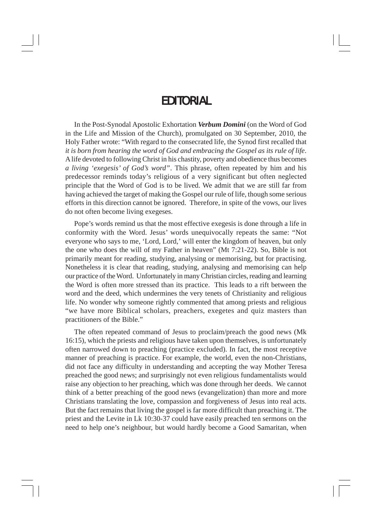## **EDITORIAL**

In the Post-Synodal Apostolic Exhortation *Verbum Domini* (on the Word of God in the Life and Mission of the Church), promulgated on 30 September, 2010, the Holy Father wrote: "With regard to the consecrated life, the Synod first recalled that *it is born from hearing the word of God and embracing the Gospel as its rule of life*. A life devoted to following Christ in his chastity, poverty and obedience thus becomes *a living 'exegesis' of God's word"*. This phrase, often repeated by him and his predecessor reminds today's religious of a very significant but often neglected principle that the Word of God is to be lived. We admit that we are still far from having achieved the target of making the Gospel our rule of life, though some serious efforts in this direction cannot be ignored. Therefore, in spite of the vows, our lives do not often become living exegeses.

Pope's words remind us that the most effective exegesis is done through a life in conformity with the Word. Jesus' words unequivocally repeats the same: "Not everyone who says to me, 'Lord, Lord,' will enter the kingdom of heaven, but only the one who does the will of my Father in heaven" (Mt 7:21-22). So, Bible is not primarily meant for reading, studying, analysing or memorising, but for practising. Nonetheless it is clear that reading, studying, analysing and memorising can help our practice of the Word. Unfortunately in many Christian circles, reading and learning the Word is often more stressed than its practice. This leads to a rift between the word and the deed, which undermines the very tenets of Christianity and religious life. No wonder why someone rightly commented that among priests and religious "we have more Biblical scholars, preachers, exegetes and quiz masters than practitioners of the Bible."

The often repeated command of Jesus to proclaim/preach the good news (Mk 16:15), which the priests and religious have taken upon themselves, is unfortunately often narrowed down to preaching (practice excluded). In fact, the most receptive manner of preaching is practice. For example, the world, even the non-Christians, did not face any difficulty in understanding and accepting the way Mother Teresa preached the good news; and surprisingly not even religious fundamentalists would raise any objection to her preaching, which was done through her deeds. We cannot think of a better preaching of the good news (evangelization) than more and more Christians translating the love, compassion and forgiveness of Jesus into real acts. But the fact remains that living the gospel is far more difficult than preaching it. The priest and the Levite in Lk 10:30-37 could have easily preached ten sermons on the need to help one's neighbour, but would hardly become a Good Samaritan, when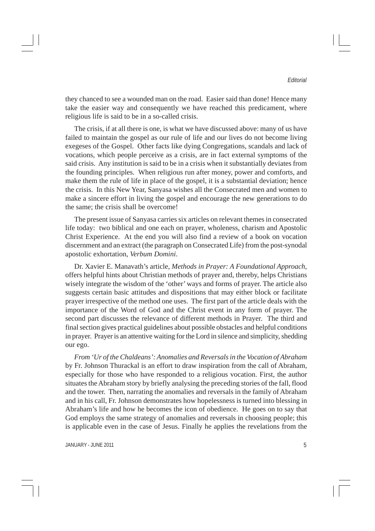#### *Editorial*

they chanced to see a wounded man on the road. Easier said than done! Hence many take the easier way and consequently we have reached this predicament, where religious life is said to be in a so-called crisis.

The crisis, if at all there is one, is what we have discussed above: many of us have failed to maintain the gospel as our rule of life and our lives do not become living exegeses of the Gospel. Other facts like dying Congregations, scandals and lack of vocations, which people perceive as a crisis, are in fact external symptoms of the said crisis. Any institution is said to be in a crisis when it substantially deviates from the founding principles. When religious run after money, power and comforts, and make them the rule of life in place of the gospel, it is a substantial deviation; hence the crisis. In this New Year, Sanyasa wishes all the Consecrated men and women to make a sincere effort in living the gospel and encourage the new generations to do the same; the crisis shall be overcome!

The present issue of Sanyasa carries six articles on relevant themes in consecrated life today: two biblical and one each on prayer, wholeness, charism and Apostolic Christ Experience. At the end you will also find a review of a book on vocation discernment and an extract (the paragraph on Consecrated Life) from the post-synodal apostolic exhortation, *Verbum Domini*.

Dr. Xavier E. Manavath's article, *Methods in Prayer: A Foundational Approach*, offers helpful hints about Christian methods of prayer and, thereby, helps Christians wisely integrate the wisdom of the 'other' ways and forms of prayer. The article also suggests certain basic attitudes and dispositions that may either block or facilitate prayer irrespective of the method one uses. The first part of the article deals with the importance of the Word of God and the Christ event in any form of prayer. The second part discusses the relevance of different methods in Prayer. The third and final section gives practical guidelines about possible obstacles and helpful conditions in prayer. Prayer is an attentive waiting for the Lord in silence and simplicity, shedding our ego.

*From 'Ur of the Chaldeans': Anomalies and Reversals in the Vocation of Abraham* by Fr. Johnson Thurackal is an effort to draw inspiration from the call of Abraham, especially for those who have responded to a religious vocation. First, the author situates the Abraham story by briefly analysing the preceding stories of the fall, flood and the tower. Then, narrating the anomalies and reversals in the family of Abraham and in his call, Fr. Johnson demonstrates how hopelessness is turned into blessing in Abraham's life and how he becomes the icon of obedience. He goes on to say that God employs the same strategy of anomalies and reversals in choosing people; this is applicable even in the case of Jesus. Finally he applies the revelations from the

JANUARY - JUNE 2011 5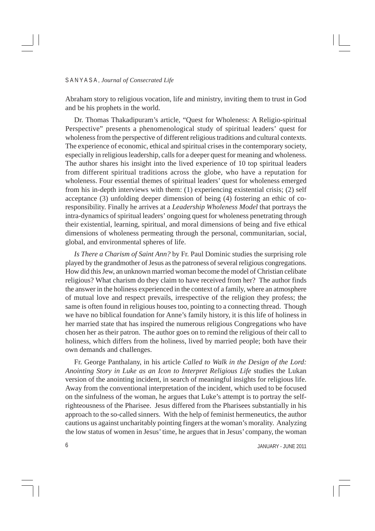Abraham story to religious vocation, life and ministry, inviting them to trust in God and be his prophets in the world.

Dr. Thomas Thakadipuram's article, "Quest for Wholeness: A Religio-spiritual Perspective" presents a phenomenological study of spiritual leaders' quest for wholeness from the perspective of different religious traditions and cultural contexts. The experience of economic, ethical and spiritual crises in the contemporary society, especially in religious leadership, calls for a deeper quest for meaning and wholeness. The author shares his insight into the lived experience of 10 top spiritual leaders from different spiritual traditions across the globe, who have a reputation for wholeness. Four essential themes of spiritual leaders' quest for wholeness emerged from his in-depth interviews with them: (1) experiencing existential crisis; (2) self acceptance (3) unfolding deeper dimension of being (4) fostering an ethic of coresponsibility. Finally he arrives at a *Leadership Wholeness Model* that portrays the intra-dynamics of spiritual leaders' ongoing quest for wholeness penetrating through their existential, learning, spiritual, and moral dimensions of being and five ethical dimensions of wholeness permeating through the personal, communitarian, social, global, and environmental spheres of life.

*Is There a Charism of Saint Ann?* by Fr. Paul Dominic studies the surprising role played by the grandmother of Jesus as the patroness of several religious congregations. How did this Jew, an unknown married woman become the model of Christian celibate religious? What charism do they claim to have received from her? The author finds the answer in the holiness experienced in the context of a family, where an atmosphere of mutual love and respect prevails, irrespective of the religion they profess; the same is often found in religious houses too, pointing to a connecting thread. Though we have no biblical foundation for Anne's family history, it is this life of holiness in her married state that has inspired the numerous religious Congregations who have chosen her as their patron. The author goes on to remind the religious of their call to holiness, which differs from the holiness, lived by married people; both have their own demands and challenges.

Fr. George Panthalany, in his article *Called to Walk in the Design of the Lord: Anointing Story in Luke as an Icon to Interpret Religious Life* studies the Lukan version of the anointing incident, in search of meaningful insights for religious life. Away from the conventional interpretation of the incident, which used to be focused on the sinfulness of the woman, he argues that Luke's attempt is to portray the selfrighteousness of the Pharisee. Jesus differed from the Pharisees substantially in his approach to the so-called sinners. With the help of feminist hermeneutics, the author cautions us against uncharitably pointing fingers at the woman's morality. Analyzing the low status of women in Jesus' time, he argues that in Jesus' company, the woman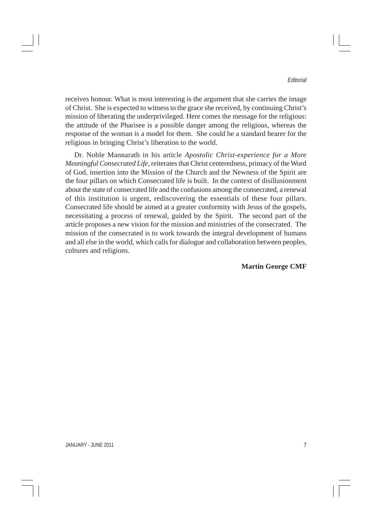#### *Editorial*

receives honour. What is most interesting is the argument that she carries the image of Christ. She is expected to witness to the grace she received, by continuing Christ's mission of liberating the underprivileged. Here comes the message for the religious: the attitude of the Pharisee is a possible danger among the religious, whereas the response of the woman is a model for them. She could be a standard bearer for the religious in bringing Christ's liberation to the world.

Dr. Noble Mannarath in his article *Apostolic Christ-experience for a More Meaningful Consecrated Life*, reiterates that Christ centeredness, primacy of the Word of God, insertion into the Mission of the Church and the Newness of the Spirit are the four pillars on which Consecrated life is built. In the context of disillusionment about the state of consecrated life and the confusions among the consecrated, a renewal of this institution is urgent, rediscovering the essentials of these four pillars. Consecrated life should be aimed at a greater conformity with Jesus of the gospels, necessitating a process of renewal, guided by the Spirit. The second part of the article proposes a new vision for the mission and ministries of the consecrated. The mission of the consecrated is to work towards the integral development of humans and all else in the world, which calls for dialogue and collaboration between peoples, cultures and religions.

#### **Martin George CMF**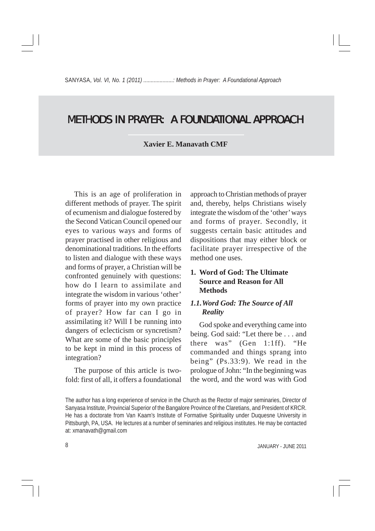SANYASA, *Vol. VI, No. 1 (2011)* .......................... Methods in Prayer: A Foundational Approach

## METHODS IN PRAYER: A FOUNDATIONAL APPROACH

### **Xavier E. Manavath CMF**

This is an age of proliferation in different methods of prayer. The spirit of ecumenism and dialogue fostered by the Second Vatican Council opened our eyes to various ways and forms of prayer practised in other religious and denominational traditions. In the efforts to listen and dialogue with these ways and forms of prayer, a Christian will be confronted genuinely with questions: how do I learn to assimilate and integrate the wisdom in various 'other' forms of prayer into my own practice of prayer? How far can I go in assimilating it? Will I be running into dangers of eclecticism or syncretism? What are some of the basic principles to be kept in mind in this process of integration?

The purpose of this article is twofold: first of all, it offers a foundational approach to Christian methods of prayer and, thereby, helps Christians wisely integrate the wisdom of the 'other' ways and forms of prayer. Secondly, it suggests certain basic attitudes and dispositions that may either block or facilitate prayer irrespective of the method one uses.

### **1. Word of God: The Ultimate Source and Reason for All Methods**

### *1.1.Word God: The Source of All Reality*

God spoke and everything came into being. God said: "Let there be . . . and there was" (Gen 1:1ff). "He commanded and things sprang into being" (Ps.33:9). We read in the prologue of John: "In the beginning was the word, and the word was with God

The author has a long experience of service in the Church as the Rector of major seminaries, Director of Sanyasa Institute, Provincial Superior of the Bangalore Province of the Claretians, and President of KRCR. He has a doctorate from Van Kaam's Institute of Formative Spirituality under Duquesne University in Pittsburgh, PA, USA. He lectures at a number of seminaries and religious institutes. He may be contacted at: xmanavath@gmail.com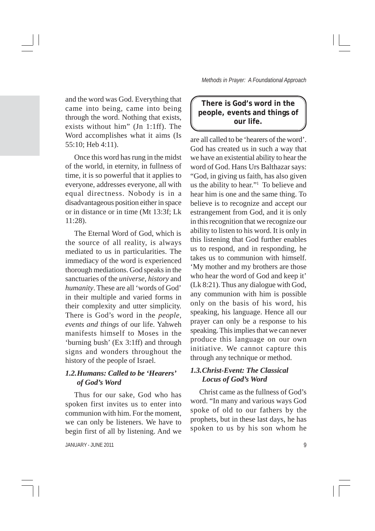*Methods in Prayer: A Foundational Approach*

and the word was God. Everything that came into being, came into being through the word. Nothing that exists, exists without him" (Jn 1:1ff). The Word accomplishes what it aims (Is 55:10; Heb 4:11).

Once this word has rung in the midst of the world, in eternity, in fullness of time, it is so powerful that it applies to everyone, addresses everyone, all with equal directness. Nobody is in a disadvantageous position either in space or in distance or in time (Mt 13:3f; Lk 11:28).

The Eternal Word of God, which is the source of all reality, is always mediated to us in particularities. The immediacy of the word is experienced thorough mediations. God speaks in the sanctuaries of the *universe, history* and *humanity*. These are all 'words of God' in their multiple and varied forms in their complexity and utter simplicity. There is God's word in the *people, events and things* of our life. Yahweh manifests himself to Moses in the 'burning bush' (Ex 3:1ff) and through signs and wonders throughout the history of the people of Israel.

### *1.2.Humans: Called to be 'Hearers' of God's Word*

Thus for our sake, God who has spoken first invites us to enter into communion with him. For the moment, we can only be listeners. We have to begin first of all by listening. And we

JANUARY - JUNE 2011 9

**There is God's word in the people, events and things of our life.**

are all called to be 'hearers of the word'. God has created us in such a way that we have an existential ability to hear the word of God. Hans Urs Balthazar says: "God, in giving us faith, has also given us the ability to hear."1 To believe and hear him is one and the same thing. To believe is to recognize and accept our estrangement from God, and it is only in this recognition that we recognize our ability to listen to his word. It is only in this listening that God further enables us to respond, and in responding, he takes us to communion with himself. 'My mother and my brothers are those who hear the word of God and keep it' (Lk 8:21). Thus any dialogue with God, any communion with him is possible only on the basis of his word, his speaking, his language. Hence all our prayer can only be a response to his speaking. This implies that we can never produce this language on our own initiative. We cannot capture this through any technique or method.

### *1.3.Christ-Event: The Classical Locus of God's Word*

Christ came as the fullness of God's word. "In many and various ways God spoke of old to our fathers by the prophets, but in these last days, he has spoken to us by his son whom he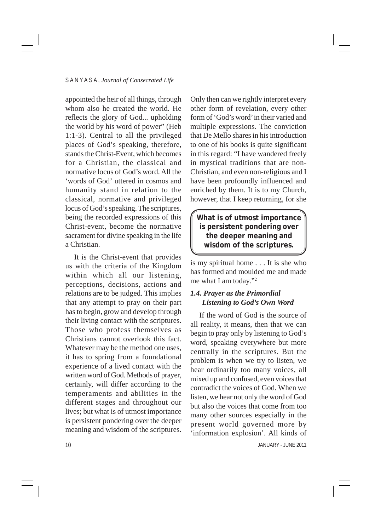appointed the heir of all things, through whom also he created the world. He reflects the glory of God... upholding the world by his word of power" (Heb 1:1-3). Central to all the privileged places of God's speaking, therefore, stands the Christ-Event, which becomes for a Christian, the classical and normative locus of God's word. All the 'words of God' uttered in cosmos and humanity stand in relation to the classical, normative and privileged locus of God's speaking. The scriptures, being the recorded expressions of this Christ-event, become the normative sacrament for divine speaking in the life a Christian.

It is the Christ-event that provides us with the criteria of the Kingdom within which all our listening, perceptions, decisions, actions and relations are to be judged. This implies that any attempt to pray on their part has to begin, grow and develop through their living contact with the scriptures. Those who profess themselves as Christians cannot overlook this fact. Whatever may be the method one uses, it has to spring from a foundational experience of a lived contact with the written word of God. Methods of prayer, certainly, will differ according to the temperaments and abilities in the different stages and throughout our lives; but what is of utmost importance is persistent pondering over the deeper meaning and wisdom of the scriptures.

Only then can we rightly interpret every other form of revelation, every other form of 'God's word' in their varied and multiple expressions. The conviction that De Mello shares in his introduction to one of his books is quite significant in this regard: "I have wandered freely in mystical traditions that are non-Christian, and even non-religious and I have been profoundly influenced and enriched by them. It is to my Church, however, that I keep returning, for she

**What is of utmost importance is persistent pondering over the deeper meaning and wisdom of the scriptures.**

is my spiritual home . . . It is she who has formed and moulded me and made me what I am today."2

### *1.4. Prayer as the Primordial Listening to God's Own Word*

10 JANUARY - JUNE 2011 If the word of God is the source of all reality, it means, then that we can begin to pray only by listening to God's word, speaking everywhere but more centrally in the scriptures. But the problem is when we try to listen, we hear ordinarily too many voices, all mixed up and confused, even voices that contradict the voices of God. When we listen, we hear not only the word of God but also the voices that come from too many other sources especially in the present world governed more by 'information explosion'. All kinds of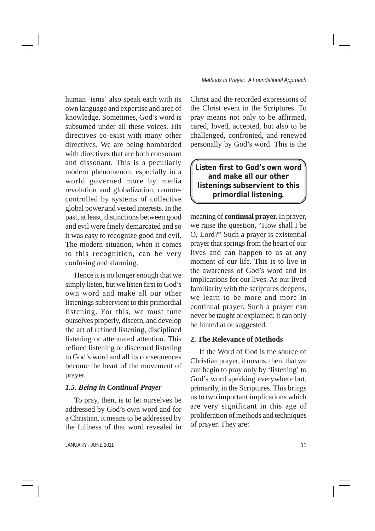human 'isms' also speak each with its own language and expertise and area of knowledge. Sometimes, God's word is subsumed under all these voices. His directives co-exist with many other directives. We are being bombarded with directives that are both consonant and dissonant. This is a peculiarly modern phenomenon, especially in a world governed more by media revolution and globalization, remotecontrolled by systems of collective global power and vested interests. In the past, at least, distinctions between good and evil were finely demarcated and so it was easy to recognize good and evil. The modern situation, when it comes to this recognition, can be very confusing and alarming.

Hence it is no longer enough that we simply listen, but we listen first to God's own word and make all our other listenings subservient to this primordial listening. For this, we must tune ourselves properly, discern, and develop the art of refined listening, disciplined listening or attenuated attention. This refined listening or discerned listening to God's word and all its consequences become the heart of the movement of prayer.

#### *1.5. Being in Continual Prayer*

To pray, then, is to let ourselves be addressed by God's own word and for a Christian, it means to be addressed by the fullness of that word revealed in

JANUARY - JUNE 2011 2012 12:00 12:00 12:00 12:00 12:00 12:00 12:00 12:00 12:00 12:00 12:00 12:00 12:00 12:00 1

#### *Methods in Prayer: A Foundational Approach*

Christ and the recorded expressions of the Christ event in the Scriptures. To pray means not only to be affirmed, cared, loved, accepted, but also to be challenged, confronted, and renewed personally by God's word. This is the

**Listen first to God's own word and make all our other listenings subservient to this primordial listening.**

meaning of **continual prayer.** In prayer, we raise the question, "How shall I be O, Lord?" Such a prayer is existential prayer that springs from the heart of our lives and can happen to us at any moment of our life. This is to live in the awareness of God's word and its implications for our lives. As our lived familiarity with the scriptures deepens, we learn to be more and more in continual prayer. Such a prayer can never be taught or explained; it can only be hinted at or suggested.

#### **2. The Relevance of Methods**

If the Word of God is the source of Christian prayer, it means, then, that we can begin to pray only by 'listening' to God's word speaking everywhere but, primarily, in the Scriptures. This brings us to two important implications which are very significant in this age of proliferation of methods and techniques of prayer. They are: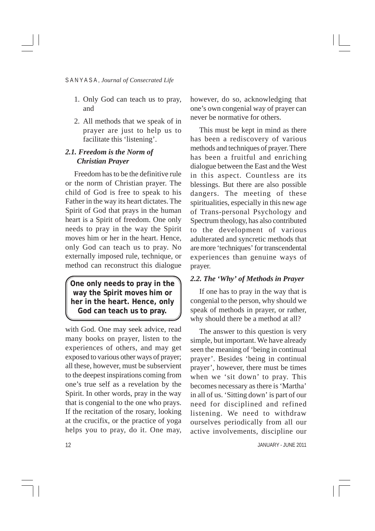- 1. Only God can teach us to pray, and
- 2. All methods that we speak of in prayer are just to help us to facilitate this 'listening'.

### *2.1. Freedom is the Norm of Christian Prayer*

Freedom has to be the definitive rule or the norm of Christian prayer. The child of God is free to speak to his Father in the way its heart dictates. The Spirit of God that prays in the human heart is a Spirit of freedom. One only needs to pray in the way the Spirit moves him or her in the heart. Hence, only God can teach us to pray. No externally imposed rule, technique, or method can reconstruct this dialogue

**One only needs to pray in the way the Spirit moves him or her in the heart. Hence, only God can teach us to pray.**

with God. One may seek advice, read many books on prayer, listen to the experiences of others, and may get exposed to various other ways of prayer; all these, however, must be subservient to the deepest inspirations coming from one's true self as a revelation by the Spirit. In other words, pray in the way that is congenial to the one who prays. If the recitation of the rosary, looking at the crucifix, or the practice of yoga helps you to pray, do it. One may,

however, do so, acknowledging that one's own congenial way of prayer can never be normative for others.

This must be kept in mind as there has been a rediscovery of various methods and techniques of prayer. There has been a fruitful and enriching dialogue between the East and the West in this aspect. Countless are its blessings. But there are also possible dangers. The meeting of these spiritualities, especially in this new age of Trans-personal Psychology and Spectrum theology, has also contributed to the development of various adulterated and syncretic methods that are more 'techniques' for transcendental experiences than genuine ways of prayer.

#### *2.2. The 'Why' of Methods in Prayer*

If one has to pray in the way that is congenial to the person, why should we speak of methods in prayer, or rather, why should there be a method at all?

The answer to this question is very simple, but important. We have already seen the meaning of 'being in continual prayer'. Besides 'being in continual prayer', however, there must be times when we 'sit down' to pray. This becomes necessary as there is 'Martha' in all of us. 'Sitting down' is part of our need for disciplined and refined listening. We need to withdraw ourselves periodically from all our active involvements, discipline our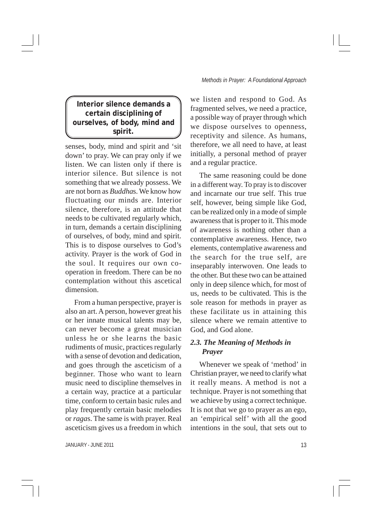### **Interior silence demands a certain disciplining of ourselves, of body, mind and spirit.**

senses, body, mind and spirit and 'sit down' to pray. We can pray only if we listen. We can listen only if there is interior silence. But silence is not something that we already possess. We are not born as *Buddha*s. We know how fluctuating our minds are. Interior silence, therefore, is an attitude that needs to be cultivated regularly which, in turn, demands a certain disciplining of ourselves, of body, mind and spirit. This is to dispose ourselves to God's activity. Prayer is the work of God in the soul. It requires our own cooperation in freedom. There can be no contemplation without this ascetical dimension.

From a human perspective, prayer is also an art. A person, however great his or her innate musical talents may be, can never become a great musician unless he or she learns the basic rudiments of music, practices regularly with a sense of devotion and dedication, and goes through the asceticism of a beginner. Those who want to learn music need to discipline themselves in a certain way, practice at a particular time, conform to certain basic rules and play frequently certain basic melodies or *raga*s. The same is with prayer. Real asceticism gives us a freedom in which

JANUARY - JUNE 2011 13

we listen and respond to God. As fragmented selves, we need a practice, a possible way of prayer through which we dispose ourselves to openness, receptivity and silence. As humans, therefore, we all need to have, at least initially, a personal method of prayer and a regular practice.

The same reasoning could be done in a different way. To pray is to discover and incarnate our true self. This true self, however, being simple like God, can be realized only in a mode of simple awareness that is proper to it. This mode of awareness is nothing other than a contemplative awareness. Hence, two elements, contemplative awareness and the search for the true self, are inseparably interwoven. One leads to the other. But these two can be attained only in deep silence which, for most of us, needs to be cultivated. This is the sole reason for methods in prayer as these facilitate us in attaining this silence where we remain attentive to God, and God alone.

### *2.3. The Meaning of Methods in Prayer*

Whenever we speak of 'method' in Christian prayer, we need to clarify what it really means. A method is not a technique. Prayer is not something that we achieve by using a correct technique. It is not that we go to prayer as an ego, an 'empirical self' with all the good intentions in the soul, that sets out to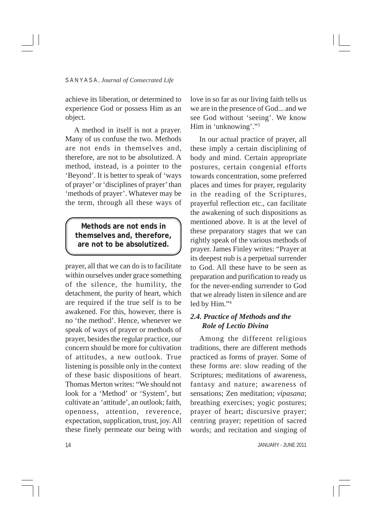achieve its liberation, or determined to experience God or possess Him as an object.

A method in itself is not a prayer. Many of us confuse the two. Methods are not ends in themselves and, therefore, are not to be absolutized. A method, instead, is a pointer to the 'Beyond'. It is better to speak of 'ways of prayer' or 'disciplines of prayer' than 'methods of prayer'. Whatever may be the term, through all these ways of

**Methods are not ends in themselves and, therefore, are not to be absolutized.**

prayer, all that we can do is to facilitate within ourselves under grace something of the silence, the humility, the detachment, the purity of heart, which are required if the true self is to be awakened. For this, however, there is no 'the method'. Hence, whenever we speak of ways of prayer or methods of prayer, besides the regular practice, our concern should be more for cultivation of attitudes, a new outlook. True listening is possible only in the context of these basic dispositions of heart. Thomas Merton writes: "We should not look for a 'Method' or 'System', but cultivate an 'attitude', an outlook; faith, openness, attention, reverence, expectation, supplication, trust, joy. All these finely permeate our being with

love in so far as our living faith tells us we are in the presence of God... and we see God without 'seeing'. We know Him in 'unknowing'."3

In our actual practice of prayer, all these imply a certain disciplining of body and mind. Certain appropriate postures, certain congenial efforts towards concentration, some preferred places and times for prayer, regularity in the reading of the Scriptures, prayerful reflection etc., can facilitate the awakening of such dispositions as mentioned above. It is at the level of these preparatory stages that we can rightly speak of the various methods of prayer. James Finley writes: "Prayer at its deepest nub is a perpetual surrender to God. All these have to be seen as preparation and purification to ready us for the never-ending surrender to God that we already listen in silence and are led by Him."4

### *2.4. Practice of Methods and the Role of Lectio Divina*

Among the different religious traditions, there are different methods practiced as forms of prayer. Some of these forms are: slow reading of the Scriptures; meditations of awareness, fantasy and nature; awareness of sensations; Zen meditation; *vipasana*; breathing exercises; yogic postures; prayer of heart; discursive prayer; centring prayer; repetition of sacred words; and recitation and singing of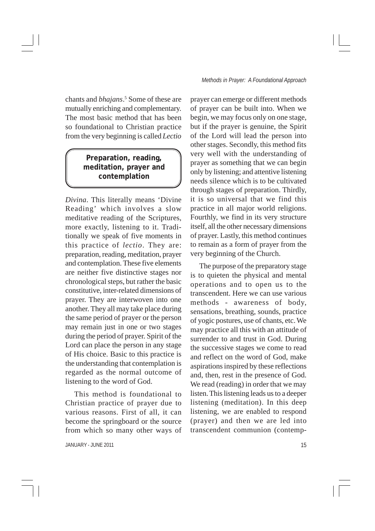chants and *bhajans*. 5 Some of these are mutually enriching and complementary. The most basic method that has been so foundational to Christian practice from the very beginning is called *Lectio*

### **Preparation, reading, meditation, prayer and contemplation**

*Divina*. This literally means 'Divine Reading' which involves a slow meditative reading of the Scriptures, more exactly, listening to it. Traditionally we speak of five moments in this practice of *lectio*. They are: preparation, reading, meditation, prayer and contemplation. These five elements are neither five distinctive stages nor chronological steps, but rather the basic constitutive, inter-related dimensions of prayer. They are interwoven into one another. They all may take place during the same period of prayer or the person may remain just in one or two stages during the period of prayer. Spirit of the Lord can place the person in any stage of His choice. Basic to this practice is the understanding that contemplation is regarded as the normal outcome of listening to the word of God.

This method is foundational to Christian practice of prayer due to various reasons. First of all, it can become the springboard or the source from which so many other ways of

JANUARY - JUNE 2011 2001 15

prayer can emerge or different methods of prayer can be built into. When we begin, we may focus only on one stage, but if the prayer is genuine, the Spirit of the Lord will lead the person into other stages. Secondly, this method fits very well with the understanding of prayer as something that we can begin only by listening; and attentive listening needs silence which is to be cultivated through stages of preparation. Thirdly, it is so universal that we find this practice in all major world religions. Fourthly, we find in its very structure itself, all the other necessary dimensions of prayer. Lastly, this method continues to remain as a form of prayer from the very beginning of the Church.

The purpose of the preparatory stage is to quieten the physical and mental operations and to open us to the transcendent. Here we can use various methods - awareness of body, sensations, breathing, sounds, practice of yogic postures, use of chants, etc. We may practice all this with an attitude of surrender to and trust in God. During the successive stages we come to read and reflect on the word of God, make aspirations inspired by these reflections and, then, rest in the presence of God. We read (reading) in order that we may listen. This listening leads us to a deeper listening (meditation). In this deep listening, we are enabled to respond (prayer) and then we are led into transcendent communion (contemp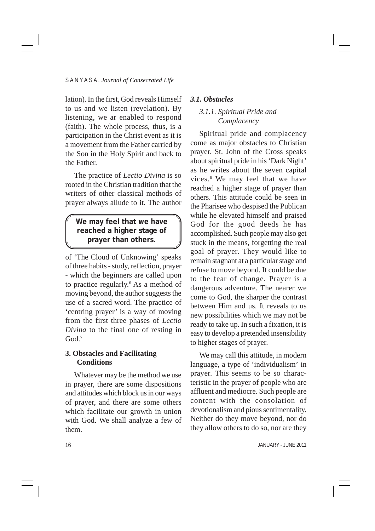lation). In the first, God reveals Himself to us and we listen (revelation). By listening, we ar enabled to respond (faith). The whole process, thus, is a participation in the Christ event as it is a movement from the Father carried by the Son in the Holy Spirit and back to the Father.

The practice of *Lectio Divina* is so rooted in the Christian tradition that the writers of other classical methods of prayer always allude to it. The author

### **We may feel that we have reached a higher stage of prayer than others.**

of 'The Cloud of Unknowing' speaks of three habits - study, reflection, prayer - which the beginners are called upon to practice regularly.<sup>6</sup> As a method of moving beyond, the author suggests the use of a sacred word. The practice of 'centring prayer' is a way of moving from the first three phases of *Lectio Divina* to the final one of resting in God.<sup>7</sup>

#### **3. Obstacles and Facilitating Conditions**

Whatever may be the method we use in prayer, there are some dispositions and attitudes which block us in our ways of prayer, and there are some others which facilitate our growth in union with God. We shall analyze a few of them.

#### *3.1. Obstacles*

### *3.1.1. Spiritual Pride and Complacency*

Spiritual pride and complacency come as major obstacles to Christian prayer. St. John of the Cross speaks about spiritual pride in his 'Dark Night' as he writes about the seven capital vices.<sup>8</sup> We may feel that we have reached a higher stage of prayer than others. This attitude could be seen in the Pharisee who despised the Publican while he elevated himself and praised God for the good deeds he has accomplished. Such people may also get stuck in the means, forgetting the real goal of prayer. They would like to remain stagnant at a particular stage and refuse to move beyond. It could be due to the fear of change. Prayer is a dangerous adventure. The nearer we come to God, the sharper the contrast between Him and us. It reveals to us new possibilities which we may not be ready to take up. In such a fixation, it is easy to develop a pretended insensibility to higher stages of prayer.

We may call this attitude, in modern language, a type of 'individualism' in prayer. This seems to be so characteristic in the prayer of people who are affluent and mediocre. Such people are content with the consolation of devotionalism and pious sentimentality. Neither do they move beyond, nor do they allow others to do so, nor are they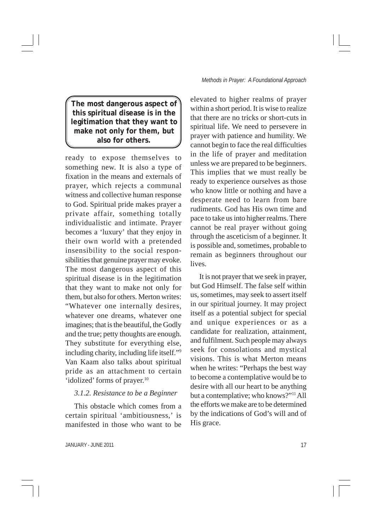**The most dangerous aspect of this spiritual disease is in the legitimation that they want to make not only for them, but also for others.**

ready to expose themselves to something new. It is also a type of fixation in the means and externals of prayer, which rejects a communal witness and collective human response to God. Spiritual pride makes prayer a private affair, something totally individualistic and intimate. Prayer becomes a 'luxury' that they enjoy in their own world with a pretended insensibility to the social responsibilities that genuine prayer may evoke. The most dangerous aspect of this spiritual disease is in the legitimation that they want to make not only for them, but also for others. Merton writes: "Whatever one internally desires, whatever one dreams, whatever one imagines; that is the beautiful, the Godly and the true; petty thoughts are enough. They substitute for everything else, including charity, including life itself."9 Van Kaam also talks about spiritual pride as an attachment to certain 'idolized' forms of prayer.<sup>10</sup>

#### *3.1.2. Resistance to be a Beginner*

This obstacle which comes from a certain spiritual 'ambitiousness,' is manifested in those who want to be

JANUARY - JUNE 2011 17

elevated to higher realms of prayer within a short period. It is wise to realize that there are no tricks or short-cuts in spiritual life. We need to persevere in prayer with patience and humility. We cannot begin to face the real difficulties in the life of prayer and meditation unless we are prepared to be beginners. This implies that we must really be ready to experience ourselves as those who know little or nothing and have a desperate need to learn from bare rudiments. God has His own time and pace to take us into higher realms. There cannot be real prayer without going through the asceticism of a beginner. It is possible and, sometimes, probable to remain as beginners throughout our lives.

It is not prayer that we seek in prayer, but God Himself. The false self within us, sometimes, may seek to assert itself in our spiritual journey. It may project itself as a potential subject for special and unique experiences or as a candidate for realization, attainment, and fulfilment. Such people may always seek for consolations and mystical visions. This is what Merton means when he writes: "Perhaps the best way to become a contemplative would be to desire with all our heart to be anything but a contemplative; who knows?"11 All the efforts we make are to be determined by the indications of God's will and of His grace.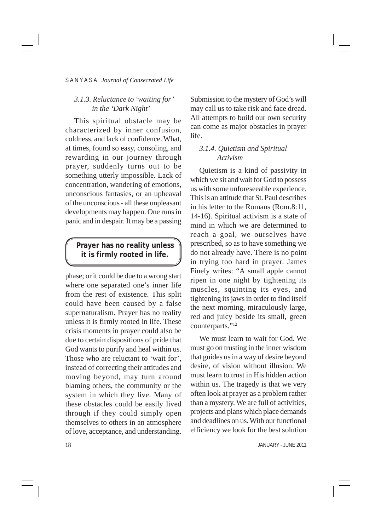#### *3.1.3. Reluctance to 'waiting for' in the 'Dark Night'*

This spiritual obstacle may be characterized by inner confusion, coldness, and lack of confidence. What, at times, found so easy, consoling, and rewarding in our journey through prayer, suddenly turns out to be something utterly impossible. Lack of concentration, wandering of emotions, unconscious fantasies, or an upheaval of the unconscious - all these unpleasant developments may happen. One runs in panic and in despair. It may be a passing

### **Prayer has no reality unless it is firmly rooted in life.**

phase; or it could be due to a wrong start where one separated one's inner life from the rest of existence. This split could have been caused by a false supernaturalism. Prayer has no reality unless it is firmly rooted in life. These crisis moments in prayer could also be due to certain dispositions of pride that God wants to purify and heal within us. Those who are reluctant to 'wait for', instead of correcting their attitudes and moving beyond, may turn around blaming others, the community or the system in which they live. Many of these obstacles could be easily lived through if they could simply open themselves to others in an atmosphere of love, acceptance, and understanding.

Submission to the mystery of God's will may call us to take risk and face dread. All attempts to build our own security can come as major obstacles in prayer life.

### *3.1.4. Quietism and Spiritual Activism*

Quietism is a kind of passivity in which we sit and wait for God to possess us with some unforeseeable experience. This is an attitude that St. Paul describes in his letter to the Romans (Rom.8:11, 14-16). Spiritual activism is a state of mind in which we are determined to reach a goal, we ourselves have prescribed, so as to have something we do not already have. There is no point in trying too hard in prayer. James Finely writes: "A small apple cannot ripen in one night by tightening its muscles, squinting its eyes, and tightening its jaws in order to find itself the next morning, miraculously large, red and juicy beside its small, green counterparts."<sup>12</sup>

We must learn to wait for God. We must go on trusting in the inner wisdom that guides us in a way of desire beyond desire, of vision without illusion. We must learn to trust in His hidden action within us. The tragedy is that we very often look at prayer as a problem rather than a mystery. We are full of activities, projects and plans which place demands and deadlines on us. With our functional efficiency we look for the best solution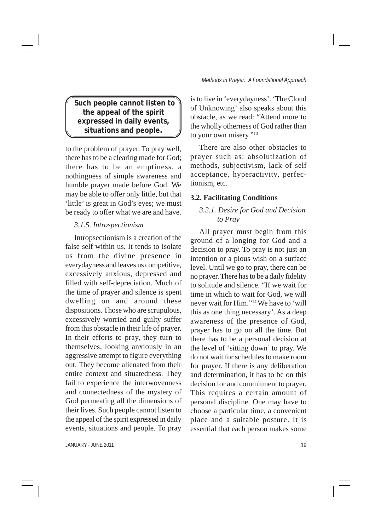**Such people cannot listen to the appeal of the spirit expressed in daily events, situations and people.**

to the problem of prayer. To pray well, there has to be a clearing made for God; there has to be an emptiness, a nothingness of simple awareness and humble prayer made before God. We may be able to offer only little, but that 'little' is great in God's eyes; we must be ready to offer what we are and have.

#### *3.1.5. Introspectionism*

Intropsectionism is a creation of the false self within us. It tends to isolate us from the divine presence in everydayness and leaves us competitive, excessively anxious, depressed and filled with self-depreciation. Much of the time of prayer and silence is spent dwelling on and around these dispositions. Those who are scrupulous, excessively worried and guilty suffer from this obstacle in their life of prayer. In their efforts to pray, they turn to themselves, looking anxiously in an aggressive attempt to figure everything out. They become alienated from their entire context and situatedness. They fail to experience the interwovenness and connectedness of the mystery of God permeating all the dimensions of their lives. Such people cannot listen to the appeal of the spirit expressed in daily events, situations and people. To pray

JANUARY - JUNE 2011 19

is to live in 'everydayness'. 'The Cloud of Unknowing' also speaks about this obstacle, as we read: "Attend more to the wholly otherness of God rather than to your own misery."13

There are also other obstacles to prayer such as: absolutization of methods, subjectivism, lack of self acceptance, hyperactivity, perfectionism, etc.

#### **3.2. Facilitating Conditions**

### *3.2.1. Desire for God and Decision to Pray*

All prayer must begin from this ground of a longing for God and a decision to pray. To pray is not just an intention or a pious wish on a surface level. Until we go to pray, there can be no prayer. There has to be a daily fidelity to solitude and silence. "If we wait for time in which to wait for God, we will never wait for Him."14 We have to 'will this as one thing necessary'. As a deep awareness of the presence of God, prayer has to go on all the time. But there has to be a personal decision at the level of 'sitting down' to pray. We do not wait for schedules to make room for prayer. If there is any deliberation and determination, it has to be on this decision for and commitment to prayer. This requires a certain amount of personal discipline. One may have to choose a particular time, a convenient place and a suitable posture. It is essential that each person makes some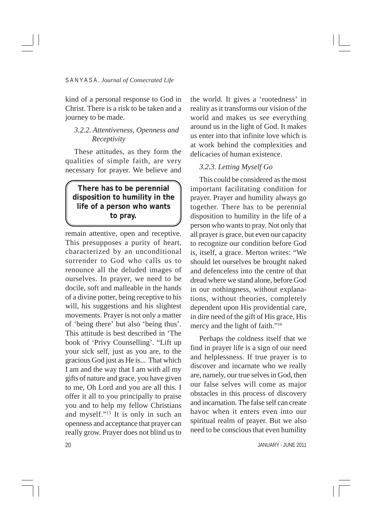kind of a personal response to God in Christ. There is a risk to be taken and a journey to be made.

#### *3.2.2. Attentiveness, Openness and Receptivity*

These attitudes, as they form the qualities of simple faith, are very necessary for prayer. We believe and

### **There has to be perennial disposition to humility in the life of a person who wants to pray.**

remain attentive, open and receptive. This presupposes a purity of heart, characterized by an unconditional surrender to God who calls us to renounce all the deluded images of ourselves. In prayer, we need to be docile, soft and malleable in the hands of a divine potter, being receptive to his will, his suggestions and his slightest movements. Prayer is not only a matter of 'being there' but also 'being thus'. This attitude is best described in 'The book of 'Privy Counselling'. "Lift up your sick self, just as you are, to the gracious God just as He is... That which I am and the way that I am with all my gifts of nature and grace, you have given to me, Oh Lord and you are all this. I offer it all to you principally to praise you and to help my fellow Christians and myself."15 It is only in such an openness and acceptance that prayer can really grow. Prayer does not blind us to

the world. It gives a 'rootedness' in reality as it transforms our vision of the world and makes us see everything around us in the light of God. It makes us enter into that infinite love which is at work behind the complexities and delicacies of human existence.

#### *3.2.3. Letting Myself Go*

This could be considered as the most important facilitating condition for prayer. Prayer and humility always go together. There has to be perennial disposition to humility in the life of a person who wants to pray. Not only that all prayer is grace, but even our capacity to recognize our condition before God is, itself, a grace. Merton writes: "We should let ourselves be brought naked and defenceless into the centre of that dread where we stand alone, before God in our nothingness, without explanations, without theories, completely dependent upon His providential care, in dire need of the gift of His grace, His mercy and the light of faith."16

Perhaps the coldness itself that we find in prayer life is a sign of our need and helplessness. If true prayer is to discover and incarnate who we really are, namely, our true selves in God, then our false selves will come as major obstacles in this process of discovery and incarnation. The false self can create havoc when it enters even into our spiritual realm of prayer. But we also need to be conscious that even humility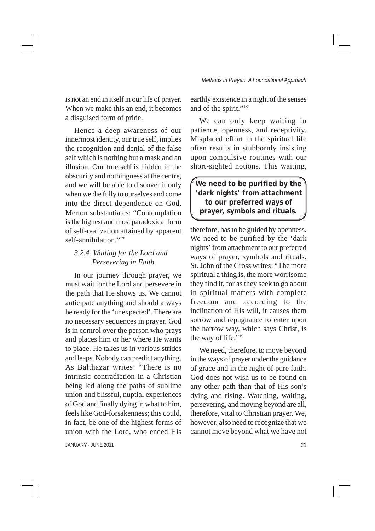is not an end in itself in our life of prayer. When we make this an end, it becomes a disguised form of pride.

Hence a deep awareness of our innermost identity, our true self, implies the recognition and denial of the false self which is nothing but a mask and an illusion. Our true self is hidden in the obscurity and nothingness at the centre, and we will be able to discover it only when we die fully to ourselves and come into the direct dependence on God. Merton substantiates: "Contemplation is the highest and most paradoxical form of self-realization attained by apparent self-annihilation."<sup>17</sup>

### *3.2.4. Waiting for the Lord and Persevering in Faith*

In our journey through prayer, we must wait for the Lord and persevere in the path that He shows us. We cannot anticipate anything and should always be ready for the 'unexpected'. There are no necessary sequences in prayer. God is in control over the person who prays and places him or her where He wants to place. He takes us in various strides and leaps. Nobody can predict anything. As Balthazar writes: "There is no intrinsic contradiction in a Christian being led along the paths of sublime union and blissful, nuptial experiences of God and finally dying in what to him, feels like God-forsakenness; this could, in fact, be one of the highest forms of union with the Lord, who ended His

JANUARY - JUNE 2011 21

earthly existence in a night of the senses and of the spirit."<sup>18</sup>

We can only keep waiting in patience, openness, and receptivity. Misplaced effort in the spiritual life often results in stubbornly insisting upon compulsive routines with our short-sighted notions. This waiting,

### **We need to be purified by the 'dark nights' from attachment to our preferred ways of prayer, symbols and rituals.**

therefore, has to be guided by openness. We need to be purified by the 'dark nights' from attachment to our preferred ways of prayer, symbols and rituals. St. John of the Cross writes: "The more spiritual a thing is, the more worrisome they find it, for as they seek to go about in spiritual matters with complete freedom and according to the inclination of His will, it causes them sorrow and repugnance to enter upon the narrow way, which says Christ, is the way of life."19

We need, therefore, to move beyond in the ways of prayer under the guidance of grace and in the night of pure faith. God does not wish us to be found on any other path than that of His son's dying and rising. Watching, waiting, persevering, and moving beyond are all, therefore, vital to Christian prayer. We, however, also need to recognize that we cannot move beyond what we have not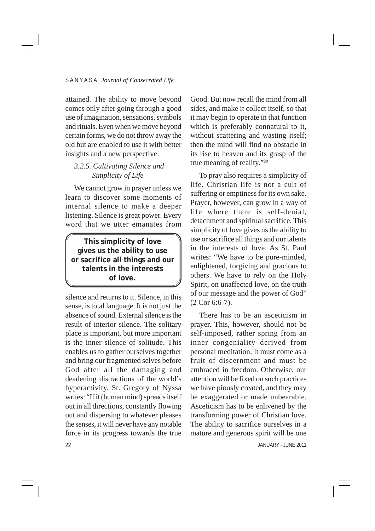attained. The ability to move beyond comes only after going through a good use of imagination, sensations, symbols and rituals. Even when we move beyond certain forms, we do not throw away the old but are enabled to use it with better insights and a new perspective.

### *3.2.5. Cultivating Silence and Simplicity of Life*

We cannot grow in prayer unless we learn to discover some moments of internal silence to make a deeper listening. Silence is great power. Every word that we utter emanates from

**This simplicity of love gives us the ability to use or sacrifice all things and our talents in the interests of love.**

silence and returns to it. Silence, in this sense, is total language. It is not just the absence of sound. External silence is the result of interior silence. The solitary place is important, but more important is the inner silence of solitude. This enables us to gather ourselves together and bring our fragmented selves before God after all the damaging and deadening distractions of the world's hyperactivity. St. Gregory of Nyssa writes: "If it (human mind) spreads itself out in all directions, constantly flowing out and dispersing to whatever pleases the senses, it will never have any notable force in its progress towards the true

Good. But now recall the mind from all sides, and make it collect itself, so that it may begin to operate in that function which is preferably connatural to it, without scattering and wasting itself; then the mind will find no obstacle in its rise to heaven and its grasp of the true meaning of reality."20

To pray also requires a simplicity of life. Christian life is not a cult of suffering or emptiness for its own sake. Prayer, however, can grow in a way of life where there is self-denial, detachment and spiritual sacrifice. This simplicity of love gives us the ability to use or sacrifice all things and our talents in the interests of love. As St. Paul writes: "We have to be pure-minded, enlightened, forgiving and gracious to others. We have to rely on the Holy Spirit, on unaffected love, on the truth of our message and the power of God" (2 Cor 6:6-7).

22 JANUARY - JUNE 2011 There has to be an asceticism in prayer. This, however, should not be self-imposed, rather spring from an inner congeniality derived from personal meditation. It must come as a fruit of discernment and must be embraced in freedom. Otherwise, our attention will be fixed on such practices we have piously created, and they may be exaggerated or made unbearable. Asceticism has to be enlivened by the transforming power of Christian love. The ability to sacrifice ourselves in a mature and generous spirit will be one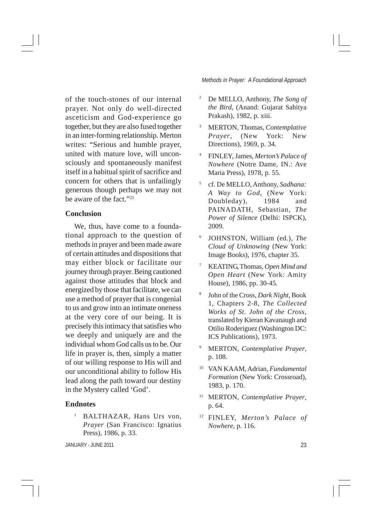#### *Methods in Prayer: A Foundational Approach*

of the touch-stones of our internal prayer. Not only do well-directed asceticism and God-experience go together, but they are also fused together in an inter-forming relationship. Merton writes: "Serious and humble prayer, united with mature love, will unconsciously and spontaneously manifest itself in a habitual spirit of sacrifice and concern for others that is unfailingly generous though perhaps we may not be aware of the fact."<sup>21</sup>

#### **Conclusion**

We, thus, have come to a foundational approach to the question of methods in prayer and been made aware of certain attitudes and dispositions that may either block or facilitate our journey through prayer. Being cautioned against those attitudes that block and energized by those that facilitate, we can use a method of prayer that is congenial to us and grow into an intimate oneness at the very core of our being. It is precisely this intimacy that satisfies who we deeply and uniquely are and the individual whom God calls us to be. Our life in prayer is, then, simply a matter of our willing response to His will and our unconditional ability to follow His lead along the path toward our destiny in the Mystery called 'God'.

#### **Endnotes**

<sup>1</sup> BALTHAZAR, Hans Urs von, *Prayer* (San Francisco: Ignatius Press), 1986, p. 33.

JANUARY - JUNE 2011 23

- <sup>2</sup> De MELLO, Anthony, *The Song of the Bird*, (Anand: Gujarat Sahitya Prakash), 1982, p. xiii.
- <sup>3</sup> MERTON, Thomas, *Contemplative Prayer*, (New York: New Directions), 1969, p. 34.
- <sup>4</sup> FINLEY, James, *Merton's Palace of Nowhere* (Notre Dame, IN.: Ave Maria Press), 1978, p. 55.
- <sup>5</sup> cf. De MELLO, Anthony, *Sadhana: A Way to God*, (New York: Doubleday), 1984 and PAINADATH, Sebastian, *The Power of Silence* (Delhi: ISPCK), 2009.
- <sup>6</sup> JOHNSTON, William (ed.), *The Cloud of Unknowing* (New York: Image Books), 1976, chapter 35.
- <sup>7</sup> KEATING, Thomas, *Open Mind and Open Heart* (New York: Amity House), 1986, pp. 30-45.
- <sup>8</sup> John of the Cross, *Dark Night*, Book 1, Chapters 2-8, *The Collected Works of St. John of the Cross*, translated by Kieran Kavanaugh and Otilio Roderiguez (Washington DC: ICS Publications), 1973.
- <sup>9</sup> MERTON, *Contemplative Prayer*, p. 108.
- <sup>10</sup> VAN KAAM, Adrian, *Fundamental Formation* (New York: Crossroad), 1983, p. 170.
- <sup>11</sup> MERTON, *Contemplative Prayer*, p. 64.
- <sup>12</sup> FINLEY, *Merton's Palace of Nowhere*, p. 116.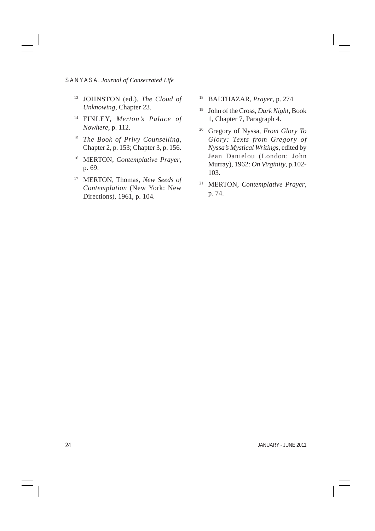- <sup>13</sup> JOHNSTON (ed.), *The Cloud of Unknowing*, Chapter 23.
- <sup>14</sup> FINLEY, *Merton's Palace of Nowhere*, p. 112.
- <sup>15</sup> *The Book of Privy Counselling*, Chapter 2, p. 153; Chapter 3, p. 156.
- <sup>16</sup> MERTON, *Contemplative Prayer*, p. 69.
- <sup>17</sup> MERTON, Thomas, *New Seeds of Contemplation* (New York: New Directions), 1961, p. 104.
- <sup>18</sup> BALTHAZAR, *Prayer*, p. 274
- <sup>19</sup> John of the Cross, *Dark Night*, Book 1, Chapter 7, Paragraph 4.
- <sup>20</sup> Gregory of Nyssa, *From Glory To Glory: Texts from Gregory of Nyssa's Mystical Writings*, edited by Jean Danielou (London: John Murray), 1962: *On Virginity*, p.102- 103.
- <sup>21</sup> MERTON, *Contemplative Prayer*, p. 74.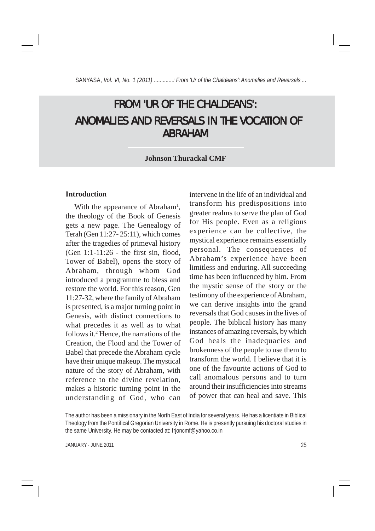SANYASA, *Vol. VI, No. 1 (2011) .............: From 'Ur of the Chaldeans': Anomalies and Reversals ...*

## FROM 'UR OF THE CHALDEANS': ANOMALIES AND REVERSALS IN THE VOCATION OF ABRAHAM

#### **Johnson Thurackal CMF**

#### **Introduction**

With the appearance of Abraham<sup>1</sup>, the theology of the Book of Genesis gets a new page. The Genealogy of Terah (Gen 11:27- 25:11), which comes after the tragedies of primeval history (Gen  $1:1-11:26$  - the first sin, flood, Tower of Babel), opens the story of Abraham, through whom God introduced a programme to bless and restore the world. For this reason, Gen 11:27-32, where the family of Abraham is presented, is a major turning point in Genesis, with distinct connections to what precedes it as well as to what follows it.<sup>2</sup> Hence, the narrations of the Creation, the Flood and the Tower of Babel that precede the Abraham cycle have their unique makeup. The mystical nature of the story of Abraham, with reference to the divine revelation, makes a historic turning point in the understanding of God, who can

intervene in the life of an individual and transform his predispositions into greater realms to serve the plan of God for His people. Even as a religious experience can be collective, the mystical experience remains essentially personal. The consequences of Abraham's experience have been limitless and enduring. All succeeding time has been influenced by him. From the mystic sense of the story or the testimony of the experience of Abraham, we can derive insights into the grand reversals that God causes in the lives of people. The biblical history has many instances of amazing reversals, by which God heals the inadequacies and brokenness of the people to use them to transform the world. I believe that it is one of the favourite actions of God to call anomalous persons and to turn around their insufficiencies into streams of power that can heal and save. This

JANUARY - JUNE 2011 25

The author has been a missionary in the North East of India for several years. He has a licentiate in Biblical Theology from the Pontifical Gregorian University in Rome. He is presently pursuing his doctoral studies in the same University. He may be contacted at: frjoncmf@yahoo.co.in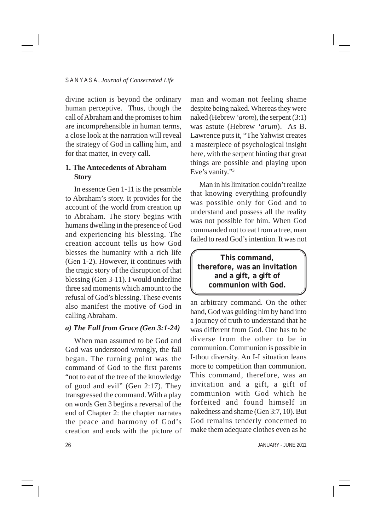divine action is beyond the ordinary human perceptive. Thus, though the call of Abraham and the promises to him are incomprehensible in human terms, a close look at the narration will reveal the strategy of God in calling him, and for that matter, in every call.

### **1. The Antecedents of Abraham Story**

In essence Gen 1-11 is the preamble to Abraham's story. It provides for the account of the world from creation up to Abraham. The story begins with humans dwelling in the presence of God and experiencing his blessing. The creation account tells us how God blesses the humanity with a rich life (Gen 1-2). However, it continues with the tragic story of the disruption of that blessing (Gen 3-11). I would underline three sad moments which amount to the refusal of God's blessing. These events also manifest the motive of God in calling Abraham.

#### *a) The Fall from Grace (Gen 3:1-24)*

When man assumed to be God and God was understood wrongly, the fall began. The turning point was the command of God to the first parents "not to eat of the tree of the knowledge of good and evil" (Gen 2:17). They transgressed the command. With a play on words Gen 3 begins a reversal of the end of Chapter 2: the chapter narrates the peace and harmony of God's creation and ends with the picture of man and woman not feeling shame despite being naked. Whereas they were naked (Hebrew *'arom*), the serpent (3:1) was astute (Hebrew *'arum*). As B. Lawrence puts it, "The Yahwist creates a masterpiece of psychological insight here, with the serpent hinting that great things are possible and playing upon Eve's vanity."3

Man in his limitation couldn't realize that knowing everything profoundly was possible only for God and to understand and possess all the reality was not possible for him. When God commanded not to eat from a tree, man failed to read God's intention. It was not

### **This command, therefore, was an invitation and a gift, a gift of communion with God.**

an arbitrary command. On the other hand, God was guiding him by hand into a journey of truth to understand that he was different from God. One has to be diverse from the other to be in communion. Communion is possible in I-thou diversity. An I-I situation leans more to competition than communion. This command, therefore, was an invitation and a gift, a gift of communion with God which he forfeited and found himself in nakedness and shame (Gen 3:7, 10). But God remains tenderly concerned to make them adequate clothes even as he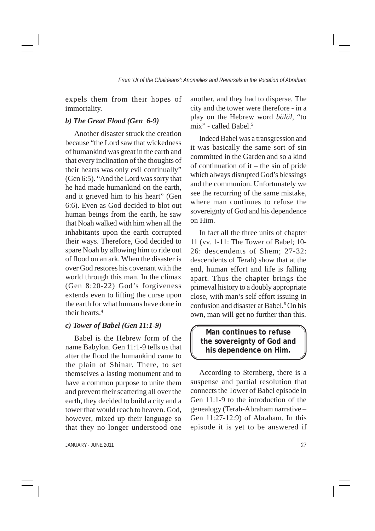expels them from their hopes of immortality.

### *b) The Great Flood (Gen 6-9)*

Another disaster struck the creation because "the Lord saw that wickedness of humankind was great in the earth and that every inclination of the thoughts of their hearts was only evil continually" (Gen 6:5). "And the Lord was sorry that he had made humankind on the earth, and it grieved him to his heart" (Gen 6:6). Even as God decided to blot out human beings from the earth, he saw that Noah walked with him when all the inhabitants upon the earth corrupted their ways. Therefore, God decided to spare Noah by allowing him to ride out of flood on an ark. When the disaster is over God restores his covenant with the world through this man. In the climax (Gen 8:20-22) God's forgiveness extends even to lifting the curse upon the earth for what humans have done in their hearts.4

#### *c) Tower of Babel (Gen 11:1-9)*

Babel is the Hebrew form of the name Babylon. Gen 11:1-9 tells us that after the flood the humankind came to the plain of Shinar. There, to set themselves a lasting monument and to have a common purpose to unite them and prevent their scattering all over the earth, they decided to build a city and a tower that would reach to heaven. God, however, mixed up their language so that they no longer understood one

JANUARY - JUNE 2011 27

another, and they had to disperse. The city and the tower were therefore - in a play on the Hebrew word *bäläl,* "to mix" - called Babel.5

Indeed Babel was a transgression and it was basically the same sort of sin committed in the Garden and so a kind of continuation of it – the sin of pride which always disrupted God's blessings and the communion. Unfortunately we see the recurring of the same mistake, where man continues to refuse the sovereignty of God and his dependence on Him.

In fact all the three units of chapter 11 (vv. 1-11: The Tower of Babel; 10- 26: descendents of Shem; 27-32: descendents of Terah) show that at the end, human effort and life is falling apart. Thus the chapter brings the primeval history to a doubly appropriate close, with man's self effort issuing in confusion and disaster at Babel.<sup>6</sup> On his own, man will get no further than this.

### **Man continues to refuse the sovereignty of God and his dependence on Him.**

According to Sternberg, there is a suspense and partial resolution that connects the Tower of Babel episode in Gen 11:1-9 to the introduction of the genealogy (Terah-Abraham narrative – Gen 11:27-12:9) of Abraham. In this episode it is yet to be answered if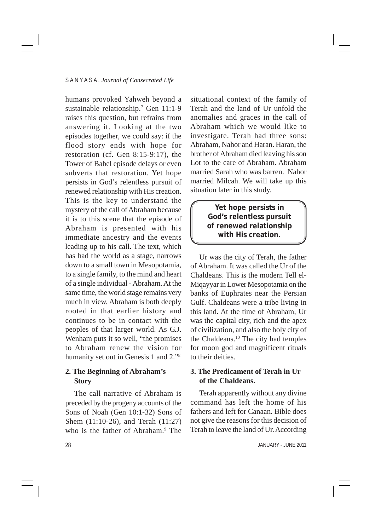humans provoked Yahweh beyond a sustainable relationship.7 Gen 11:1-9 raises this question, but refrains from answering it. Looking at the two episodes together, we could say: if the flood story ends with hope for restoration (cf. Gen 8:15-9:17), the Tower of Babel episode delays or even subverts that restoration. Yet hope persists in God's relentless pursuit of renewed relationship with His creation. This is the key to understand the mystery of the call of Abraham because it is to this scene that the episode of Abraham is presented with his immediate ancestry and the events leading up to his call. The text, which has had the world as a stage, narrows down to a small town in Mesopotamia, to a single family, to the mind and heart of a single individual - Abraham. At the same time, the world stage remains very much in view. Abraham is both deeply rooted in that earlier history and continues to be in contact with the peoples of that larger world. As G.J. Wenham puts it so well, "the promises to Abraham renew the vision for humanity set out in Genesis 1 and 2."8

### **2. The Beginning of Abraham's Story**

The call narrative of Abraham is preceded by the progeny accounts of the Sons of Noah (Gen 10:1-32) Sons of Shem (11:10-26), and Terah (11:27) who is the father of Abraham.<sup>9</sup> The

situational context of the family of Terah and the land of Ur unfold the anomalies and graces in the call of Abraham which we would like to investigate. Terah had three sons: Abraham, Nahor and Haran. Haran, the brother of Abraham died leaving his son Lot to the care of Abraham. Abraham married Sarah who was barren. Nahor married Milcah. We will take up this situation later in this study.

### **Yet hope persists in God's relentless pursuit of renewed relationship with His creation.**

Ur was the city of Terah, the father of Abraham. It was called the Ur of the Chaldeans. This is the modern Tell el-Miqayyar in Lower Mesopotamia on the banks of Euphrates near the Persian Gulf. Chaldeans were a tribe living in this land. At the time of Abraham, Ur was the capital city, rich and the apex of civilization, and also the holy city of the Chaldeans.10 The city had temples for moon god and magnificent rituals to their deities.

### **3. The Predicament of Terah in Ur of the Chaldeans.**

Terah apparently without any divine command has left the home of his fathers and left for Canaan. Bible does not give the reasons for this decision of Terah to leave the land of Ur. According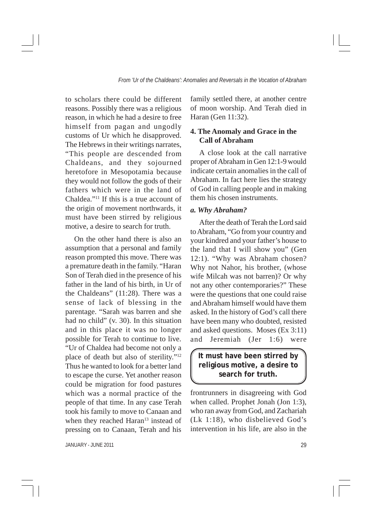to scholars there could be different reasons. Possibly there was a religious reason, in which he had a desire to free himself from pagan and ungodly customs of Ur which he disapproved. The Hebrews in their writings narrates, "This people are descended from Chaldeans, and they sojourned heretofore in Mesopotamia because they would not follow the gods of their fathers which were in the land of Chaldea."11 If this is a true account of the origin of movement northwards, it must have been stirred by religious motive, a desire to search for truth.

On the other hand there is also an assumption that a personal and family reason prompted this move. There was a premature death in the family. "Haran Son of Terah died in the presence of his father in the land of his birth, in Ur of the Chaldeans" (11:28). There was a sense of lack of blessing in the parentage. "Sarah was barren and she had no child" (v. 30). In this situation and in this place it was no longer possible for Terah to continue to live. "Ur of Chaldea had become not only a place of death but also of sterility."12 Thus he wanted to look for a better land to escape the curse. Yet another reason could be migration for food pastures which was a normal practice of the people of that time. In any case Terah took his family to move to Canaan and when they reached Haran<sup>13</sup> instead of pressing on to Canaan, Terah and his

JANUARY - JUNE 2011 29

family settled there, at another centre of moon worship. And Terah died in Haran (Gen 11:32).

### **4. The Anomaly and Grace in the Call of Abraham**

A close look at the call narrative proper of Abraham in Gen 12:1-9 would indicate certain anomalies in the call of Abraham. In fact here lies the strategy of God in calling people and in making them his chosen instruments.

#### *a. Why Abraham?*

After the death of Terah the Lord said to Abraham, "Go from your country and your kindred and your father's house to the land that I will show you" (Gen 12:1). "Why was Abraham chosen? Why not Nahor, his brother, (whose wife Milcah was not barren)? Or why not any other contemporaries?" These were the questions that one could raise and Abraham himself would have them asked. In the history of God's call there have been many who doubted, resisted and asked questions. Moses (Ex 3:11) and Jeremiah (Jer 1:6) were

### **It must have been stirred by religious motive, a desire to search for truth.**

frontrunners in disagreeing with God when called. Prophet Jonah (Jon 1:3), who ran away from God, and Zachariah (Lk 1:18), who disbelieved God's intervention in his life, are also in the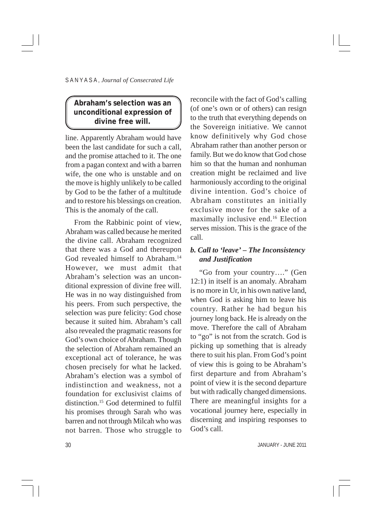### **Abraham's selection was an unconditional expression of divine free will.**

line. Apparently Abraham would have been the last candidate for such a call, and the promise attached to it. The one from a pagan context and with a barren wife, the one who is unstable and on the move is highly unlikely to be called by God to be the father of a multitude and to restore his blessings on creation. This is the anomaly of the call.

From the Rabbinic point of view, Abraham was called because he merited the divine call. Abraham recognized that there was a God and thereupon God revealed himself to Abraham.<sup>14</sup> However, we must admit that Abraham's selection was an unconditional expression of divine free will. He was in no way distinguished from his peers. From such perspective, the selection was pure felicity: God chose because it suited him. Abraham's call also revealed the pragmatic reasons for God's own choice of Abraham. Though the selection of Abraham remained an exceptional act of tolerance, he was chosen precisely for what he lacked. Abraham's election was a symbol of indistinction and weakness, not a foundation for exclusivist claims of distinction.15 God determined to fulfil his promises through Sarah who was barren and not through Milcah who was not barren. Those who struggle to

reconcile with the fact of God's calling (of one's own or of others) can resign to the truth that everything depends on the Sovereign initiative. We cannot know definitively why God chose Abraham rather than another person or family. But we do know that God chose him so that the human and nonhuman creation might be reclaimed and live harmoniously according to the original divine intention. God's choice of Abraham constitutes an initially exclusive move for the sake of a maximally inclusive end.16 Election serves mission. This is the grace of the call.

### *b. Call to 'leave' – The Inconsistency and Justification*

"Go from your country…." (Gen 12:1) in itself is an anomaly. Abraham is no more in Ur, in his own native land, when God is asking him to leave his country. Rather he had begun his journey long back. He is already on the move. Therefore the call of Abraham to "go" is not from the scratch. God is picking up something that is already there to suit his plan. From God's point of view this is going to be Abraham's first departure and from Abraham's point of view it is the second departure but with radically changed dimensions. There are meaningful insights for a vocational journey here, especially in discerning and inspiring responses to God's call.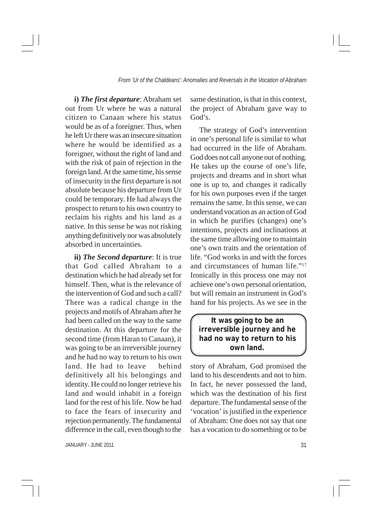**i)** *The first departure*: Abraham set out from Ur where he was a natural citizen to Canaan where his status would be as of a foreigner. Thus, when he left Ur there was an insecure situation where he would be identified as a foreigner, without the right of land and with the risk of pain of rejection in the foreign land. At the same time, his sense of insecurity in the first departure is not absolute because his departure from Ur could be temporary. He had always the prospect to return to his own country to reclaim his rights and his land as a native. In this sense he was not risking anything definitively nor was absolutely absorbed in uncertainties.

**ii)** *The Second departure*: It is true that God called Abraham to a destination which he had already set for himself. Then, what is the relevance of the intervention of God and such a call? There was a radical change in the projects and motifs of Abraham after he had been called on the way to the same destination. At this departure for the second time (from Haran to Canaan), it was going to be an irreversible journey and he had no way to return to his own land. He had to leave behind definitively all his belongings and identity. He could no longer retrieve his land and would inhabit in a foreign land for the rest of his life. Now he had to face the fears of insecurity and rejection permanently. The fundamental difference in the call, even though to the

JANUARY - JUNE 2011 31

same destination, is that in this context, the project of Abraham gave way to God's.

The strategy of God's intervention in one's personal life is similar to what had occurred in the life of Abraham. God does not call anyone out of nothing. He takes up the course of one's life, projects and dreams and in short what one is up to, and changes it radically for his own purposes even if the target remains the same. In this sense, we can understand vocation as an action of God in which he purifies (changes) one's intentions, projects and inclinations at the same time allowing one to maintain one's own traits and the orientation of life. "God works in and with the forces and circumstances of human life."17 Ironically in this process one may not achieve one's own personal orientation, but will remain an instrument in God's hand for his projects. As we see in the

### **It was going to be an irreversible journey and he had no way to return to his own land.**

story of Abraham, God promised the land to his descendents and not to him. In fact, he never possessed the land, which was the destination of his first departure. The fundamental sense of the 'vocation' is justified in the experience of Abraham: One does not say that one has a vocation to do something or to be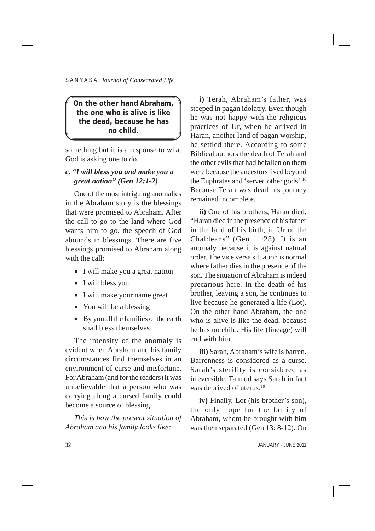**On the other hand Abraham, the one who is alive is like the dead, because he has no child.**

something but it is a response to what God is asking one to do.

### *c. "I will bless you and make you a great nation" (Gen 12:1-2)*

One of the most intriguing anomalies in the Abraham story is the blessings that were promised to Abraham. After the call to go to the land where God wants him to go, the speech of God abounds in blessings. There are five blessings promised to Abraham along with the call:

- I will make you a great nation
- I will bless you
- I will make your name great
- You will be a blessing
- By you all the families of the earth shall bless themselves

The intensity of the anomaly is evident when Abraham and his family circumstances find themselves in an environment of curse and misfortune. For Abraham (and for the readers) it was unbelievable that a person who was carrying along a cursed family could become a source of blessing.

*This is how the present situation of Abraham and his family looks like:*

**i)** Terah, Abraham's father, was steeped in pagan idolatry. Even though he was not happy with the religious practices of Ur, when he arrived in Haran, another land of pagan worship, he settled there. According to some Biblical authors the death of Terah and the other evils that had befallen on them were because the ancestors lived beyond the Euphrates and 'served other gods'.18 Because Terah was dead his journey remained incomplete.

**ii)** One of his brothers, Haran died. "Haran died in the presence of his father in the land of his birth, in Ur of the Chaldeans" (Gen 11:28). It is an anomaly because it is against natural order. The vice versa situation is normal where father dies in the presence of the son. The situation of Abraham is indeed precarious here. In the death of his brother, leaving a son, he continues to live because he generated a life (Lot). On the other hand Abraham, the one who is alive is like the dead, because he has no child. His life (lineage) will end with him.

**iii)** Sarah, Abraham's wife is barren. Barrenness is considered as a curse. Sarah's sterility is considered as irreversible. Talmud says Sarah in fact was deprived of uterus.<sup>19</sup>

**iv)** Finally, Lot (his brother's son), the only hope for the family of Abraham, whom he brought with him was then separated (Gen 13: 8-12). On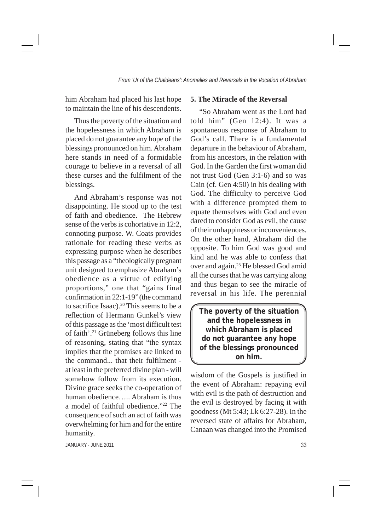him Abraham had placed his last hope to maintain the line of his descendents.

Thus the poverty of the situation and the hopelessness in which Abraham is placed do not guarantee any hope of the blessings pronounced on him. Abraham here stands in need of a formidable courage to believe in a reversal of all these curses and the fulfilment of the blessings.

And Abraham's response was not disappointing. He stood up to the test of faith and obedience. The Hebrew sense of the verbs is cohortative in 12:2, connoting purpose. W. Coats provides rationale for reading these verbs as expressing purpose when he describes this passage as a "theologically pregnant unit designed to emphasize Abraham's obedience as a virtue of edifying proportions," one that "gains final confirmation in 22:1-19"(the command to sacrifice Isaac).<sup>20</sup> This seems to be a reflection of Hermann Gunkel's view of this passage as the 'most difficult test of faith'.21 Grüneberg follows this line of reasoning, stating that "the syntax implies that the promises are linked to the command... that their fulfilment at least in the preferred divine plan - will somehow follow from its execution. Divine grace seeks the co-operation of human obedience….. Abraham is thus a model of faithful obedience."22 The consequence of such an act of faith was overwhelming for him and for the entire humanity.

JANUARY - JUNE 2011 2003 33

#### **5. The Miracle of the Reversal**

"So Abraham went as the Lord had told him" (Gen 12:4). It was a spontaneous response of Abraham to God's call. There is a fundamental departure in the behaviour of Abraham, from his ancestors, in the relation with God. In the Garden the first woman did not trust God (Gen 3:1-6) and so was Cain (cf. Gen 4:50) in his dealing with God. The difficulty to perceive God with a difference prompted them to equate themselves with God and even dared to consider God as evil, the cause of their unhappiness or inconveniences. On the other hand, Abraham did the opposite. To him God was good and kind and he was able to confess that over and again.23 He blessed God amid all the curses that he was carrying along and thus began to see the miracle of reversal in his life. The perennial

**The poverty of the situation and the hopelessness in which Abraham is placed do not guarantee any hope of the blessings pronounced on him.**

wisdom of the Gospels is justified in the event of Abraham: repaying evil with evil is the path of destruction and the evil is destroyed by facing it with goodness (Mt 5:43; Lk 6:27-28). In the reversed state of affairs for Abraham, Canaan was changed into the Promised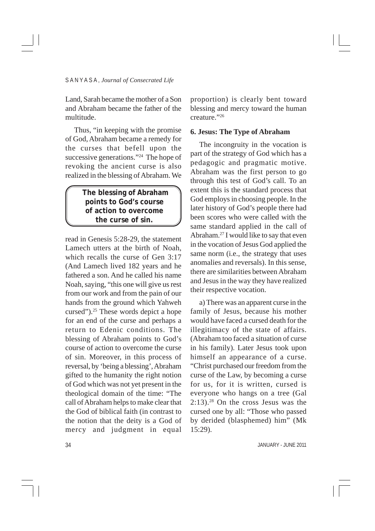Land, Sarah became the mother of a Son and Abraham became the father of the multitude.

Thus, "in keeping with the promise of God, Abraham became a remedy for the curses that befell upon the successive generations."<sup>24</sup> The hope of revoking the ancient curse is also realized in the blessing of Abraham. We

### **The blessing of Abraham points to God's course of action to overcome the curse of sin.**

read in Genesis 5:28-29, the statement Lamech utters at the birth of Noah, which recalls the curse of Gen 3:17 (And Lamech lived 182 years and he fathered a son. And he called his name Noah, saying, "this one will give us rest from our work and from the pain of our hands from the ground which Yahweh cursed").25 These words depict a hope for an end of the curse and perhaps a return to Edenic conditions. The blessing of Abraham points to God's course of action to overcome the curse of sin. Moreover, in this process of reversal, by 'being a blessing', Abraham gifted to the humanity the right notion of God which was not yet present in the theological domain of the time: "The call of Abraham helps to make clear that the God of biblical faith (in contrast to the notion that the deity is a God of mercy and judgment in equal

proportion) is clearly bent toward blessing and mercy toward the human creature."26

#### **6. Jesus: The Type of Abraham**

The incongruity in the vocation is part of the strategy of God which has a pedagogic and pragmatic motive. Abraham was the first person to go through this test of God's call. To an extent this is the standard process that God employs in choosing people. In the later history of God's people there had been scores who were called with the same standard applied in the call of Abraham.27 I would like to say that even in the vocation of Jesus God applied the same norm (i.e., the strategy that uses anomalies and reversals). In this sense, there are similarities between Abraham and Jesus in the way they have realized their respective vocation.

a) There was an apparent curse in the family of Jesus, because his mother would have faced a cursed death for the illegitimacy of the state of affairs. (Abraham too faced a situation of curse in his family). Later Jesus took upon himself an appearance of a curse. "Christ purchased our freedom from the curse of the Law, by becoming a curse for us, for it is written, cursed is everyone who hangs on a tree (Gal 2:13).28 On the cross Jesus was the cursed one by all: "Those who passed by derided (blasphemed) him" (Mk 15:29).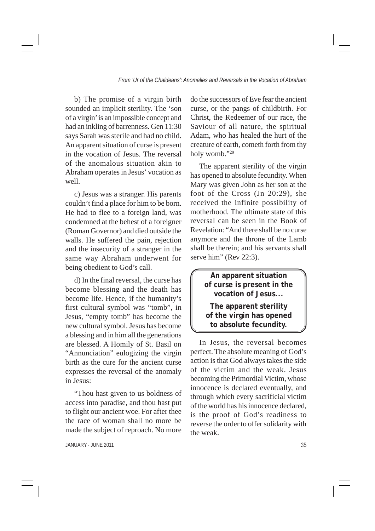#### *From 'Ur of the Chaldeans': Anomalies and Reversals in the Vocation of Abraham*

b) The promise of a virgin birth sounded an implicit sterility. The 'son of a virgin' is an impossible concept and had an inkling of barrenness. Gen 11:30 says Sarah was sterile and had no child. An apparent situation of curse is present in the vocation of Jesus. The reversal of the anomalous situation akin to Abraham operates in Jesus' vocation as well.

c) Jesus was a stranger. His parents couldn't find a place for him to be born. He had to flee to a foreign land, was condemned at the behest of a foreigner (Roman Governor) and died outside the walls. He suffered the pain, rejection and the insecurity of a stranger in the same way Abraham underwent for being obedient to God's call.

d) In the final reversal, the curse has become blessing and the death has become life. Hence, if the humanity's first cultural symbol was "tomb", in Jesus, "empty tomb" has become the new cultural symbol. Jesus has become a blessing and in him all the generations are blessed. A Homily of St. Basil on "Annunciation" eulogizing the virgin birth as the cure for the ancient curse expresses the reversal of the anomaly in Jesus:

"Thou hast given to us boldness of access into paradise, and thou hast put to flight our ancient woe. For after thee the race of woman shall no more be made the subject of reproach. No more

JANUARY - JUNE 2011 35

do the successors of Eve fear the ancient curse, or the pangs of childbirth. For Christ, the Redeemer of our race, the Saviour of all nature, the spiritual Adam, who has healed the hurt of the creature of earth, cometh forth from thy holy womb."29

The apparent sterility of the virgin has opened to absolute fecundity. When Mary was given John as her son at the foot of the Cross (Jn 20:29), she received the infinite possibility of motherhood. The ultimate state of this reversal can be seen in the Book of Revelation: "And there shall be no curse anymore and the throne of the Lamb shall be therein; and his servants shall serve him" (Rev 22:3).

## **An apparent situation of curse is present in the vocation of Jesus... The apparent sterility of the virgin has opened to absolute fecundity.**

In Jesus, the reversal becomes perfect. The absolute meaning of God's action is that God always takes the side of the victim and the weak. Jesus becoming the Primordial Victim, whose innocence is declared eventually, and through which every sacrificial victim of the world has his innocence declared, is the proof of God's readiness to reverse the order to offer solidarity with the weak.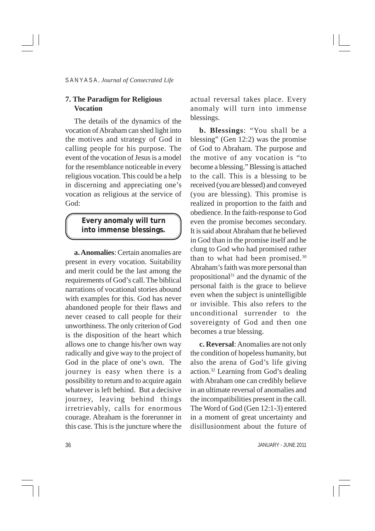### **7. The Paradigm for Religious Vocation**

The details of the dynamics of the vocation of Abraham can shed light into the motives and strategy of God in calling people for his purpose. The event of the vocation of Jesus is a model for the resemblance noticeable in every religious vocation. This could be a help in discerning and appreciating one's vocation as religious at the service of God:

> **Every anomaly will turn into immense blessings.**

**a. Anomalies**: Certain anomalies are present in every vocation. Suitability and merit could be the last among the requirements of God's call. The biblical narrations of vocational stories abound with examples for this. God has never abandoned people for their flaws and never ceased to call people for their unworthiness. The only criterion of God is the disposition of the heart which allows one to change his/her own way radically and give way to the project of God in the place of one's own. The journey is easy when there is a possibility to return and to acquire again whatever is left behind. But a decisive journey, leaving behind things irretrievably, calls for enormous courage. Abraham is the forerunner in this case. This is the juncture where the

actual reversal takes place. Every anomaly will turn into immense blessings.

**b. Blessings**: "You shall be a blessing" (Gen 12:2) was the promise of God to Abraham. The purpose and the motive of any vocation is "to become a blessing." Blessing is attached to the call. This is a blessing to be received (you are blessed) and conveyed (you are blessing). This promise is realized in proportion to the faith and obedience. In the faith-response to God even the promise becomes secondary. It is said about Abraham that he believed in God than in the promise itself and he clung to God who had promised rather than to what had been promised.<sup>30</sup> Abraham's faith was more personal than propositional<sup>31</sup> and the dynamic of the personal faith is the grace to believe even when the subject is unintelligible or invisible. This also refers to the unconditional surrender to the sovereignty of God and then one becomes a true blessing.

**c. Reversal**: Anomalies are not only the condition of hopeless humanity, but also the arena of God's life giving action.32 Learning from God's dealing with Abraham one can credibly believe in an ultimate reversal of anomalies and the incompatibilities present in the call. The Word of God (Gen 12:1-3) entered in a moment of great uncertainty and disillusionment about the future of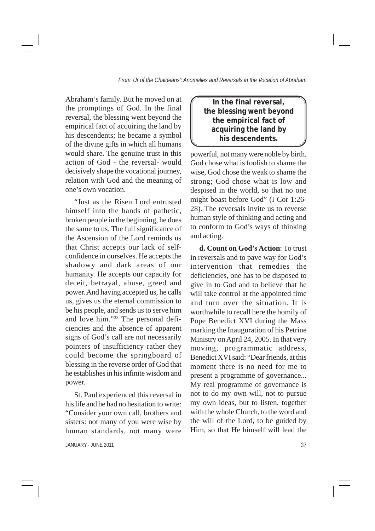*From 'Ur of the Chaldeans': Anomalies and Reversals in the Vocation of Abraham*

Abraham's family. But he moved on at the promptings of God. In the final reversal, the blessing went beyond the empirical fact of acquiring the land by his descendents; he became a symbol of the divine gifts in which all humans would share. The genuine trust in this action of God - the reversal- would decisively shape the vocational journey, relation with God and the meaning of one's own vocation.

"Just as the Risen Lord entrusted himself into the hands of pathetic, broken people in the beginning, he does the same to us. The full significance of the Ascension of the Lord reminds us that Christ accepts our lack of selfconfidence in ourselves. He accepts the shadowy and dark areas of our humanity. He accepts our capacity for deceit, betrayal, abuse, greed and power. And having accepted us, he calls us, gives us the eternal commission to be his people, and sends us to serve him and love him."33 The personal deficiencies and the absence of apparent signs of God's call are not necessarily pointers of insufficiency rather they could become the springboard of blessing in the reverse order of God that he establishes in his infinite wisdom and power.

St. Paul experienced this reversal in his life and he had no hesitation to write: "Consider your own call, brothers and sisters: not many of you were wise by human standards, not many were

JANUARY - JUNE 2011 37

# **In the final reversal, the blessing went beyond the empirical fact of acquiring the land by his descendents.**

powerful, not many were noble by birth. God chose what is foolish to shame the wise, God chose the weak to shame the strong; God chose what is low and despised in the world, so that no one might boast before God" (I Cor 1:26- 28). The reversals invite us to reverse human style of thinking and acting and to conform to God's ways of thinking and acting.

**d. Count on God's Action**: To trust in reversals and to pave way for God's intervention that remedies the deficiencies, one has to be disposed to give in to God and to believe that he will take control at the appointed time and turn over the situation. It is worthwhile to recall here the homily of Pope Benedict XVI during the Mass marking the Inauguration of his Petrine Ministry on April 24, 2005. In that very moving, programmatic address, Benedict XVI said: "Dear friends, at this moment there is no need for me to present a programme of governance... My real programme of governance is not to do my own will, not to pursue my own ideas, but to listen, together with the whole Church, to the word and the will of the Lord, to be guided by Him, so that He himself will lead the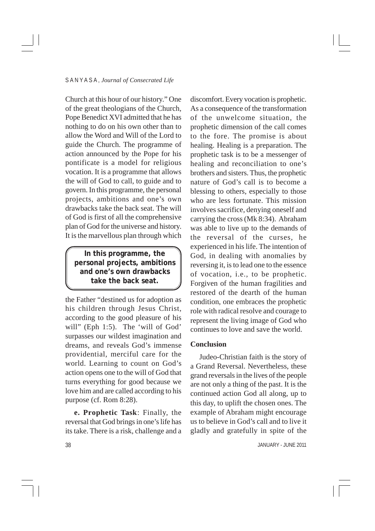Church at this hour of our history." One of the great theologians of the Church, Pope Benedict XVI admitted that he has nothing to do on his own other than to allow the Word and Will of the Lord to guide the Church. The programme of action announced by the Pope for his pontificate is a model for religious vocation. It is a programme that allows the will of God to call, to guide and to govern. In this programme, the personal projects, ambitions and one's own drawbacks take the back seat. The will of God is first of all the comprehensive plan of God for the universe and history. It is the marvellous plan through which

**In this programme, the personal projects, ambitions and one's own drawbacks take the back seat.**

the Father "destined us for adoption as his children through Jesus Christ, according to the good pleasure of his will" (Eph 1:5). The 'will of God' surpasses our wildest imagination and dreams, and reveals God's immense providential, merciful care for the world. Learning to count on God's action opens one to the will of God that turns everything for good because we love him and are called according to his purpose (cf. Rom 8:28).

**e. Prophetic Task**: Finally, the reversal that God brings in one's life has its take. There is a risk, challenge and a discomfort. Every vocation is prophetic. As a consequence of the transformation of the unwelcome situation, the prophetic dimension of the call comes to the fore. The promise is about healing. Healing is a preparation. The prophetic task is to be a messenger of healing and reconciliation to one's brothers and sisters. Thus, the prophetic nature of God's call is to become a blessing to others, especially to those who are less fortunate. This mission involves sacrifice, denying oneself and carrying the cross (Mk 8:34). Abraham was able to live up to the demands of the reversal of the curses, he experienced in his life. The intention of God, in dealing with anomalies by reversing it, is to lead one to the essence of vocation, i.e., to be prophetic. Forgiven of the human fragilities and restored of the dearth of the human condition, one embraces the prophetic role with radical resolve and courage to represent the living image of God who continues to love and save the world.

### **Conclusion**

Judeo-Christian faith is the story of a Grand Reversal. Nevertheless, these grand reversals in the lives of the people are not only a thing of the past. It is the continued action God all along, up to this day, to uplift the chosen ones. The example of Abraham might encourage us to believe in God's call and to live it gladly and gratefully in spite of the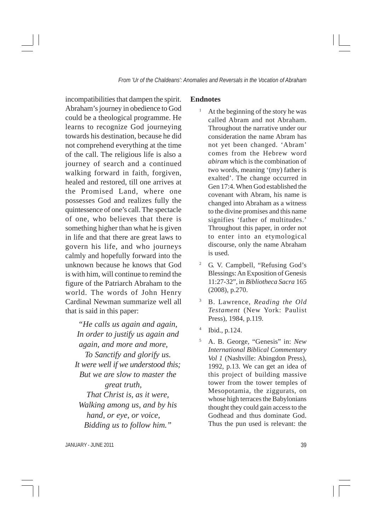incompatibilities that dampen the spirit. Abraham's journey in obedience to God could be a theological programme. He learns to recognize God journeying towards his destination, because he did not comprehend everything at the time of the call. The religious life is also a journey of search and a continued walking forward in faith, forgiven, healed and restored, till one arrives at the Promised Land, where one possesses God and realizes fully the quintessence of one's call. The spectacle of one, who believes that there is something higher than what he is given in life and that there are great laws to govern his life, and who journeys calmly and hopefully forward into the unknown because he knows that God is with him, will continue to remind the figure of the Patriarch Abraham to the world. The words of John Henry Cardinal Newman summarize well all that is said in this paper:

*"He calls us again and again, In order to justify us again and again, and more and more, To Sanctify and glorify us. It were well if we understood this; But we are slow to master the great truth, That Christ is, as it were, Walking among us, and by his hand, or eye, or voice, Bidding us to follow him."*

# **Endnotes**

- <sup>1</sup> At the beginning of the story he was called Abram and not Abraham. Throughout the narrative under our consideration the name Abram has not yet been changed. 'Abram' comes from the Hebrew word *abiram* which is the combination of two words, meaning '(my) father is exalted'. The change occurred in Gen 17:4. When God established the covenant with Abram, his name is changed into Abraham as a witness to the divine promises and this name signifies 'father of multitudes.' Throughout this paper, in order not to enter into an etymological discourse, only the name Abraham is used.
- <sup>2</sup> G. V. Campbell, "Refusing God's Blessings: An Exposition of Genesis 11:27-32", in *Bibliotheca Sacra* 165 (2008), p.270.
- <sup>3</sup> B. Lawrence, *Reading the Old Testament* (New York: Paulist Press), 1984, p.119.
- Ibid., p.124.
- <sup>5</sup> A. B. George, "Genesis" in: *New International Biblical Commentary Vol 1* (Nashville: Abingdon Press), 1992, p.13. We can get an idea of this project of building massive tower from the tower temples of Mesopotamia, the ziggurats, on whose high terraces the Babylonians thought they could gain access to the Godhead and thus dominate God. Thus the pun used is relevant: the

JANUARY - JUNE 2011 39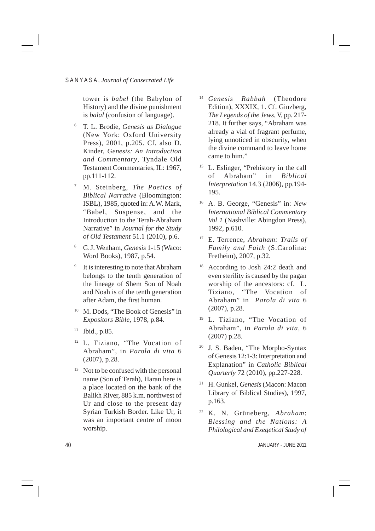tower is *babel* (the Babylon of History) and the divine punishment is *balal* (confusion of language).

- <sup>6</sup> T. L. Brodie, *Genesis as Dialogue* (New York: Oxford University Press), 2001, p.205. Cf. also D. Kinder, *Genesis: An Introduction and Commentary*, Tyndale Old Testament Commentaries, IL: 1967, pp.111-112.
- 7 M. Steinberg, *The Poetics of Biblical Narrative* (Bloomington: ISBL), 1985, quoted in: A.W. Mark, "Babel, Suspense, and the Introduction to the Terah-Abraham Narrative" in *Journal for the Study of Old Testament* 51.1 (2010), p.6.
- <sup>8</sup> G. J. Wenham, *Genesis* 1-15 (Waco: Word Books), 1987, p.54.
- It is interesting to note that Abraham belongs to the tenth generation of the lineage of Shem Son of Noah and Noah is of the tenth generation after Adam, the first human.
- <sup>10</sup> M. Dods, "The Book of Genesis" in *Expositors Bible*, 1978, p.84.
- <sup>11</sup> Ibid., p.85.
- <sup>12</sup> L. Tiziano, "The Vocation of Abraham", in *Parola di vita* 6 (2007), p.28.
- <sup>13</sup> Not to be confused with the personal name (Son of Terah), Haran here is a place located on the bank of the Balikh River, 885 k.m. northwest of Ur and close to the present day Syrian Turkish Border. Like Ur, it was an important centre of moon worship.
- <sup>14</sup> *Genesis Rabbah* (Theodore Edition), XXXIX, 1. Cf. Ginzberg, *The Legends of the Jews*, V, pp. 217- 218. It further says, "Abraham was already a vial of fragrant perfume, lying unnoticed in obscurity, when the divine command to leave home came to him."
- <sup>15</sup> L. Eslinger, "Prehistory in the call of Abraham" in *Biblical Interpretation* 14.3 (2006), pp.194- 195.
- <sup>16</sup> A. B. George, "Genesis" in: *New International Biblical Commentary Vol 1* (Nashville: Abingdon Press), 1992, p.610.
- 17 E. Terrence, *Abraham: Trails of Family and Faith* (S.Carolina: Fretheim), 2007, p.32.
- <sup>18</sup> According to Josh 24:2 death and even sterility is caused by the pagan worship of the ancestors: cf. L. Tiziano, "The Vocation of Abraham" in *Parola di vita* 6 (2007), p.28.
- <sup>19</sup> L. Tiziano, "The Vocation of Abraham", in *Parola di vita*, 6 (2007) p.28.
- <sup>20</sup> J. S. Baden, "The Morpho-Syntax of Genesis 12:1-3: Interpretation and Explanation" in *Catholic Biblical Quarterly* 72 (2010), pp.227-228.
- <sup>21</sup> H. Gunkel*, Genesis* (Macon: Macon Library of Biblical Studies), 1997, p.163.
- <sup>22</sup> K. N. Grüneberg, *Abraham*: *Blessing and the Nations: A Philological and Exegetical Study of*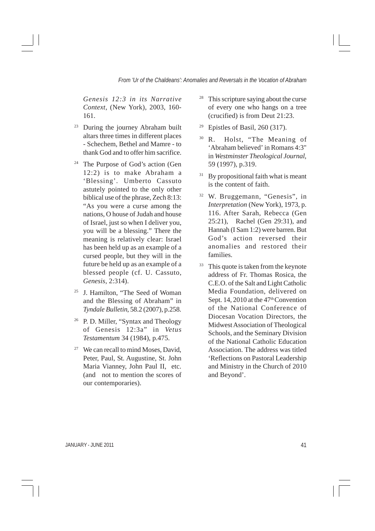*Genesis 12:3 in its Narrative Context*, (New York), 2003, 160- 161.

- <sup>23</sup> During the journey Abraham built altars three times in different places - Schechem, Bethel and Mamre - to thank God and to offer him sacrifice.
- <sup>24</sup> The Purpose of God's action (Gen 12:2) is to make Abraham a 'Blessing'. Umberto Cassuto astutely pointed to the only other biblical use of the phrase, Zech 8:13: "As you were a curse among the nations, O house of Judah and house of Israel, just so when I deliver you, you will be a blessing." There the meaning is relatively clear: Israel has been held up as an example of a cursed people, but they will in the future be held up as an example of a blessed people (cf. U. Cassuto, *Genesis*, 2:314).
- J. Hamilton, "The Seed of Woman and the Blessing of Abraham" in *Tyndale Bulletin*, 58.2 (2007), p.258.
- <sup>26</sup> P. D. Miller, "Syntax and Theology of Genesis 12:3a" in *Vetus Testamentum* 34 (1984), p.475.
- <sup>27</sup> We can recall to mind Moses, David, Peter, Paul, St. Augustine, St. John Maria Vianney, John Paul II, etc. (and not to mention the scores of our contemporaries).
- <sup>28</sup> This scripture saying about the curse of every one who hangs on a tree (crucified) is from Deut 21:23.
- <sup>29</sup> Epistles of Basil, 260 (317).
- <sup>30</sup> R. Holst, "The Meaning of 'Abraham believed' in Romans 4:3" in *Westminster Theological Journal*, 59 (1997), p.319.
- $31$  By propositional faith what is meant is the content of faith.
- 32 W. Bruggemann, "Genesis", in *Interpretation* (New York), 1973, p. 116. After Sarah, Rebecca (Gen 25:21), Rachel (Gen 29:31), and Hannah (I Sam 1:2) were barren. But God's action reversed their anomalies and restored their families.
- <sup>33</sup> This quote is taken from the keynote address of Fr. Thomas Rosica, the C.E.O. of the Salt and Light Catholic Media Foundation, delivered on Sept. 14, 2010 at the  $47<sup>th</sup>$  Convention of the National Conference of Diocesan Vocation Directors, the Midwest Association of Theological Schools, and the Seminary Division of the National Catholic Education Association. The address was titled 'Reflections on Pastoral Leadership and Ministry in the Church of 2010 and Beyond'.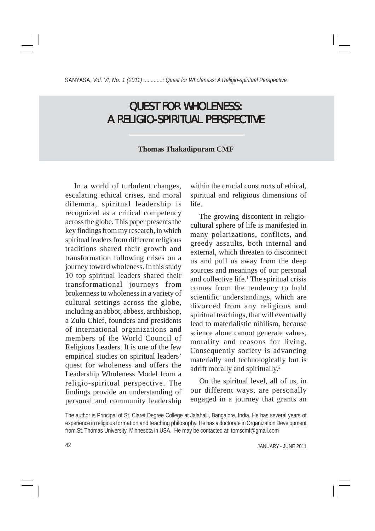SANYASA, Vol. VI, No. 1 (2011) .............: Quest for Wholeness: A Religio-spiritual Perspective

# QUEST FOR WHOLENESS: QUEST FOR WHOLENESS: A RELIGIO-SPIRITUAL PERSPECTIVE

# **Thomas Thakadipuram CMF**

In a world of turbulent changes, escalating ethical crises, and moral dilemma, spiritual leadership is recognized as a critical competency across the globe. This paper presents the key findings from my research, in which spiritual leaders from different religious traditions shared their growth and transformation following crises on a journey toward wholeness. In this study 10 top spiritual leaders shared their transformational journeys from brokenness to wholeness in a variety of cultural settings across the globe, including an abbot, abbess, archbishop, a Zulu Chief, founders and presidents of international organizations and members of the World Council of Religious Leaders. It is one of the few empirical studies on spiritual leaders' quest for wholeness and offers the Leadership Wholeness Model from a religio-spiritual perspective. The findings provide an understanding of personal and community leadership

within the crucial constructs of ethical, spiritual and religious dimensions of life.

The growing discontent in religiocultural sphere of life is manifested in many polarizations, conflicts, and greedy assaults, both internal and external, which threaten to disconnect us and pull us away from the deep sources and meanings of our personal and collective life.<sup>1</sup> The spiritual crisis comes from the tendency to hold scientific understandings, which are divorced from any religious and spiritual teachings, that will eventually lead to materialistic nihilism, because science alone cannot generate values, morality and reasons for living. Consequently society is advancing materially and technologically but is adrift morally and spiritually.2

On the spiritual level, all of us, in our different ways, are personally engaged in a journey that grants an

The author is Principal of St. Claret Degree College at Jalahalli, Bangalore, India. He has several years of experience in religious formation and teaching philosophy. He has a doctorate in Organization Development from St. Thomas University, Minnesota in USA. He may be contacted at: tomscmf@gmail.com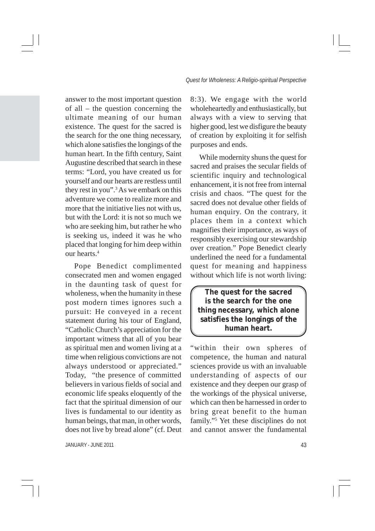answer to the most important question of all – the question concerning the ultimate meaning of our human existence. The quest for the sacred is the search for the one thing necessary, which alone satisfies the longings of the human heart. In the fifth century, Saint Augustine described that search in these terms: "Lord, you have created us for yourself and our hearts are restless until they rest in you".3 As we embark on this adventure we come to realize more and more that the initiative lies not with us, but with the Lord: it is not so much we who are seeking him, but rather he who is seeking us, indeed it was he who placed that longing for him deep within our hearts.<sup>4</sup>

Pope Benedict complimented consecrated men and women engaged in the daunting task of quest for wholeness, when the humanity in these post modern times ignores such a pursuit: He conveyed in a recent statement during his tour of England, "Catholic Church's appreciation for the important witness that all of you bear as spiritual men and women living at a time when religious convictions are not always understood or appreciated." Today, "the presence of committed believers in various fields of social and economic life speaks eloquently of the fact that the spiritual dimension of our lives is fundamental to our identity as human beings, that man, in other words, does not live by bread alone" (cf. Deut

JANUARY - JUNE 2011 43

8:3). We engage with the world wholeheartedly and enthusiastically, but always with a view to serving that higher good, lest we disfigure the beauty of creation by exploiting it for selfish purposes and ends.

While modernity shuns the quest for sacred and praises the secular fields of scientific inquiry and technological enhancement, it is not free from internal crisis and chaos. "The quest for the sacred does not devalue other fields of human enquiry. On the contrary, it places them in a context which magnifies their importance, as ways of responsibly exercising our stewardship over creation." Pope Benedict clearly underlined the need for a fundamental quest for meaning and happiness without which life is not worth living:

**The quest for the sacred is the search for the one thing necessary, which alone satisfies the longings of the human heart.**

"within their own spheres of competence, the human and natural sciences provide us with an invaluable understanding of aspects of our existence and they deepen our grasp of the workings of the physical universe, which can then be harnessed in order to bring great benefit to the human family."5 Yet these disciplines do not and cannot answer the fundamental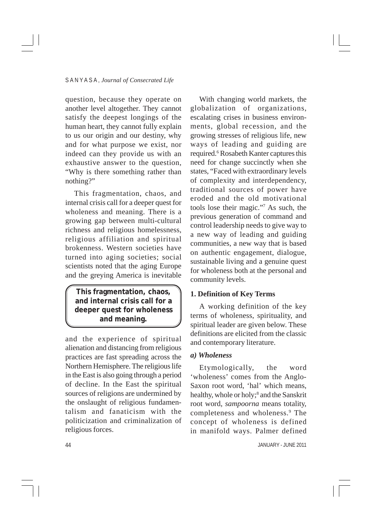question, because they operate on another level altogether. They cannot satisfy the deepest longings of the human heart, they cannot fully explain to us our origin and our destiny, why and for what purpose we exist, nor indeed can they provide us with an exhaustive answer to the question, "Why is there something rather than nothing?"

This fragmentation, chaos, and internal crisis call for a deeper quest for wholeness and meaning. There is a growing gap between multi-cultural richness and religious homelessness, religious affiliation and spiritual brokenness. Western societies have turned into aging societies; social scientists noted that the aging Europe and the greying America is inevitable

**This fragmentation, chaos, and internal crisis call for a deeper quest for wholeness and meaning.**

and the experience of spiritual alienation and distancing from religious practices are fast spreading across the Northern Hemisphere. The religious life in the East is also going through a period of decline. In the East the spiritual sources of religions are undermined by the onslaught of religious fundamentalism and fanaticism with the politicization and criminalization of religious forces.

With changing world markets, the globalization of organizations, escalating crises in business environments, global recession, and the growing stresses of religious life, new ways of leading and guiding are required.<sup>6</sup> Rosabeth Kanter captures this need for change succinctly when she states, "Faced with extraordinary levels of complexity and interdependency, traditional sources of power have eroded and the old motivational tools lose their magic."7 As such, the previous generation of command and control leadership needs to give way to a new way of leading and guiding communities, a new way that is based on authentic engagement, dialogue, sustainable living and a genuine quest for wholeness both at the personal and community levels.

## **1. Definition of Key Terms**

A working definition of the key terms of wholeness, spirituality, and spiritual leader are given below. These definitions are elicited from the classic and contemporary literature.

# *a) Wholeness*

Etymologically, the word 'wholeness' comes from the Anglo-Saxon root word, 'hal' which means, healthy, whole or holy;<sup>8</sup> and the Sanskrit root word, *sampoorna* means totality, completeness and wholeness.9 The concept of wholeness is defined in manifold ways. Palmer defined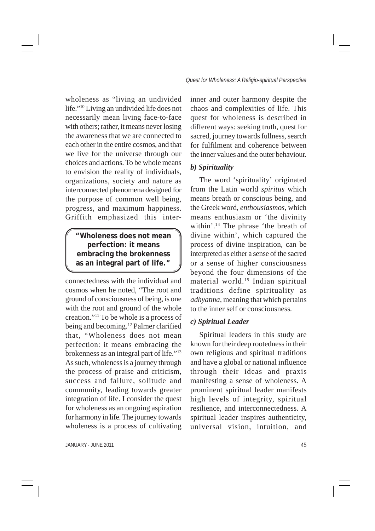wholeness as "living an undivided life."10 Living an undivided life does not necessarily mean living face-to-face with others; rather, it means never losing the awareness that we are connected to each other in the entire cosmos, and that we live for the universe through our choices and actions. To be whole means to envision the reality of individuals, organizations, society and nature as interconnected phenomena designed for the purpose of common well being, progress, and maximum happiness. Griffith emphasized this inter-

# **"Wholeness does not mean perfection: it means embracing the brokenness as an integral part of life."**

connectedness with the individual and cosmos when he noted, "The root and ground of consciousness of being, is one with the root and ground of the whole creation."11 To be whole is a process of being and becoming.12 Palmer clarified that, "Wholeness does not mean perfection: it means embracing the brokenness as an integral part of life."13 As such, wholeness is a journey through the process of praise and criticism, success and failure, solitude and community, leading towards greater integration of life. I consider the quest for wholeness as an ongoing aspiration for harmony in life. The journey towards wholeness is a process of cultivating

JANUARY - JUNE 2011 45

inner and outer harmony despite the chaos and complexities of life. This quest for wholeness is described in different ways: seeking truth, quest for sacred, journey towards fullness, search for fulfilment and coherence between the inner values and the outer behaviour.

# *b) Spirituality*

The word 'spirituality' originated from the Latin world *spiritus* which means breath or conscious being, and the Greek word, *enthousiasmos*, which means enthusiasm or 'the divinity within'.14 The phrase 'the breath of divine within', which captured the process of divine inspiration, can be interpreted as either a sense of the sacred or a sense of higher consciousness beyond the four dimensions of the material world.15 Indian spiritual traditions define spirituality as *adhyatma,* meaning that which pertains to the inner self or consciousness*.*

## *c) Spiritual Leader*

Spiritual leaders in this study are known for their deep rootedness in their own religious and spiritual traditions and have a global or national influence through their ideas and praxis manifesting a sense of wholeness. A prominent spiritual leader manifests high levels of integrity, spiritual resilience, and interconnectedness. A spiritual leader inspires authenticity, universal vision, intuition, and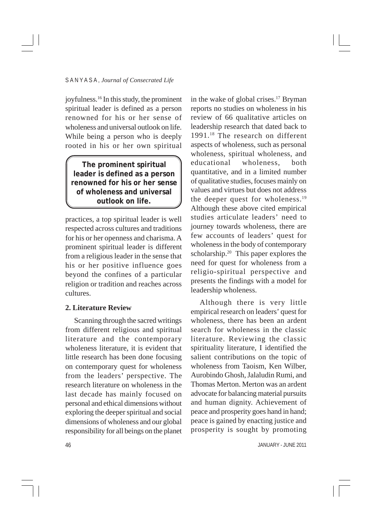joyfulness.16 In this study, the prominent spiritual leader is defined as a person renowned for his or her sense of wholeness and universal outlook on life. While being a person who is deeply rooted in his or her own spiritual

**The prominent spiritual leader is defined as a person renowned for his or her sense of wholeness and universal outlook on life.**

practices, a top spiritual leader is well respected across cultures and traditions for his or her openness and charisma. A prominent spiritual leader is different from a religious leader in the sense that his or her positive influence goes beyond the confines of a particular religion or tradition and reaches across cultures.

## **2. Literature Review**

Scanning through the sacred writings from different religious and spiritual literature and the contemporary wholeness literature, it is evident that little research has been done focusing on contemporary quest for wholeness from the leaders' perspective. The research literature on wholeness in the last decade has mainly focused on personal and ethical dimensions without exploring the deeper spiritual and social dimensions of wholeness and our global responsibility for all beings on the planet

in the wake of global crises.<sup>17</sup> Bryman reports no studies on wholeness in his review of 66 qualitative articles on leadership research that dated back to 1991.<sup>18</sup> The research on different aspects of wholeness, such as personal wholeness, spiritual wholeness, and educational wholeness, both quantitative, and in a limited number of qualitative studies, focuses mainly on values and virtues but does not address the deeper quest for wholeness.<sup>19</sup> Although these above cited empirical studies articulate leaders' need to journey towards wholeness, there are few accounts of leaders' quest for wholeness in the body of contemporary scholarship.<sup>20</sup> This paper explores the need for quest for wholeness from a religio-spiritual perspective and presents the findings with a model for leadership wholeness.

Although there is very little empirical research on leaders' quest for wholeness, there has been an ardent search for wholeness in the classic literature. Reviewing the classic spirituality literature, I identified the salient contributions on the topic of wholeness from Taoism, Ken Wilber, Aurobindo Ghosh, Jalaludin Rumi, and Thomas Merton. Merton was an ardent advocate for balancing material pursuits and human dignity. Achievement of peace and prosperity goes hand in hand; peace is gained by enacting justice and prosperity is sought by promoting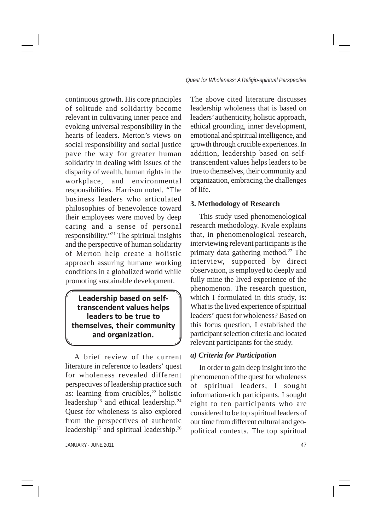continuous growth. His core principles of solitude and solidarity become relevant in cultivating inner peace and evoking universal responsibility in the hearts of leaders. Merton's views on social responsibility and social justice pave the way for greater human solidarity in dealing with issues of the disparity of wealth, human rights in the workplace, and environmental responsibilities. Harrison noted, "The business leaders who articulated philosophies of benevolence toward their employees were moved by deep caring and a sense of personal responsibility."21 The spiritual insights and the perspective of human solidarity of Merton help create a holistic approach assuring humane working conditions in a globalized world while promoting sustainable development.

**Leadership based on selftranscendent values helps leaders to be true to themselves, their community and organization.**

A brief review of the current literature in reference to leaders' quest for wholeness revealed different perspectives of leadership practice such as: learning from crucibles,<sup>22</sup> holistic leadership<sup>23</sup> and ethical leadership.<sup>24</sup> Quest for wholeness is also explored from the perspectives of authentic leadership<sup>25</sup> and spiritual leadership.<sup>26</sup>

JANUARY - JUNE 2011 2007 12:00 12:00 12:00 12:00 12:00 12:00 12:00 12:00 12:00 12:00 12:00 12:00 12:00 12:00 1

The above cited literature discusses leadership wholeness that is based on leaders' authenticity, holistic approach, ethical grounding, inner development, emotional and spiritual intelligence, and growth through crucible experiences. In addition, leadership based on selftranscendent values helps leaders to be true to themselves, their community and organization, embracing the challenges of life.

#### **3. Methodology of Research**

This study used phenomenological research methodology. Kvale explains that, in phenomenological research, interviewing relevant participants is the primary data gathering method.27 The interview, supported by direct observation, is employed to deeply and fully mine the lived experience of the phenomenon. The research question, which I formulated in this study, is: What is the lived experience of spiritual leaders' quest for wholeness? Based on this focus question, I established the participant selection criteria and located relevant participants for the study.

# *a) Criteria for Participation*

In order to gain deep insight into the phenomenon of the quest for wholeness of spiritual leaders, I sought information-rich participants. I sought eight to ten participants who are considered to be top spiritual leaders of our time from different cultural and geopolitical contexts. The top spiritual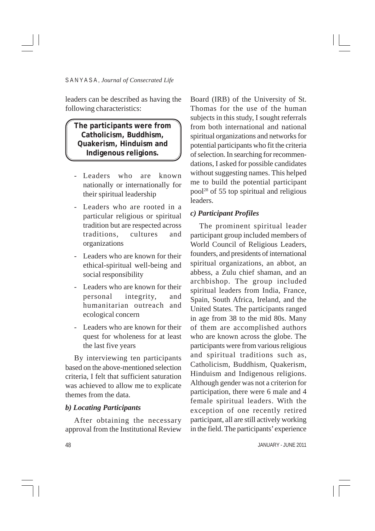leaders can be described as having the following characteristics:

**The participants were from Catholicism, Buddhism, Quakerism, Hinduism and Indigenous religions.**

- Leaders who are known nationally or internationally for their spiritual leadership
- Leaders who are rooted in a particular religious or spiritual tradition but are respected across traditions, cultures and organizations
- Leaders who are known for their ethical-spiritual well-being and social responsibility
- Leaders who are known for their personal integrity, and humanitarian outreach and ecological concern
- Leaders who are known for their quest for wholeness for at least the last five years

By interviewing ten participants based on the above-mentioned selection criteria, I felt that sufficient saturation was achieved to allow me to explicate themes from the data.

# *b) Locating Participants*

After obtaining the necessary approval from the Institutional Review

Board (IRB) of the University of St. Thomas for the use of the human subjects in this study, I sought referrals from both international and national spiritual organizations and networks for potential participants who fit the criteria of selection. In searching for recommendations, I asked for possible candidates without suggesting names. This helped me to build the potential participant pool28 of 55 top spiritual and religious leaders.

#### *c) Participant Profiles*

The prominent spiritual leader participant group included members of World Council of Religious Leaders, founders, and presidents of international spiritual organizations, an abbot, an abbess, a Zulu chief shaman, and an archbishop. The group included spiritual leaders from India, France, Spain, South Africa, Ireland, and the United States. The participants ranged in age from 38 to the mid 80s. Many of them are accomplished authors who are known across the globe. The participants were from various religious and spiritual traditions such as, Catholicism, Buddhism, Quakerism, Hinduism and Indigenous religions. Although gender was not a criterion for participation, there were 6 male and 4 female spiritual leaders. With the exception of one recently retired participant, all are still actively working in the field. The participants' experience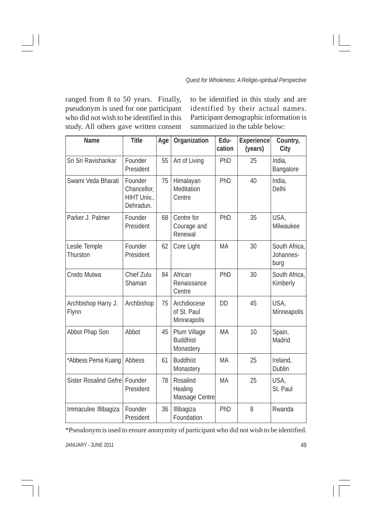ranged from 8 to 50 years. Finally, pseudonym is used for one participant who did not wish to be identified in this study. All others gave written consent to be identified in this study and are identified by their actual names. Participant demographic information is summarized in the table below:

| <b>Name</b>                  | <b>Title</b>                                       | Age | Organization                                 | Edu-<br>cation | <b>Experience</b><br>(years) | Country,<br>City                   |
|------------------------------|----------------------------------------------------|-----|----------------------------------------------|----------------|------------------------------|------------------------------------|
| Sri Sri Ravishankar          | Founder<br>President                               | 55  | Art of Living                                | PhD            | 25                           | India,<br>Bangalore                |
| Swami Veda Bharati           | Founder<br>Chancellor,<br>HIHT Univ.,<br>Dehradun. | 75  | Himalayan<br>Meditation<br>Centre            | PhD            | 40                           | India,<br>Delhi                    |
| Parker J. Palmer             | Founder<br>President                               | 68  | Centre for<br>Courage and<br>Renewal         | PhD            | 35                           | USA,<br>Milwaukee                  |
| Leslie Temple<br>Thurston    | Founder<br>President                               | 62  | Core Light                                   | <b>MA</b>      | 30                           | South Africa,<br>Johannes-<br>burg |
| Credo Mutwa                  | Chief Zulu<br>Shaman                               | 84  | African<br>Renaissance<br>Centre             | PhD            | 30                           | South Africa,<br>Kimberly          |
| Archbishop Harry J.<br>Flynn | Archbishop                                         | 75  | Archdiocese<br>of St. Paul<br>Minneapolis    | <b>DD</b>      | 45                           | USA,<br>Minneapolis                |
| Abbot Phap Son               | Abbot                                              | 45  | Plum Village<br><b>Buddhist</b><br>Monastery | <b>MA</b>      | 10                           | Spain,<br>Madrid                   |
| *Abbess Pema Kuang           | Abbess                                             | 61  | <b>Buddhist</b><br>Monastery                 | <b>MA</b>      | 25                           | Ireland,<br><b>Dublin</b>          |
| Sister Rosalind Gefre        | Founder<br>President                               | 78  | Rosalind<br>Healing<br>Massage Centre        | <b>MA</b>      | 25                           | USA,<br>St. Paul                   |
| Immaculee Illibagiza         | Founder<br>President                               | 36  | Illibagiza<br>Foundation                     | PhD            | 8                            | Rwanda                             |

\*Pseudonym is used to ensure anonymity of participant who did not wish to be identified.

JANUARY - JUNE 2011 49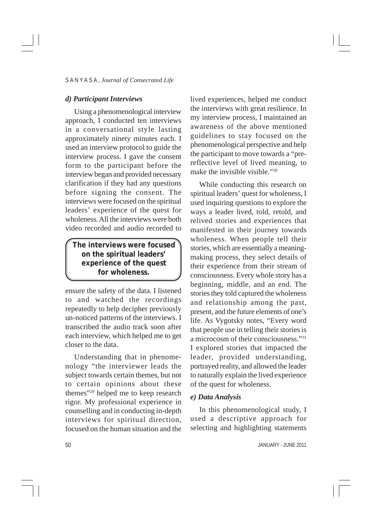#### *d) Participant Interviews*

Using a phenomenological interview approach, I conducted ten interviews in a conversational style lasting approximately ninety minutes each. I used an interview protocol to guide the interview process. I gave the consent form to the participant before the interview began and provided necessary clarification if they had any questions before signing the consent. The interviews were focused on the spiritual leaders' experience of the quest for wholeness. All the interviews were both video recorded and audio recorded to

**The interviews were focused on the spiritual leaders' experience of the quest for wholeness.**

ensure the safety of the data. I listened to and watched the recordings repeatedly to help decipher previously un-noticed patterns of the interviews. I transcribed the audio track soon after each interview, which helped me to get closer to the data.

Understanding that in phenomenology "the interviewer leads the subject towards certain themes, but not to certain opinions about these themes"29 helped me to keep research rigor. My professional experience in counselling and in conducting in-depth interviews for spiritual direction, focused on the human situation and the

lived experiences, helped me conduct the interviews with great resilience. In my interview process, I maintained an awareness of the above mentioned guidelines to stay focused on the phenomenological perspective and help the participant to move towards a "prereflective level of lived meaning, to make the invisible visible."<sup>30</sup>

While conducting this research on spiritual leaders' quest for wholeness, I used inquiring questions to explore the ways a leader lived, told, retold, and relived stories and experiences that manifested in their journey towards wholeness. When people tell their stories, which are essentially a meaningmaking process, they select details of their experience from their stream of consciousness. Every whole story has a beginning, middle, and an end. The stories they told captured the wholeness and relationship among the past, present, and the future elements of one's life. As Vygotsky notes, "Every word that people use in telling their stories is a microcosm of their consciousness."31 I explored stories that impacted the leader, provided understanding, portrayed reality, and allowed the leader to naturally explain the lived experience of the quest for wholeness.

# *e) Data Analysis*

In this phenomenological study, I used a descriptive approach for selecting and highlighting statements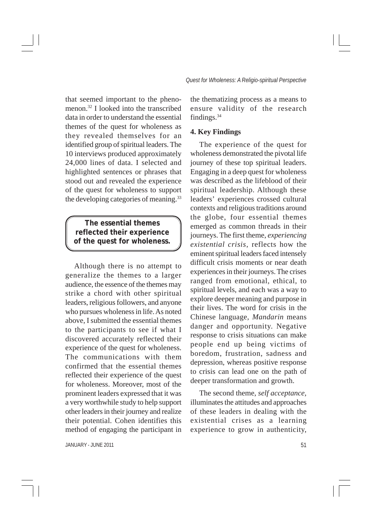that seemed important to the phenomenon.32 I looked into the transcribed data in order to understand the essential themes of the quest for wholeness as they revealed themselves for an identified group of spiritual leaders. The 10 interviews produced approximately 24,000 lines of data. I selected and highlighted sentences or phrases that stood out and revealed the experience of the quest for wholeness to support the developing categories of meaning.33

**The essential themes reflected their experience of the quest for wholeness.**

Although there is no attempt to generalize the themes to a larger audience, the essence of the themes may strike a chord with other spiritual leaders, religious followers, and anyone who pursues wholeness in life. As noted above, I submitted the essential themes to the participants to see if what I discovered accurately reflected their experience of the quest for wholeness. The communications with them confirmed that the essential themes reflected their experience of the quest for wholeness. Moreover, most of the prominent leaders expressed that it was a very worthwhile study to help support other leaders in their journey and realize their potential. Cohen identifies this method of engaging the participant in

JANUARY - JUNE 2011 51

the thematizing process as a means to ensure validity of the research findings.34

## **4. Key Findings**

The experience of the quest for wholeness demonstrated the pivotal life journey of these top spiritual leaders. Engaging in a deep quest for wholeness was described as the lifeblood of their spiritual leadership. Although these leaders' experiences crossed cultural contexts and religious traditions around the globe, four essential themes emerged as common threads in their journeys. The first theme, *experiencing existential crisis*, reflects how the eminent spiritual leaders faced intensely difficult crisis moments or near death experiences in their journeys. The crises ranged from emotional, ethical, to spiritual levels, and each was a way to explore deeper meaning and purpose in their lives. The word for crisis in the Chinese language, *Mandarin* means danger and opportunity. Negative response to crisis situations can make people end up being victims of boredom, frustration, sadness and depression, whereas positive response to crisis can lead one on the path of deeper transformation and growth.

The second theme, *self acceptance,* illuminates the attitudes and approaches of these leaders in dealing with the existential crises as a learning experience to grow in authenticity,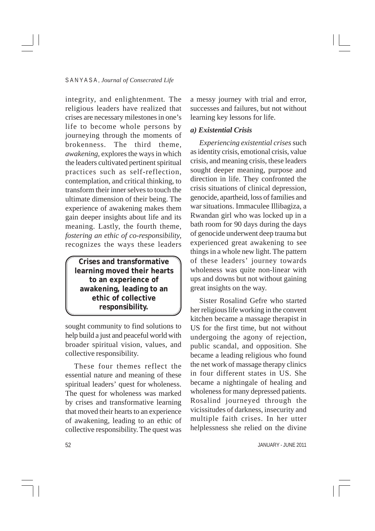integrity, and enlightenment*.* The religious leaders have realized that crises are necessary milestones in one's life to become whole persons by journeying through the moments of brokenness*.* The third theme*, awakening,* explores the ways in which the leaders cultivated pertinent spiritual practices such as self-reflection, contemplation, and critical thinking, to transform their inner selves to touch the ultimate dimension of their being. The experience of awakening makes them gain deeper insights about life and its meaning. Lastly, the fourth theme, *fostering an ethic of co-responsibility,* recognizes the ways these leaders

**Crises and transformative learning moved their hearts to an experience of awakening, leading to an ethic of collective responsibility.**

sought community to find solutions to help build a just and peaceful world with broader spiritual vision, values, and collective responsibility.

These four themes reflect the essential nature and meaning of these spiritual leaders' quest for wholeness. The quest for wholeness was marked by crises and transformative learning that moved their hearts to an experience of awakening, leading to an ethic of collective responsibility. The quest was

a messy journey with trial and error, successes and failures, but not without learning key lessons for life.

# *a) Existential Crisis*

*Experiencing existential crises* such as identity crisis, emotional crisis, value crisis, and meaning crisis, these leaders sought deeper meaning, purpose and direction in life. They confronted the crisis situations of clinical depression, genocide, apartheid, loss of families and war situations. Immaculee Illibagiza, a Rwandan girl who was locked up in a bath room for 90 days during the days of genocide underwent deep trauma but experienced great awakening to see things in a whole new light. The pattern of these leaders' journey towards wholeness was quite non-linear with ups and downs but not without gaining great insights on the way.

Sister Rosalind Gefre who started her religious life working in the convent kitchen became a massage therapist in US for the first time, but not without undergoing the agony of rejection, public scandal, and opposition. She became a leading religious who found the net work of massage therapy clinics in four different states in US. She became a nightingale of healing and wholeness for many depressed patients. Rosalind journeyed through the vicissitudes of darkness, insecurity and multiple faith crises. In her utter helplessness she relied on the divine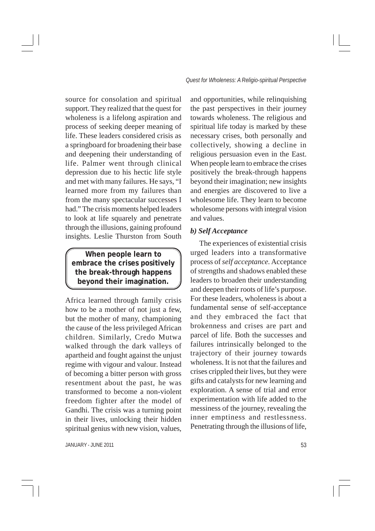source for consolation and spiritual support. They realized that the quest for wholeness is a lifelong aspiration and process of seeking deeper meaning of life. These leaders considered crisis as a springboard for broadening their base and deepening their understanding of life. Palmer went through clinical depression due to his hectic life style and met with many failures. He says, "I learned more from my failures than from the many spectacular successes I had." The crisis moments helped leaders to look at life squarely and penetrate through the illusions, gaining profound insights. Leslie Thurston from South

**When people learn to embrace the crises positively the break-through happens beyond their imagination.**

Africa learned through family crisis how to be a mother of not just a few, but the mother of many, championing the cause of the less privileged African children. Similarly, Credo Mutwa walked through the dark valleys of apartheid and fought against the unjust regime with vigour and valour. Instead of becoming a bitter person with gross resentment about the past, he was transformed to become a non-violent freedom fighter after the model of Gandhi. The crisis was a turning point in their lives, unlocking their hidden spiritual genius with new vision, values,

JANUARY - JUNE 2011 53

and opportunities, while relinquishing the past perspectives in their journey towards wholeness. The religious and spiritual life today is marked by these necessary crises, both personally and collectively, showing a decline in religious persuasion even in the East. When people learn to embrace the crises positively the break-through happens beyond their imagination; new insights and energies are discovered to live a wholesome life. They learn to become wholesome persons with integral vision and values.

# *b) Self Acceptance*

The experiences of existential crisis urged leaders into a transformative process of *self acceptance.* Acceptance of strengths and shadows enabled these leaders to broaden their understanding and deepen their roots of life's purpose. For these leaders, wholeness is about a fundamental sense of self-acceptance and they embraced the fact that brokenness and crises are part and parcel of life. Both the successes and failures intrinsically belonged to the trajectory of their journey towards wholeness. It is not that the failures and crises crippled their lives, but they were gifts and catalysts for new learning and exploration. A sense of trial and error experimentation with life added to the messiness of the journey, revealing the inner emptiness and restlessness. Penetrating through the illusions of life,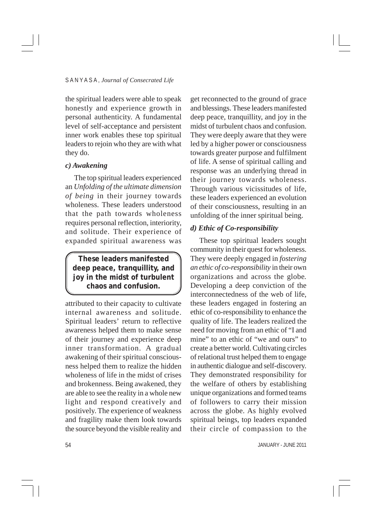the spiritual leaders were able to speak honestly and experience growth in personal authenticity. A fundamental level of self-acceptance and persistent inner work enables these top spiritual leaders to rejoin who they are with what they do.

#### *c) Awakening*

The top spiritual leaders experienced an *Unfolding of the ultimate dimension of being* in their journey towards wholeness. These leaders understood that the path towards wholeness requires personal reflection, interiority, and solitude. Their experience of expanded spiritual awareness was

**These leaders manifested deep peace, tranquillity, and joy in the midst of turbulent chaos and confusion.**

attributed to their capacity to cultivate internal awareness and solitude. Spiritual leaders' return to reflective awareness helped them to make sense of their journey and experience deep inner transformation. A gradual awakening of their spiritual consciousness helped them to realize the hidden wholeness of life in the midst of crises and brokenness. Being awakened, they are able to see the reality in a whole new light and respond creatively and positively. The experience of weakness and fragility make them look towards the source beyond the visible reality and

get reconnected to the ground of grace and blessings. These leaders manifested deep peace, tranquillity, and joy in the midst of turbulent chaos and confusion. They were deeply aware that they were led by a higher power or consciousness towards greater purpose and fulfilment of life. A sense of spiritual calling and response was an underlying thread in their journey towards wholeness. Through various vicissitudes of life, these leaders experienced an evolution of their consciousness, resulting in an unfolding of the inner spiritual being.

#### *d) Ethic of Co-responsibility*

These top spiritual leaders sought community in their quest for wholeness. They were deeply engaged in *fostering an ethic of co-responsibility* in their own organizations and across the globe*.* Developing a deep conviction of the interconnectedness of the web of life, these leaders engaged in fostering an ethic of co-responsibility to enhance the quality of life. The leaders realized the need for moving from an ethic of "I and mine" to an ethic of "we and ours" to create a better world. Cultivating circles of relational trust helped them to engage in authentic dialogue and self-discovery. They demonstrated responsibility for the welfare of others by establishing unique organizations and formed teams of followers to carry their mission across the globe. As highly evolved spiritual beings, top leaders expanded their circle of compassion to the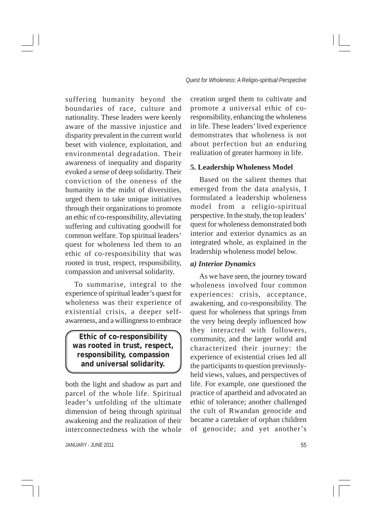suffering humanity beyond the boundaries of race, culture and nationality. These leaders were keenly aware of the massive injustice and disparity prevalent in the current world beset with violence, exploitation, and environmental degradation. Their awareness of inequality and disparity evoked a sense of deep solidarity. Their conviction of the oneness of the humanity in the midst of diversities, urged them to take unique initiatives through their organizations to promote an ethic of co-responsibility, alleviating suffering and cultivating goodwill for common welfare. Top spiritual leaders' quest for wholeness led them to an ethic of co-responsibility that was rooted in trust, respect, responsibility, compassion and universal solidarity.

To summarise, integral to the experience of spiritual leader's quest for wholeness was their experience of existential crisis, a deeper selfawareness, and a willingness to embrace

**Ethic of co-responsibility was rooted in trust, respect, responsibility, compassion and universal solidarity.**

both the light and shadow as part and parcel of the whole life. Spiritual leader's unfolding of the ultimate dimension of being through spiritual awakening and the realization of their interconnectedness with the whole

JANUARY - JUNE 2011 **55.** STEEP STEEP STEEP STEEP STEEP STEEP STEEP STEEP STEEP STEEP STEEP STEEP STEEP STEEP STEEP STEEP STEEP STEEP STEEP STEEP STEEP STEEP STEEP STEEP STEEP STEEP STEEP STEEP STEEP STEEP STEEP STEEP STEE

creation urged them to cultivate and promote a universal ethic of coresponsibility, enhancing the wholeness in life. These leaders' lived experience demonstrates that wholeness is not about perfection but an enduring realization of greater harmony in life.

# **5. Leadership Wholeness Model**

Based on the salient themes that emerged from the data analysis, I formulated a leadership wholeness model from a religio-spiritual perspective. In the study, the top leaders' quest for wholeness demonstrated both interior and exterior dynamics as an integrated whole, as explained in the leadership wholeness model below.

#### *a) Interior Dynamics*

As we have seen, the journey toward wholeness involved four common experiences: crisis, acceptance, awakening, and co-responsibility. The quest for wholeness that springs from the very being deeply influenced how they interacted with followers, community, and the larger world and characterized their journey: the experience of existential crises led all the participants to question previouslyheld views, values, and perspectives of life. For example, one questioned the practice of apartheid and advocated an ethic of tolerance; another challenged the cult of Rwandan genocide and became a caretaker of orphan children of genocide; and yet another's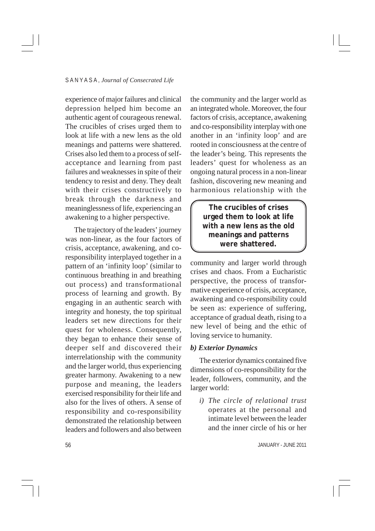experience of major failures and clinical depression helped him become an authentic agent of courageous renewal. The crucibles of crises urged them to look at life with a new lens as the old meanings and patterns were shattered. Crises also led them to a process of selfacceptance and learning from past failures and weaknesses in spite of their tendency to resist and deny. They dealt with their crises constructively to break through the darkness and meaninglessness of life, experiencing an awakening to a higher perspective.

The trajectory of the leaders' journey was non-linear, as the four factors of crisis, acceptance, awakening, and coresponsibility interplayed together in a pattern of an 'infinity loop' (similar to continuous breathing in and breathing out process) and transformational process of learning and growth. By engaging in an authentic search with integrity and honesty, the top spiritual leaders set new directions for their quest for wholeness. Consequently, they began to enhance their sense of deeper self and discovered their interrelationship with the community and the larger world, thus experiencing greater harmony. Awakening to a new purpose and meaning, the leaders exercised responsibility for their life and also for the lives of others. A sense of responsibility and co-responsibility demonstrated the relationship between leaders and followers and also between

the community and the larger world as an integrated whole. Moreover, the four factors of crisis, acceptance, awakening and co-responsibility interplay with one another in an 'infinity loop' and are rooted in consciousness at the centre of the leader's being. This represents the leaders' quest for wholeness as an ongoing natural process in a non-linear fashion, discovering new meaning and harmonious relationship with the

> **The crucibles of crises urged them to look at life with a new lens as the old meanings and patterns were shattered.**

community and larger world through crises and chaos. From a Eucharistic perspective, the process of transformative experience of crisis, acceptance, awakening and co-responsibility could be seen as: experience of suffering, acceptance of gradual death, rising to a new level of being and the ethic of loving service to humanity.

#### *b) Exterior Dynamics*

The exterior dynamics contained five dimensions of co-responsibility for the leader, followers, community, and the larger world:

*i) The circle of relational trust* operates at the personal and intimate level between the leader and the inner circle of his or her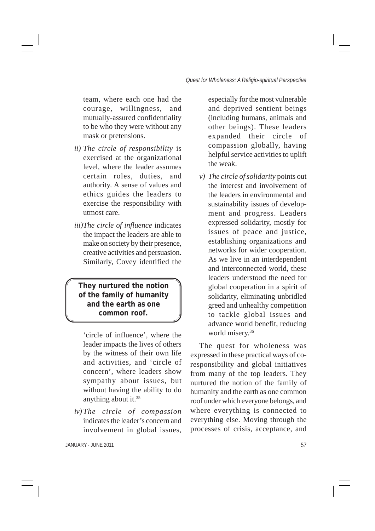team, where each one had the courage, willingness, and mutually-assured confidentiality to be who they were without any mask or pretensions.

- *ii) The circle of responsibility* is exercised at the organizational level, where the leader assumes certain roles, duties, and authority. A sense of values and ethics guides the leaders to exercise the responsibility with utmost care.
- *iii)The circle of influence* indicates the impact the leaders are able to make on society by their presence, creative activities and persuasion. Similarly, Covey identified the

# **They nurtured the notion of the family of humanity and the earth as one common roof.**

'circle of influence', where the leader impacts the lives of others by the witness of their own life and activities, and 'circle of concern', where leaders show sympathy about issues, but without having the ability to do anything about it.35

*iv) The circle of compassion* indicates the leader's concern and involvement in global issues,

JANUARY - JUNE 2011 57

especially for the most vulnerable and deprived sentient beings (including humans, animals and other beings). These leaders expanded their circle of compassion globally, having helpful service activities to uplift the weak.

*v) The circle of solidarity* points out the interest and involvement of the leaders in environmental and sustainability issues of development and progress. Leaders expressed solidarity, mostly for issues of peace and justice, establishing organizations and networks for wider cooperation. As we live in an interdependent and interconnected world, these leaders understood the need for global cooperation in a spirit of solidarity, eliminating unbridled greed and unhealthy competition to tackle global issues and advance world benefit, reducing world misery.<sup>36</sup>

The quest for wholeness was expressed in these practical ways of coresponsibility and global initiatives from many of the top leaders. They nurtured the notion of the family of humanity and the earth as one common roof under which everyone belongs, and where everything is connected to everything else. Moving through the processes of crisis, acceptance, and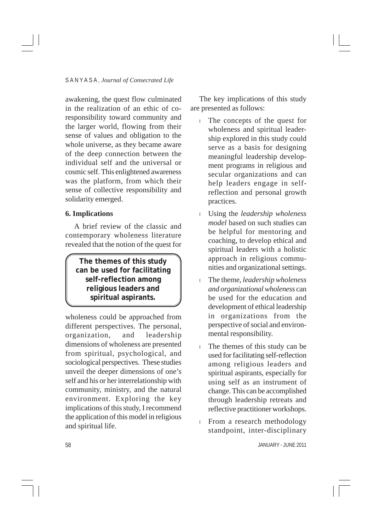awakening, the quest flow culminated in the realization of an ethic of coresponsibility toward community and the larger world, flowing from their sense of values and obligation to the whole universe, as they became aware of the deep connection between the individual self and the universal or cosmic self. This enlightened awareness was the platform, from which their sense of collective responsibility and solidarity emerged.

# **6. Implications**

A brief review of the classic and contemporary wholeness literature revealed that the notion of the quest for

**The themes of this study can be used for facilitating self-reflection among religious leaders and spiritual aspirants.**

wholeness could be approached from different perspectives. The personal, organization, and leadership dimensions of wholeness are presented from spiritual, psychological, and sociological perspectives. These studies unveil the deeper dimensions of one's self and his or her interrelationship with community, ministry, and the natural environment. Exploring the key implications of this study, I recommend the application of this model in religious and spiritual life.

The key implications of this study are presented as follows:

- The concepts of the quest for  $\mathbf{L}$ wholeness and spiritual leadership explored in this study could serve as a basis for designing meaningful leadership development programs in religious and secular organizations and can help leaders engage in selfreflection and personal growth practices.
- Using the *leadership wholeness*  $\mathbf{L}$ *model* based on such studies can be helpful for mentoring and coaching, to develop ethical and spiritual leaders with a holistic approach in religious communities and organizational settings.
- The theme, *leadership wholeness*  $\mathbf{r}$ *and organizational wholeness* can be used for the education and development of ethical leadership in organizations from the perspective of social and environmental responsibility.
- The themes of this study can be  $\mathbf{L}$ used for facilitating self-reflection among religious leaders and spiritual aspirants, especially for using self as an instrument of change. This can be accomplished through leadership retreats and reflective practitioner workshops.
- $\mathbf{L}$ From a research methodology standpoint, inter-disciplinary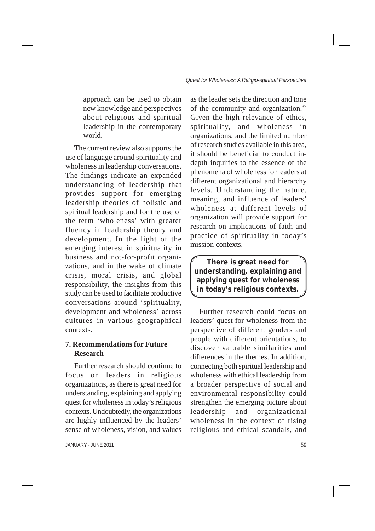approach can be used to obtain new knowledge and perspectives about religious and spiritual leadership in the contemporary world.

The current review also supports the use of language around spirituality and wholeness in leadership conversations. The findings indicate an expanded understanding of leadership that provides support for emerging leadership theories of holistic and spiritual leadership and for the use of the term 'wholeness' with greater fluency in leadership theory and development. In the light of the emerging interest in spirituality in business and not-for-profit organizations, and in the wake of climate crisis, moral crisis, and global responsibility, the insights from this study can be used to facilitate productive conversations around 'spirituality, development and wholeness' across cultures in various geographical contexts.

# **7. Recommendations for Future Research**

Further research should continue to focus on leaders in religious organizations, as there is great need for understanding, explaining and applying quest for wholeness in today's religious contexts. Undoubtedly, the organizations are highly influenced by the leaders' sense of wholeness, vision, and values

JANUARY - JUNE 2011 59

as the leader sets the direction and tone of the community and organization.37 Given the high relevance of ethics, spirituality, and wholeness in organizations, and the limited number of research studies available in this area, it should be beneficial to conduct indepth inquiries to the essence of the phenomena of wholeness for leaders at different organizational and hierarchy levels. Understanding the nature, meaning, and influence of leaders' wholeness at different levels of organization will provide support for research on implications of faith and practice of spirituality in today's mission contexts.

**There is great need for understanding, explaining and applying quest for wholeness in today's religious contexts.**

Further research could focus on leaders' quest for wholeness from the perspective of different genders and people with different orientations, to discover valuable similarities and differences in the themes. In addition, connecting both spiritual leadership and wholeness with ethical leadership from a broader perspective of social and environmental responsibility could strengthen the emerging picture about leadership and organizational wholeness in the context of rising religious and ethical scandals, and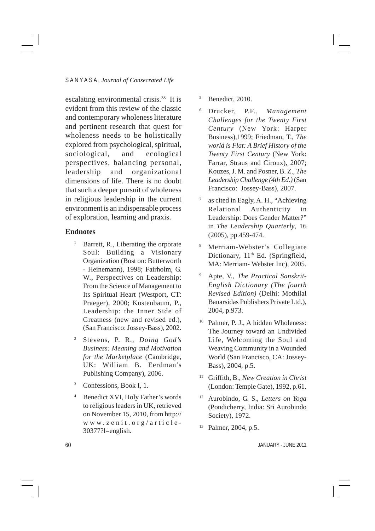escalating environmental crisis.<sup>38</sup> It is evident from this review of the classic and contemporary wholeness literature and pertinent research that quest for wholeness needs to be holistically explored from psychological, spiritual, sociological, and ecological perspectives, balancing personal, leadership and organizational dimensions of life. There is no doubt that such a deeper pursuit of wholeness in religious leadership in the current environment is an indispensable process of exploration, learning and praxis.

# **Endnotes**

- Barrett, R., Liberating the orporate Soul: Building a Visionary Organization (Bost on: Butterworth - Heinemann), 1998; Fairholm, G. W., Perspectives on Leadership: From the Science of Management to Its Spiritual Heart (Westport, CT: Praeger), 2000; Kostenbaum, P., Leadership: the Inner Side of Greatness (new and revised ed.), (San Francisco: Jossey-Bass), 2002.
- <sup>2</sup> Stevens, P. R., *Doing God's Business: Meaning and Motivation for the Marketplace* (Cambridge, UK: William B. Eerdman's Publishing Company), 2006.
- <sup>3</sup> Confessions, Book I, 1.
- Benedict XVI, Holy Father's words to religious leaders in UK, retrieved on November 15, 2010, from http:// www.zenit.org/article-30377?l=english.
- Benedict, 2010.
- <sup>6</sup> Drucker, P.F., *Management Challenges for the Twenty First Century* (New York: Harper Business),1999; Friedman, T., *The world is Flat: A Brief History of the Twenty First Century* (New York: Farrar, Straus and Ciroux), 2007; Kouzes, J. M. and Posner, B. Z., *The Leadership Challenge (4th Ed.)* (San Francisco: Jossey-Bass), 2007.
- as cited in Eagly, A. H., "Achieving Relational Authenticity in Leadership: Does Gender Matter?" in *The Leadership Quarterly*, 16 (2005), pp.459-474.
- Merriam-Webster's Collegiate Dictionary, 11<sup>th</sup> Ed. (Springfield, MA: Merriam- Webster Inc), 2005.
- <sup>9</sup> Apte, V., *The Practical Sanskrit-English Dictionary (The fourth Revised Edition)* (Delhi: Mothilal Banarsidas Publishers Private Ltd.), 2004, p.973.
- <sup>10</sup> Palmer, P. J., A hidden Wholeness: The Journey toward an Undivided Life, Welcoming the Soul and Weaving Community in a Wounded World (San Francisco, CA: Jossey-Bass), 2004, p.5.
- <sup>11</sup> Griffith, B., *New Creation in Christ* (London: Temple Gate), 1992, p.61.
- <sup>12</sup> Aurobindo, G. S., *Letters on Yoga* (Pondicherry, India: Sri Aurobindo Society), 1972.
- <sup>13</sup> Palmer, 2004, p.5.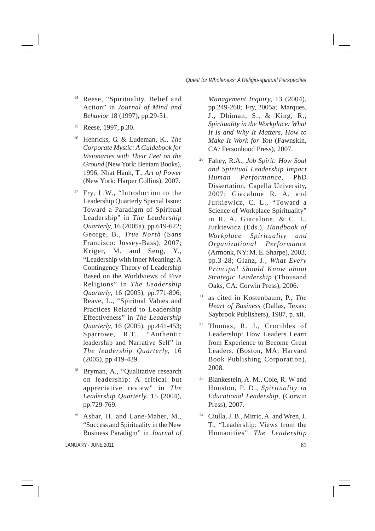- <sup>14</sup> Reese, "Spirituality, Belief and Action" in *Journal of Mind and Behavior* 18 (1997), pp.29-51.
- <sup>15</sup> Reese, 1997, p.30.
- <sup>16</sup> Henricks, G. & Ludeman, K., *The Corporate Mystic: A Guidebook for Visionaries with Their Feet on the Ground* (New York: Bentam Books), 1996; Nhat Hanh, T., *Art of Power* (New York: Harper Collins), 2007.
- <sup>17</sup> Fry, L.W., "Introduction to the Leadership Quarterly Special Issue: Toward a Paradigm of Spiritual Leadership" in *The Leadership Quarterly,* 16 (2005a), pp.619-622; George, B., *True North* (Sans Francisco: Jossey-Bass), 2007; Kriger, M. and Seng, Y., "Leadership with Inner Meaning: A Contingency Theory of Leadership Based on the Worldviews of Five Religions" in *The Leadership Quarterly*, 16 (2005), pp.771-806; Reave, L., "Spiritual Values and Practices Related to Leadership Effectiveness" in *The Leadership Quarterly,* 16 (2005), pp.441-453; Sparrowe, R.T., "Authentic leadership and Narrative Self" in *The leadership Quarterly,* 16 (2005), pp.419-439.
- <sup>18</sup> Bryman, A., "Qualitative research on leadership: A critical but appreciative review" in *The Leadership Quarterly,* 15 (2004), pp.729-769.
- <sup>19</sup> Ashar, H. and Lane-Maher, M., "Success and Spirituality in the New Business Paradigm" in *Journal of*

JANUARY - JUNE 2011 61

*Management Inquiry,* 13 (2004), pp.249-260; Fry, 2005a; Marques, J., Dhiman, S., & King, R., *Spirituality in the Workplace: What It Is and Why It Matters, How to Make It Work for You* (Fawnskin*,* CA*:* Personhood Press), 2007.

- <sup>20</sup> Fahey, R.A., *Job Spirit: How Soul and Spiritual Leadership Impact Human Performance*, PhD Dissertation, Capella University, 2007; Giacalone R. A. and Jurkiewicz, C. L., "Toward a Science of Workplace Spirituality" in R. A. Giacalone, & C. L. Jurkiewicz (Eds.), *Handbook of Workplace Spirituality and Organizational Performance* (Armonk, NY: M. E. Sharpe), 2003, pp.3-28; Glanz, J., *What Every Principal Should Know about Strategic Leadership* (Thousand Oaks, CA: Corwin Press), 2006.
- <sup>21</sup> as cited in Kostenbaum, P., *The Heart of Business* (Dallas, Texas: Saybrook Publishers), 1987, p. xii.
- <sup>22</sup> Thomas, R. J., Crucibles of Leadership: How Leaders Learn from Experience to Become Great Leaders, (Boston, MA: Harvard Book Publishing Corporation), 2008.
- <sup>23</sup> Blankestein, A. M., Cole, R. W and Houston, P. D., *Spirituality in Educational Leadership,* (Corwin Press), 2007.
- <sup>24</sup> Ciulla, J. B., Mitric, A. and Wren, J. T., "Leadership: Views from the Humanities" *The Leadership*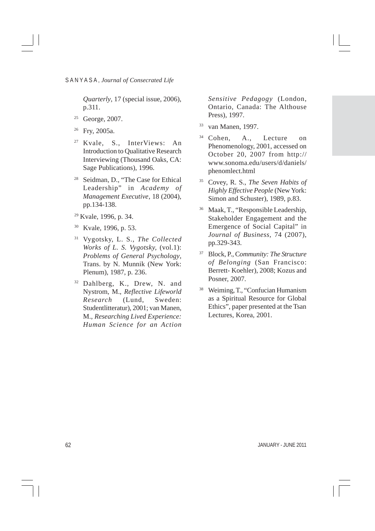*Quarterly*, 17 (special issue, 2006), p.311.

- <sup>25</sup> George, 2007.
- <sup>26</sup> Fry, 2005a.
- <sup>27</sup> Kvale, S., InterViews: An Introduction to Qualitative Research Interviewing (Thousand Oaks, CA: Sage Publications), 1996.
- <sup>28</sup> Seidman, D., "The Case for Ethical Leadership" in *Academy of Management Executive*, 18 (2004), pp.134-138.
- 29 Kvale, 1996, p. 34.
- <sup>30</sup> Kvale, 1996, p. 53.
- <sup>31</sup> Vygotsky, L. S., *The Collected Works of L. S. Vygotsky,* (vol.1): *Problems of General Psychology*, Trans. by N. Munnik (New York: Plenum), 1987, p. 236.
- <sup>32</sup> Dahlberg, K., Drew, N. and Nystrom, M., *Reflective Lifeworld Research* (Lund, Sweden: Studentlitteratur), 2001; van Manen, M., *Researching Lived Experience: Human Science for an Action*

*Sensitive Pedagogy* (London, Ontario, Canada: The Althouse Press), 1997.

- <sup>33</sup> van Manen, 1997.
- <sup>34</sup> Cohen, A., Lecture on Phenomenology, 2001, accessed on October 20, 2007 from http:// www.sonoma.edu/users/d/daniels/ phenomlect.html
- <sup>35</sup> Covey, R. S., *The Seven Habits of Highly Effective People* (New York: Simon and Schuster), 1989, p.83.
- <sup>36</sup> Maak, T., "Responsible Leadership, Stakeholder Engagement and the Emergence of Social Capital" in *Journal of Business,* 74 (2007), pp.329-343.
- <sup>37</sup> Block, P., C*ommunity: The Structure of Belonging* (San Francisco: Berrett- Koehler), 2008; Kozus and Posner, 2007.
- <sup>38</sup> Weiming, T., "Confucian Humanism as a Spiritual Resource for Global Ethics", paper presented at the Tsan Lectures, Korea, 2001.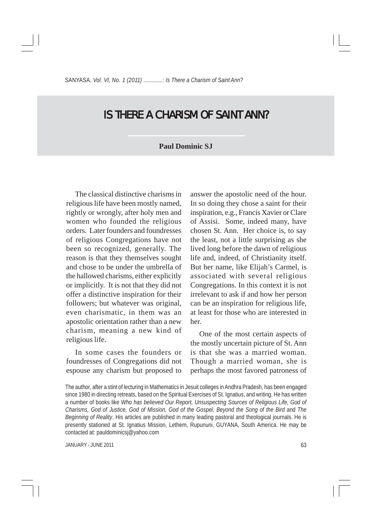*Is There a Charism of Saint Ann?* SANYASA, *Vol. VI, No. 1 (2011) .............: Is There a Charism of Saint Ann?*

# IS THERE A CHARISM OF SAINT ANN?

# **Paul Dominic SJ**

The classical distinctive charisms in religious life have been mostly named, rightly or wrongly, after holy men and women who founded the religious orders. Later founders and foundresses of religious Congregations have not been so recognized, generally. The reason is that they themselves sought and chose to be under the umbrella of the hallowed charisms, either explicitly or implicitly. It is not that they did not offer a distinctive inspiration for their followers; but whatever was original, even charismatic, in them was an apostolic orientation rather than a new charism, meaning a new kind of religious life.

In some cases the founders or foundresses of Congregations did not espouse any charism but proposed to

answer the apostolic need of the hour. In so doing they chose a saint for their inspiration, e.g., Francis Xavier or Clare of Assisi. Some, indeed many, have chosen St. Ann. Her choice is, to say the least, not a little surprising as she lived long before the dawn of religious life and, indeed, of Christianity itself. But her name, like Elijah's Carmel, is associated with several religious Congregations. In this context it is not irrelevant to ask if and how her person can be an inspiration for religious life, at least for those who are interested in her.

One of the most certain aspects of the mostly uncertain picture of St. Ann is that she was a married woman. Though a married woman, she is perhaps the most favored patroness of

The author, after a stint of lecturing in Mathematics in Jesuit colleges in Andhra Pradesh, has been engaged since 1980 in directing retreats, based on the Spiritual Exercises of St. Ignatius, and writing. He has written a number of books like *Who has believed Our Report, Unsuspecting Sources of Religious Life, God of Charisms, God of Justice, God of Mission, God of the Gospel, Beyond the Song of the Bird* and *The Beginning of Reality*. His articles are published in many leading pastoral and theological journals. He is presently stationed at St. Ignatius Mission, Lethem, Rupununi, GUYANA, South America. He may be contacted at: pauldominicsj@yahoo.com

JANUARY - JUNE 2011 63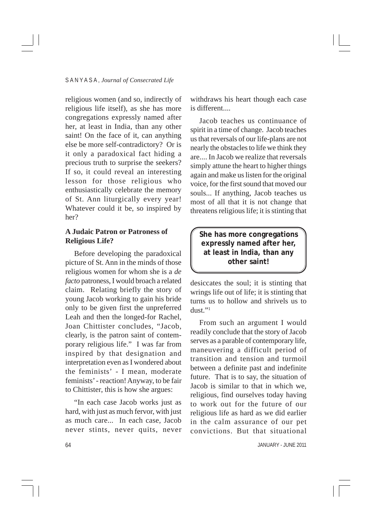religious women (and so, indirectly of religious life itself), as she has more congregations expressly named after her, at least in India, than any other saint! On the face of it, can anything else be more self-contradictory? Or is it only a paradoxical fact hiding a precious truth to surprise the seekers? If so, it could reveal an interesting lesson for those religious who enthusiastically celebrate the memory of St. Ann liturgically every year! Whatever could it be, so inspired by her?

# **A Judaic Patron or Patroness of Religious Life?**

Before developing the paradoxical picture of St. Ann in the minds of those religious women for whom she is a *de facto* patroness, I would broach a related claim. Relating briefly the story of young Jacob working to gain his bride only to be given first the unpreferred Leah and then the longed-for Rachel, Joan Chittister concludes, "Jacob, clearly, is the patron saint of contemporary religious life." I was far from inspired by that designation and interpretation even as I wondered about the feminists' - I mean, moderate feminists' - reaction! Anyway, to be fair to Chittister, this is how she argues:

"In each case Jacob works just as hard, with just as much fervor, with just as much care... In each case, Jacob never stints, never quits, never

withdraws his heart though each case is different....

Jacob teaches us continuance of spirit in a time of change. Jacob teaches us that reversals of our life-plans are not nearly the obstacles to life we think they are.... In Jacob we realize that reversals simply attune the heart to higher things again and make us listen for the original voice, for the first sound that moved our souls... If anything, Jacob teaches us most of all that it is not change that threatens religious life; it is stinting that

# **She has more congregations expressly named after her, at least in India, than any other saint!**

desiccates the soul; it is stinting that wrings life out of life; it is stinting that turns us to hollow and shrivels us to dust $"$ <sup>1</sup>

From such an argument I would readily conclude that the story of Jacob serves as a parable of contemporary life, maneuvering a difficult period of transition and tension and turmoil between a definite past and indefinite future. That is to say, the situation of Jacob is similar to that in which we, religious, find ourselves today having to work out for the future of our religious life as hard as we did earlier in the calm assurance of our pet convictions. But that situational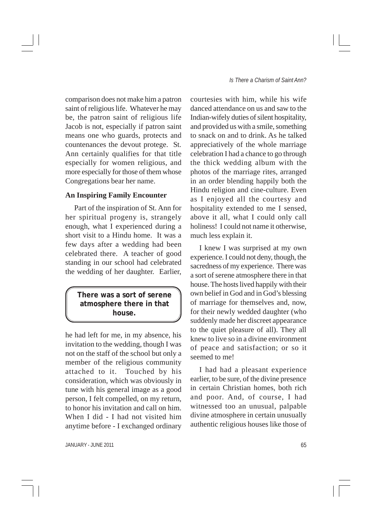comparison does not make him a patron saint of religious life. Whatever he may be, the patron saint of religious life Jacob is not, especially if patron saint means one who guards, protects and countenances the devout protege. St. Ann certainly qualifies for that title especially for women religious, and more especially for those of them whose Congregations bear her name.

#### **An Inspiring Family Encounter**

Part of the inspiration of St. Ann for her spiritual progeny is, strangely enough, what I experienced during a short visit to a Hindu home. It was a few days after a wedding had been celebrated there. A teacher of good standing in our school had celebrated the wedding of her daughter. Earlier,

**There was a sort of serene atmosphere there in that house.**

he had left for me, in my absence, his invitation to the wedding, though I was not on the staff of the school but only a member of the religious community attached to it. Touched by his consideration, which was obviously in tune with his general image as a good person, I felt compelled, on my return, to honor his invitation and call on him. When I did - I had not visited him anytime before - I exchanged ordinary

JANUARY - JUNE 2011 65

courtesies with him, while his wife danced attendance on us and saw to the Indian-wifely duties of silent hospitality, and provided us with a smile, something to snack on and to drink. As he talked appreciatively of the whole marriage celebration I had a chance to go through the thick wedding album with the photos of the marriage rites, arranged in an order blending happily both the Hindu religion and cine-culture. Even as I enjoyed all the courtesy and hospitality extended to me I sensed, above it all, what I could only call holiness! I could not name it otherwise, much less explain it.

I knew I was surprised at my own experience. I could not deny, though, the sacredness of my experience. There was a sort of serene atmosphere there in that house. The hosts lived happily with their own belief in God and in God's blessing of marriage for themselves and, now, for their newly wedded daughter (who suddenly made her discreet appearance to the quiet pleasure of all). They all knew to live so in a divine environment of peace and satisfaction; or so it seemed to me!

I had had a pleasant experience earlier, to be sure, of the divine presence in certain Christian homes, both rich and poor. And, of course, I had witnessed too an unusual, palpable divine atmosphere in certain unusually authentic religious houses like those of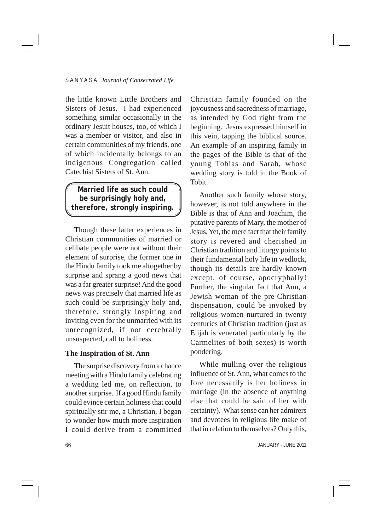the little known Little Brothers and Sisters of Jesus. I had experienced something similar occasionally in the ordinary Jesuit houses, too, of which I was a member or visitor, and also in certain communities of my friends, one of which incidentally belongs to an indigenous Congregation called Catechist Sisters of St. Ann.

**Married life as such could be surprisingly holy and, therefore, strongly inspiring.**

Though these latter experiences in Christian communities of married or celibate people were not without their element of surprise, the former one in the Hindu family took me altogether by surprise and sprang a good news that was a far greater surprise! And the good news was precisely that married life as such could be surprisingly holy and, therefore, strongly inspiring and inviting even for the unmarried with its unrecognized, if not cerebrally unsuspected, call to holiness.

#### **The Inspiration of St. Ann**

The surprise discovery from a chance meeting with a Hindu family celebrating a wedding led me, on reflection, to another surprise. If a good Hindu family could evince certain holiness that could spiritually stir me, a Christian, I began to wonder how much more inspiration I could derive from a committed

Christian family founded on the joyousness and sacredness of marriage, as intended by God right from the beginning. Jesus expressed himself in this vein, tapping the biblical source. An example of an inspiring family in the pages of the Bible is that of the young Tobias and Sarah, whose wedding story is told in the Book of Tobit.

Another such family whose story, however, is not told anywhere in the Bible is that of Ann and Joachim, the putative parents of Mary, the mother of Jesus. Yet, the mere fact that their family story is revered and cherished in Christian tradition and liturgy points to their fundamental holy life in wedlock, though its details are hardly known except, of course, apocryphally! Further, the singular fact that Ann, a Jewish woman of the pre-Christian dispensation, could be invoked by religious women nurtured in twenty centuries of Christian tradition (just as Elijah is venerated particularly by the Carmelites of both sexes) is worth pondering.

While mulling over the religious influence of St. Ann, what comes to the fore necessarily is her holiness in marriage (in the absence of anything else that could be said of her with certainty). What sense can her admirers and devotees in religious life make of that in relation to themselves? Only this,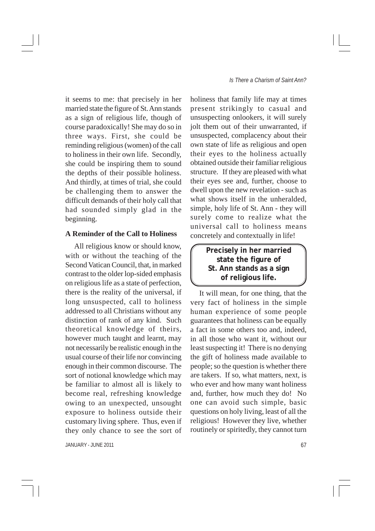it seems to me: that precisely in her married state the figure of St. Ann stands as a sign of religious life, though of course paradoxically! She may do so in three ways. First, she could be reminding religious (women) of the call to holiness in their own life. Secondly, she could be inspiring them to sound the depths of their possible holiness. And thirdly, at times of trial, she could be challenging them to answer the difficult demands of their holy call that had sounded simply glad in the beginning.

## **A Reminder of the Call to Holiness**

All religious know or should know, with or without the teaching of the Second Vatican Council, that, in marked contrast to the older lop-sided emphasis on religious life as a state of perfection, there is the reality of the universal, if long unsuspected, call to holiness addressed to all Christians without any distinction of rank of any kind. Such theoretical knowledge of theirs, however much taught and learnt, may not necessarily be realistic enough in the usual course of their life nor convincing enough in their common discourse. The sort of notional knowledge which may be familiar to almost all is likely to become real, refreshing knowledge owing to an unexpected, unsought exposure to holiness outside their customary living sphere. Thus, even if they only chance to see the sort of

JANUARY - JUNE 2011 67

holiness that family life may at times present strikingly to casual and unsuspecting onlookers, it will surely jolt them out of their unwarranted, if unsuspected, complacency about their own state of life as religious and open their eyes to the holiness actually obtained outside their familiar religious structure. If they are pleased with what their eyes see and, further, choose to dwell upon the new revelation - such as what shows itself in the unheralded. simple, holy life of St. Ann - they will surely come to realize what the universal call to holiness means concretely and contextually in life!

# **Precisely in her married state the figure of St. Ann stands as a sign of religious life.**

It will mean, for one thing, that the very fact of holiness in the simple human experience of some people guarantees that holiness can be equally a fact in some others too and, indeed, in all those who want it, without our least suspecting it! There is no denying the gift of holiness made available to people; so the question is whether there are takers. If so, what matters, next, is who ever and how many want holiness and, further, how much they do! No one can avoid such simple, basic questions on holy living, least of all the religious! However they live, whether routinely or spiritedly, they cannot turn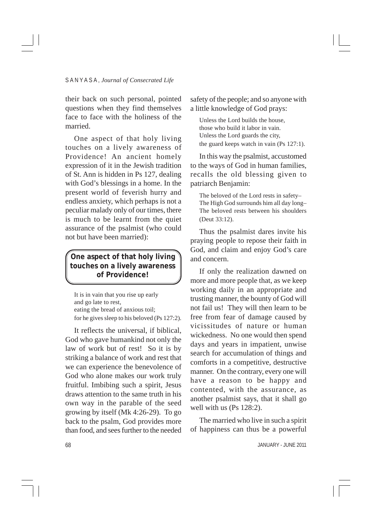their back on such personal, pointed questions when they find themselves face to face with the holiness of the married.

One aspect of that holy living touches on a lively awareness of Providence! An ancient homely expression of it in the Jewish tradition of St. Ann is hidden in Ps 127, dealing with God's blessings in a home. In the present world of feverish hurry and endless anxiety, which perhaps is not a peculiar malady only of our times, there is much to be learnt from the quiet assurance of the psalmist (who could not but have been married):

**One aspect of that holy living touches on a lively awareness of Providence!**

It is in vain that you rise up early and go late to rest, eating the bread of anxious toil; for he gives sleep to his beloved (Ps 127:2).

It reflects the universal, if biblical, God who gave humankind not only the law of work but of rest! So it is by striking a balance of work and rest that we can experience the benevolence of God who alone makes our work truly fruitful. Imbibing such a spirit, Jesus draws attention to the same truth in his own way in the parable of the seed growing by itself (Mk 4:26-29). To go back to the psalm, God provides more than food, and sees further to the needed

safety of the people; and so anyone with a little knowledge of God prays:

Unless the Lord builds the house, those who build it labor in vain. Unless the Lord guards the city, the guard keeps watch in vain (Ps 127:1).

In this way the psalmist, accustomed to the ways of God in human families, recalls the old blessing given to patriarch Benjamin:

The beloved of the Lord rests in safety– The High God surrounds him all day long– The beloved rests between his shoulders (Deut 33:12).

Thus the psalmist dares invite his praying people to repose their faith in God, and claim and enjoy God's care and concern.

If only the realization dawned on more and more people that, as we keep working daily in an appropriate and trusting manner, the bounty of God will not fail us! They will then learn to be free from fear of damage caused by vicissitudes of nature or human wickedness. No one would then spend days and years in impatient, unwise search for accumulation of things and comforts in a competitive, destructive manner. On the contrary, every one will have a reason to be happy and contented, with the assurance, as another psalmist says, that it shall go well with us (Ps 128:2).

The married who live in such a spirit of happiness can thus be a powerful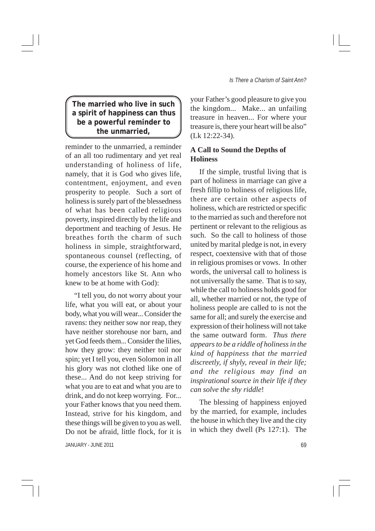# **The married who live in such a spirit of happiness can thus be a powerful reminder to the unmarried,**

reminder to the unmarried, a reminder of an all too rudimentary and yet real understanding of holiness of life, namely, that it is God who gives life, contentment, enjoyment, and even prosperity to people. Such a sort of holiness is surely part of the blessedness of what has been called religious poverty, inspired directly by the life and deportment and teaching of Jesus. He breathes forth the charm of such holiness in simple, straightforward, spontaneous counsel (reflecting, of course, the experience of his home and homely ancestors like St. Ann who knew to be at home with God):

"I tell you, do not worry about your life, what you will eat, or about your body, what you will wear... Consider the ravens: they neither sow nor reap, they have neither storehouse nor barn, and yet God feeds them... Consider the lilies, how they grow: they neither toil nor spin; yet I tell you, even Solomon in all his glory was not clothed like one of these... And do not keep striving for what you are to eat and what you are to drink, and do not keep worrying. For... your Father knows that you need them. Instead, strive for his kingdom, and these things will be given to you as well. Do not be afraid, little flock, for it is

JANUARY - JUNE 2011 69

your Father's good pleasure to give you the kingdom... Make... an unfailing treasure in heaven... For where your treasure is, there your heart will be also" (Lk 12:22-34).

# **A Call to Sound the Depths of Holiness**

If the simple, trustful living that is part of holiness in marriage can give a fresh fillip to holiness of religious life, there are certain other aspects of holiness, which are restricted or specific to the married as such and therefore not pertinent or relevant to the religious as such. So the call to holiness of those united by marital pledge is not, in every respect, coextensive with that of those in religious promises or vows. In other words, the universal call to holiness is not universally the same. That is to say, while the call to holiness holds good for all, whether married or not, the type of holiness people are called to is not the same for all; and surely the exercise and expression of their holiness will not take the same outward form. *Thus there appears to be a riddle of holiness in the kind of happiness that the married discreetly, if shyly, reveal in their life; and the religious may find an inspirational source in their life if they can solve the shy riddle*!

The blessing of happiness enjoyed by the married, for example, includes the house in which they live and the city in which they dwell (Ps 127:1). The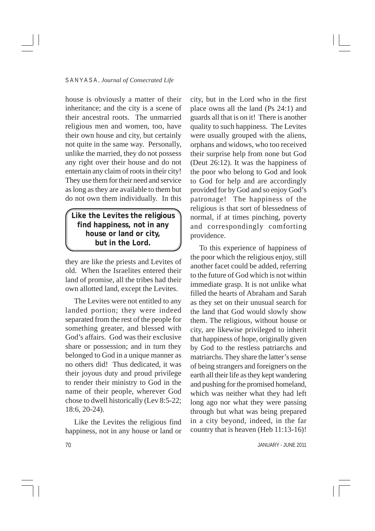house is obviously a matter of their inheritance; and the city is a scene of their ancestral roots. The unmarried religious men and women, too, have their own house and city, but certainly not quite in the same way. Personally, unlike the married, they do not possess any right over their house and do not entertain any claim of roots in their city! They use them for their need and service as long as they are available to them but do not own them individually. In this

**Like the Levites the religious find happiness, not in any house or land or city, but in the Lord.**

they are like the priests and Levites of old. When the Israelites entered their land of promise, all the tribes had their own allotted land, except the Levites.

The Levites were not entitled to any landed portion; they were indeed separated from the rest of the people for something greater, and blessed with God's affairs. God was their exclusive share or possession; and in turn they belonged to God in a unique manner as no others did! Thus dedicated, it was their joyous duty and proud privilege to render their ministry to God in the name of their people, wherever God chose to dwell historically (Lev 8:5-22; 18:6, 20-24).

Like the Levites the religious find happiness, not in any house or land or city, but in the Lord who in the first place owns all the land (Ps 24:1) and guards all that is on it! There is another quality to such happiness. The Levites were usually grouped with the aliens, orphans and widows, who too received their surprise help from none but God (Deut 26:12). It was the happiness of the poor who belong to God and look to God for help and are accordingly provided for by God and so enjoy God's patronage! The happiness of the religious is that sort of blessedness of normal, if at times pinching, poverty and correspondingly comforting providence.

To this experience of happiness of the poor which the religious enjoy, still another facet could be added, referring to the future of God which is not within immediate grasp. It is not unlike what filled the hearts of Abraham and Sarah as they set on their unusual search for the land that God would slowly show them. The religious, without house or city, are likewise privileged to inherit that happiness of hope, originally given by God to the restless patriarchs and matriarchs. They share the latter's sense of being strangers and foreigners on the earth all their life as they kept wandering and pushing for the promised homeland, which was neither what they had left long ago nor what they were passing through but what was being prepared in a city beyond, indeed, in the far country that is heaven (Heb 11:13-16)!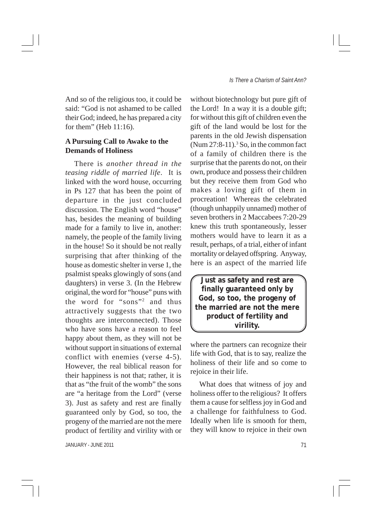And so of the religious too, it could be said: "God is not ashamed to be called their God; indeed, he has prepared a city for them" (Heb 11:16).

# **A Pursuing Call to Awake to the Demands of Holiness**

There is *another thread in the teasing riddle of married life*. It is linked with the word house, occurring in Ps 127 that has been the point of departure in the just concluded discussion. The English word "house" has, besides the meaning of building made for a family to live in, another: namely, the people of the family living in the house! So it should be not really surprising that after thinking of the house as domestic shelter in verse 1, the psalmist speaks glowingly of sons (and daughters) in verse 3. (In the Hebrew original, the word for "house" puns with the word for "sons"2 and thus attractively suggests that the two thoughts are interconnected). Those who have sons have a reason to feel happy about them, as they will not be without support in situations of external conflict with enemies (verse 4-5). However, the real biblical reason for their happiness is not that; rather, it is that as "the fruit of the womb" the sons are "a heritage from the Lord" (verse 3). Just as safety and rest are finally guaranteed only by God, so too, the progeny of the married are not the mere product of fertility and virility with or

JANUARY - JUNE 2011 **71** 

without biotechnology but pure gift of the Lord! In a way it is a double gift; for without this gift of children even the gift of the land would be lost for the parents in the old Jewish dispensation  $(Num 27:8-11).<sup>3</sup>$  So, in the common fact of a family of children there is the surprise that the parents do not, on their own, produce and possess their children but they receive them from God who makes a loving gift of them in procreation! Whereas the celebrated (though unhappily unnamed) mother of seven brothers in 2 Maccabees 7:20-29 knew this truth spontaneously, lesser mothers would have to learn it as a result, perhaps, of a trial, either of infant mortality or delayed offspring. Anyway, here is an aspect of the married life

**Just as safety and rest are finally guaranteed only by God, so too, the progeny of the married are not the mere product of fertility and virility.**

where the partners can recognize their life with God, that is to say, realize the holiness of their life and so come to rejoice in their life.

What does that witness of joy and holiness offer to the religious? It offers them a cause for selfless joy in God and a challenge for faithfulness to God. Ideally when life is smooth for them, they will know to rejoice in their own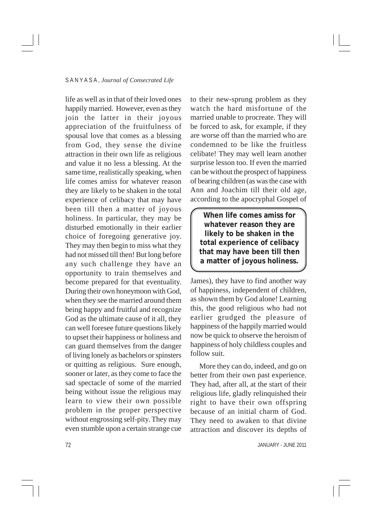life as well as in that of their loved ones happily married. However, even as they join the latter in their joyous appreciation of the fruitfulness of spousal love that comes as a blessing from God, they sense the divine attraction in their own life as religious and value it no less a blessing. At the same time, realistically speaking, when life comes amiss for whatever reason they are likely to be shaken in the total experience of celibacy that may have been till then a matter of joyous holiness. In particular, they may be disturbed emotionally in their earlier choice of foregoing generative joy. They may then begin to miss what they had not missed till then! But long before any such challenge they have an opportunity to train themselves and become prepared for that eventuality. During their own honeymoon with God, when they see the married around them being happy and fruitful and recognize God as the ultimate cause of it all, they can well foresee future questions likely to upset their happiness or holiness and can guard themselves from the danger of living lonely as bachelors or spinsters or quitting as religious. Sure enough, sooner or later, as they come to face the sad spectacle of some of the married being without issue the religious may learn to view their own possible problem in the proper perspective without engrossing self-pity. They may even stumble upon a certain strange cue

to their new-sprung problem as they watch the hard misfortune of the married unable to procreate. They will be forced to ask, for example, if they are worse off than the married who are condemned to be like the fruitless celibate! They may well learn another surprise lesson too. If even the married can be without the prospect of happiness of bearing children (as was the case with Ann and Joachim till their old age, according to the apocryphal Gospel of

**When life comes amiss for whatever reason they are likely to be shaken in the total experience of celibacy that may have been till then a matter of joyous holiness.**

James), they have to find another way of happiness, independent of children, as shown them by God alone! Learning this, the good religious who had not earlier grudged the pleasure of happiness of the happily married would now be quick to observe the heroism of happiness of holy childless couples and follow suit.

More they can do, indeed, and go on better from their own past experience. They had, after all, at the start of their religious life, gladly relinquished their right to have their own offspring because of an initial charm of God. They need to awaken to that divine attraction and discover its depths of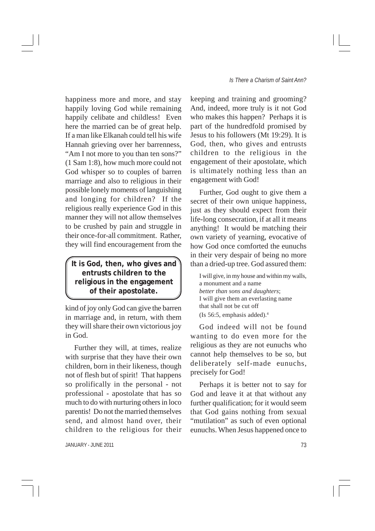happiness more and more, and stay happily loving God while remaining happily celibate and childless! Even here the married can be of great help. If a man like Elkanah could tell his wife Hannah grieving over her barrenness, "Am I not more to you than ten sons?" (1 Sam 1:8), how much more could not God whisper so to couples of barren marriage and also to religious in their possible lonely moments of languishing and longing for children? If the religious really experience God in this manner they will not allow themselves to be crushed by pain and struggle in their once-for-all commitment. Rather, they will find encouragement from the

**It is God, then, who gives and entrusts children to the religious in the engagement of their apostolate.**

kind of joy only God can give the barren in marriage and, in return, with them they will share their own victorious joy in God.

Further they will, at times, realize with surprise that they have their own children, born in their likeness, though not of flesh but of spirit! That happens so prolifically in the personal - not professional - apostolate that has so much to do with nurturing others in loco parentis! Do not the married themselves send, and almost hand over, their children to the religious for their

JANUARY - JUNE 2011 2001 2002 2003 2004 2012 2022 2034 2042 205 206 207 3

keeping and training and grooming? And, indeed, more truly is it not God who makes this happen? Perhaps it is part of the hundredfold promised by Jesus to his followers (Mt 19:29). It is God, then, who gives and entrusts children to the religious in the engagement of their apostolate, which is ultimately nothing less than an engagement with God!

Further, God ought to give them a secret of their own unique happiness, just as they should expect from their life-long consecration, if at all it means anything! It would be matching their own variety of yearning, evocative of how God once comforted the eunuchs in their very despair of being no more than a dried-up tree. God assured them:

I will give, in my house and within my walls, a monument and a name *better than sons and daughters*; I will give them an everlasting name that shall not be cut off (Is 56:5, emphasis added).4

God indeed will not be found wanting to do even more for the religious as they are not eunuchs who cannot help themselves to be so, but deliberately self-made eunuchs, precisely for God!

Perhaps it is better not to say for God and leave it at that without any further qualification; for it would seem that God gains nothing from sexual "mutilation" as such of even optional eunuchs. When Jesus happened once to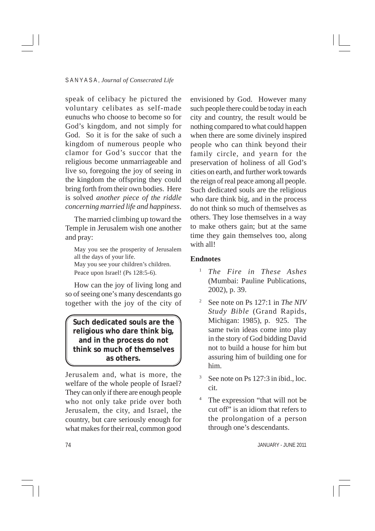speak of celibacy he pictured the voluntary celibates as self-made eunuchs who choose to become so for God's kingdom, and not simply for God. So it is for the sake of such a kingdom of numerous people who clamor for God's succor that the religious become unmarriageable and live so, foregoing the joy of seeing in the kingdom the offspring they could bring forth from their own bodies. Here is solved *another piece of the riddle concerning married life and happiness*.

The married climbing up toward the Temple in Jerusalem wish one another and pray:

May you see the prosperity of Jerusalem all the days of your life. May you see your children's children. Peace upon Israel! (Ps 128:5-6).

How can the joy of living long and so of seeing one's many descendants go together with the joy of the city of

**Such dedicated souls are the religious who dare think big, and in the process do not think so much of themselves as others.**

Jerusalem and, what is more, the welfare of the whole people of Israel? They can only if there are enough people who not only take pride over both Jerusalem, the city, and Israel, the country, but care seriously enough for what makes for their real, common good envisioned by God. However many such people there could be today in each city and country, the result would be nothing compared to what could happen when there are some divinely inspired people who can think beyond their family circle, and yearn for the preservation of holiness of all God's cities on earth, and further work towards the reign of real peace among all people. Such dedicated souls are the religious who dare think big, and in the process do not think so much of themselves as others. They lose themselves in a way to make others gain; but at the same time they gain themselves too, along with all!

### **Endnotes**

- <sup>1</sup> *The Fire in These Ashes* (Mumbai: Pauline Publications, 2002), p. 39.
- <sup>2</sup> See note on Ps 127:1 in *The NIV Study Bible* (Grand Rapids, Michigan: 1985), p. 925. The same twin ideas come into play in the story of God bidding David not to build a house for him but assuring him of building one for him.
- <sup>3</sup> See note on Ps 127:3 in ibid., loc. cit.
- The expression "that will not be cut off" is an idiom that refers to the prolongation of a person through one's descendants.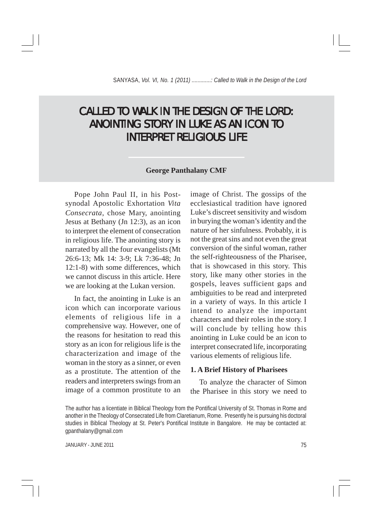# CALLED TO WALK IN THE DESIGN OF THE LORD: ANOINTING STORY IN LUKE AS AN ICON TO **INTERPRET RELIGIOUS LIFE**

### **George Panthalany CMF**

Pope John Paul II, in his Postsynodal Apostolic Exhortation *Vita Consecrata*, chose Mary, anointing Jesus at Bethany (Jn 12:3), as an icon to interpret the element of consecration in religious life. The anointing story is narrated by all the four evangelists (Mt 26:6-13; Mk 14: 3-9; Lk 7:36-48; Jn 12:1-8) with some differences, which we cannot discuss in this article. Here we are looking at the Lukan version.

In fact, the anointing in Luke is an icon which can incorporate various elements of religious life in a comprehensive way. However, one of the reasons for hesitation to read this story as an icon for religious life is the characterization and image of the woman in the story as a sinner, or even as a prostitute. The attention of the readers and interpreters swings from an image of a common prostitute to an

image of Christ. The gossips of the ecclesiastical tradition have ignored Luke's discreet sensitivity and wisdom in burying the woman's identity and the nature of her sinfulness. Probably, it is not the great sins and not even the great conversion of the sinful woman, rather the self-righteousness of the Pharisee, that is showcased in this story. This story, like many other stories in the gospels, leaves sufficient gaps and ambiguities to be read and interpreted in a variety of ways. In this article I intend to analyze the important characters and their roles in the story. I will conclude by telling how this anointing in Luke could be an icon to interpret consecrated life, incorporating various elements of religious life.

#### **1. A Brief History of Pharisees**

To analyze the character of Simon the Pharisee in this story we need to

JANUARY - JUNE 2011 2001 2002 2003 2004 2012 2022 2034 2042 205 206 207 208 209 2004 2012 2023 2024 2022 2023 20

The author has a licentiate in Biblical Theology from the Pontifical University of St. Thomas in Rome and another in the Theology of Consecrated Life from Claretianum, Rome. Presently he is pursuing his doctoral studies in Biblical Theology at St. Peter's Pontifical Institute in Bangalore. He may be contacted at: gpanthalany@gmail.com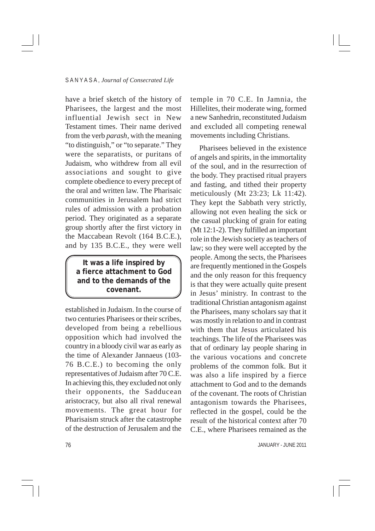have a brief sketch of the history of Pharisees, the largest and the most influential Jewish sect in New Testament times. Their name derived from the verb *parash*, with the meaning "to distinguish," or "to separate." They were the separatists, or puritans of Judaism, who withdrew from all evil associations and sought to give complete obedience to every precept of the oral and written law. The Pharisaic communities in Jerusalem had strict rules of admission with a probation period. They originated as a separate group shortly after the first victory in the Maccabean Revolt (164 B.C.E.), and by 135 B.C.E., they were well

**It was a life inspired by a fierce attachment to God and to the demands of the covenant.**

established in Judaism. In the course of two centuries Pharisees or their scribes, developed from being a rebellious opposition which had involved the country in a bloody civil war as early as the time of Alexander Jannaeus (103- 76 B.C.E.) to becoming the only representatives of Judaism after 70 C.E. In achieving this, they excluded not only their opponents, the Sadducean aristocracy, but also all rival renewal movements. The great hour for Pharisaism struck after the catastrophe of the destruction of Jerusalem and the

temple in 70 C.E. In Jamnia, the Hillelites, their moderate wing, formed a new Sanhedrin, reconstituted Judaism and excluded all competing renewal movements including Christians.

Pharisees believed in the existence of angels and spirits, in the immortality of the soul, and in the resurrection of the body. They practised ritual prayers and fasting, and tithed their property meticulously (Mt 23:23; Lk 11:42). They kept the Sabbath very strictly, allowing not even healing the sick or the casual plucking of grain for eating (Mt 12:1-2). They fulfilled an important role in the Jewish society as teachers of law; so they were well accepted by the people. Among the sects, the Pharisees are frequently mentioned in the Gospels and the only reason for this frequency is that they were actually quite present in Jesus' ministry. In contrast to the traditional Christian antagonism against the Pharisees, many scholars say that it was mostly in relation to and in contrast with them that Jesus articulated his teachings. The life of the Pharisees was that of ordinary lay people sharing in the various vocations and concrete problems of the common folk. But it was also a life inspired by a fierce attachment to God and to the demands of the covenant. The roots of Christian antagonism towards the Pharisees, reflected in the gospel, could be the result of the historical context after 70 C.E., where Pharisees remained as the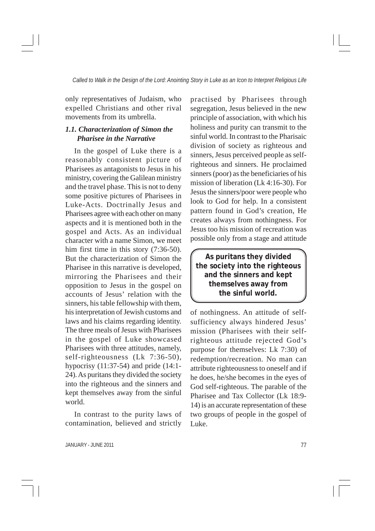only representatives of Judaism, who expelled Christians and other rival movements from its umbrella.

# *1.1. Characterization of Simon the Pharisee in the Narrative*

In the gospel of Luke there is a reasonably consistent picture of Pharisees as antagonists to Jesus in his ministry, covering the Galilean ministry and the travel phase. This is not to deny some positive pictures of Pharisees in Luke-Acts. Doctrinally Jesus and Pharisees agree with each other on many aspects and it is mentioned both in the gospel and Acts. As an individual character with a name Simon, we meet him first time in this story  $(7:36-50)$ . But the characterization of Simon the Pharisee in this narrative is developed, mirroring the Pharisees and their opposition to Jesus in the gospel on accounts of Jesus' relation with the sinners, his table fellowship with them, his interpretation of Jewish customs and laws and his claims regarding identity. The three meals of Jesus with Pharisees in the gospel of Luke showcased Pharisees with three attitudes, namely, self-righteousness (Lk 7:36-50), hypocrisy (11:37-54) and pride (14:1- 24). As puritans they divided the society into the righteous and the sinners and kept themselves away from the sinful world.

In contrast to the purity laws of contamination, believed and strictly

JANUARY - JUNE 2011 **77** 

practised by Pharisees through segregation, Jesus believed in the new principle of association, with which his holiness and purity can transmit to the sinful world. In contrast to the Pharisaic division of society as righteous and sinners, Jesus perceived people as selfrighteous and sinners. He proclaimed sinners (poor) as the beneficiaries of his mission of liberation (Lk 4:16-30). For Jesus the sinners/poor were people who look to God for help. In a consistent pattern found in God's creation, He creates always from nothingness. For Jesus too his mission of recreation was possible only from a stage and attitude

**As puritans they divided the society into the righteous and the sinners and kept themselves away from the sinful world.**

of nothingness. An attitude of selfsufficiency always hindered Jesus' mission (Pharisees with their selfrighteous attitude rejected God's purpose for themselves: Lk 7:30) of redemption/recreation. No man can attribute righteousness to oneself and if he does, he/she becomes in the eyes of God self-righteous. The parable of the Pharisee and Tax Collector (Lk 18:9- 14) is an accurate representation of these two groups of people in the gospel of Luke.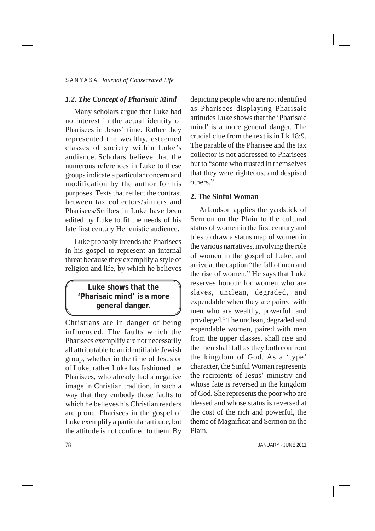#### *1.2. The Concept of Pharisaic Mind*

Many scholars argue that Luke had no interest in the actual identity of Pharisees in Jesus' time. Rather they represented the wealthy, esteemed classes of society within Luke's audience. Scholars believe that the numerous references in Luke to these groups indicate a particular concern and modification by the author for his purposes. Texts that reflect the contrast between tax collectors/sinners and Pharisees/Scribes in Luke have been edited by Luke to fit the needs of his late first century Hellenistic audience.

Luke probably intends the Pharisees in his gospel to represent an internal threat because they exemplify a style of religion and life, by which he believes

# **Luke shows that the 'Pharisaic mind' is a more general danger.**

Christians are in danger of being influenced. The faults which the Pharisees exemplify are not necessarily all attributable to an identifiable Jewish group, whether in the time of Jesus or of Luke; rather Luke has fashioned the Pharisees, who already had a negative image in Christian tradition, in such a way that they embody those faults to which he believes his Christian readers are prone. Pharisees in the gospel of Luke exemplify a particular attitude, but the attitude is not confined to them. By

depicting people who are not identified as Pharisees displaying Pharisaic attitudes Luke shows that the 'Pharisaic mind' is a more general danger. The crucial clue from the text is in Lk 18:9. The parable of the Pharisee and the tax collector is not addressed to Pharisees but to "some who trusted in themselves that they were righteous, and despised others."

### **2. The Sinful Woman**

Arlandson applies the yardstick of Sermon on the Plain to the cultural status of women in the first century and tries to draw a status map of women in the various narratives, involving the role of women in the gospel of Luke, and arrive at the caption "the fall of men and the rise of women." He says that Luke reserves honour for women who are slaves, unclean, degraded, and expendable when they are paired with men who are wealthy, powerful, and privileged.<sup>1</sup> The unclean, degraded and expendable women, paired with men from the upper classes, shall rise and the men shall fall as they both confront the kingdom of God. As a 'type' character, the Sinful Woman represents the recipients of Jesus' ministry and whose fate is reversed in the kingdom of God. She represents the poor who are blessed and whose status is reversed at the cost of the rich and powerful, the theme of Magnificat and Sermon on the Plain.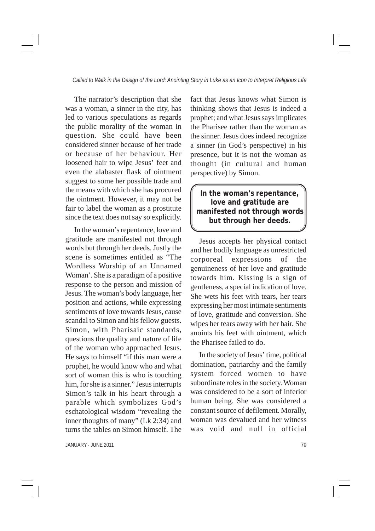The narrator's description that she was a woman, a sinner in the city, has led to various speculations as regards the public morality of the woman in question. She could have been considered sinner because of her trade or because of her behaviour. Her loosened hair to wipe Jesus' feet and even the alabaster flask of ointment suggest to some her possible trade and the means with which she has procured the ointment. However, it may not be fair to label the woman as a prostitute since the text does not say so explicitly.

In the woman's repentance, love and gratitude are manifested not through words but through her deeds. Justly the scene is sometimes entitled as "The Wordless Worship of an Unnamed Woman'. She is a paradigm of a positive response to the person and mission of Jesus. The woman's body language, her position and actions, while expressing sentiments of love towards Jesus, cause scandal to Simon and his fellow guests. Simon, with Pharisaic standards, questions the quality and nature of life of the woman who approached Jesus. He says to himself "if this man were a prophet, he would know who and what sort of woman this is who is touching him, for she is a sinner." Jesus interrupts Simon's talk in his heart through a parable which symbolizes God's eschatological wisdom "revealing the inner thoughts of many" (Lk 2:34) and turns the tables on Simon himself. The

JANUARY - JUNE 2011 79

fact that Jesus knows what Simon is thinking shows that Jesus is indeed a prophet; and what Jesus says implicates the Pharisee rather than the woman as the sinner. Jesus does indeed recognize a sinner (in God's perspective) in his presence, but it is not the woman as thought (in cultural and human perspective) by Simon.

**In the woman's repentance, love and gratitude are manifested not through words but through her deeds.**

Jesus accepts her physical contact and her bodily language as unrestricted corporeal expressions of the genuineness of her love and gratitude towards him. Kissing is a sign of gentleness, a special indication of love. She wets his feet with tears, her tears expressing her most intimate sentiments of love, gratitude and conversion. She wipes her tears away with her hair. She anoints his feet with ointment, which the Pharisee failed to do.

In the society of Jesus' time, political domination, patriarchy and the family system forced women to have subordinate roles in the society. Woman was considered to be a sort of inferior human being. She was considered a constant source of defilement. Morally, woman was devalued and her witness was void and null in official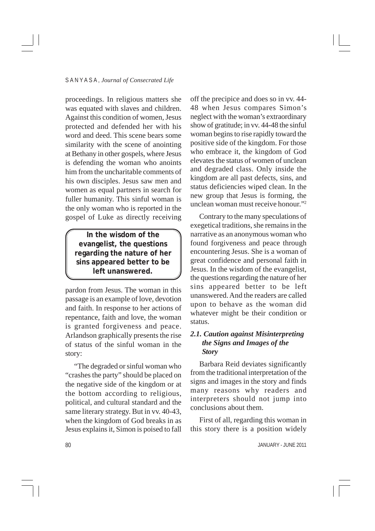proceedings. In religious matters she was equated with slaves and children. Against this condition of women, Jesus protected and defended her with his word and deed. This scene bears some similarity with the scene of anointing at Bethany in other gospels, where Jesus is defending the woman who anoints him from the uncharitable comments of his own disciples. Jesus saw men and women as equal partners in search for fuller humanity. This sinful woman is the only woman who is reported in the gospel of Luke as directly receiving

**In the wisdom of the evangelist, the questions regarding the nature of her sins appeared better to be left unanswered.**

pardon from Jesus. The woman in this passage is an example of love, devotion and faith. In response to her actions of repentance, faith and love, the woman is granted forgiveness and peace. Arlandson graphically presents the rise of status of the sinful woman in the story:

"The degraded or sinful woman who "crashes the party" should be placed on the negative side of the kingdom or at the bottom according to religious, political, and cultural standard and the same literary strategy. But in vv. 40-43, when the kingdom of God breaks in as Jesus explains it, Simon is poised to fall

off the precipice and does so in vv. 44- 48 when Jesus compares Simon's neglect with the woman's extraordinary show of gratitude; in vv. 44-48 the sinful woman begins to rise rapidly toward the positive side of the kingdom. For those who embrace it, the kingdom of God elevates the status of women of unclean and degraded class. Only inside the kingdom are all past defects, sins, and status deficiencies wiped clean. In the new group that Jesus is forming, the unclean woman must receive honour."2

Contrary to the many speculations of exegetical traditions, she remains in the narrative as an anonymous woman who found forgiveness and peace through encountering Jesus. She is a woman of great confidence and personal faith in Jesus. In the wisdom of the evangelist, the questions regarding the nature of her sins appeared better to be left unanswered. And the readers are called upon to behave as the woman did whatever might be their condition or status.

### *2.1. Caution against Misinterpreting the Signs and Images of the Story*

Barbara Reid deviates significantly from the traditional interpretation of the signs and images in the story and finds many reasons why readers and interpreters should not jump into conclusions about them.

First of all, regarding this woman in this story there is a position widely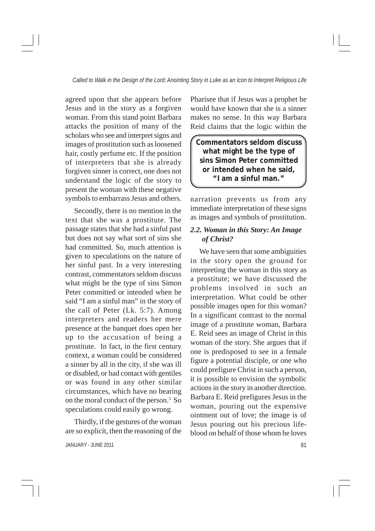*Called to Walk in the Design of the Lord: Anointing Story in Luke as an Icon to Interpret Religious Life*

agreed upon that she appears before Jesus and in the story as a forgiven woman. From this stand point Barbara attacks the position of many of the scholars who see and interpret signs and images of prostitution such as loosened hair, costly perfume etc. If the position of interpreters that she is already forgiven sinner is correct, one does not understand the logic of the story to present the woman with these negative symbols to embarrass Jesus and others.

Secondly, there is no mention in the text that she was a prostitute. The passage states that she had a sinful past but does not say what sort of sins she had committed. So, much attention is given to speculations on the nature of her sinful past. In a very interesting contrast, commentators seldom discuss what might be the type of sins Simon Peter committed or intended when he said "I am a sinful man" in the story of the call of Peter (Lk. 5:7). Among interpreters and readers her mere presence at the banquet does open her up to the accusation of being a prostitute. In fact, in the first century context, a woman could be considered a sinner by all in the city, if she was ill or disabled, or had contact with gentiles or was found in any other similar circumstances, which have no bearing on the moral conduct of the person.3 So speculations could easily go wrong.

Thirdly, if the gestures of the woman are so explicit, then the reasoning of the

JANUARY - JUNE 2011 81

Pharisee that if Jesus was a prophet he would have known that she is a sinner makes no sense. In this way Barbara Reid claims that the logic within the

**Commentators seldom discuss what might be the type of sins Simon Peter committed or intended when he said, "I am a sinful man."**

narration prevents us from any immediate interpretation of these signs as images and symbols of prostitution.

### *2.2. Woman in this Story: An Image of Christ?*

We have seen that some ambiguities in the story open the ground for interpreting the woman in this story as a prostitute; we have discussed the problems involved in such an interpretation. What could be other possible images open for this woman? In a significant contrast to the normal image of a prostitute woman, Barbara E. Reid sees an image of Christ in this woman of the story. She argues that if one is predisposed to see in a female figure a potential disciple, or one who could prefigure Christ in such a person, it is possible to envision the symbolic actions in the story in another direction. Barbara E. Reid prefigures Jesus in the woman, pouring out the expensive ointment out of love; the image is of Jesus pouring out his precious lifeblood on behalf of those whom he loves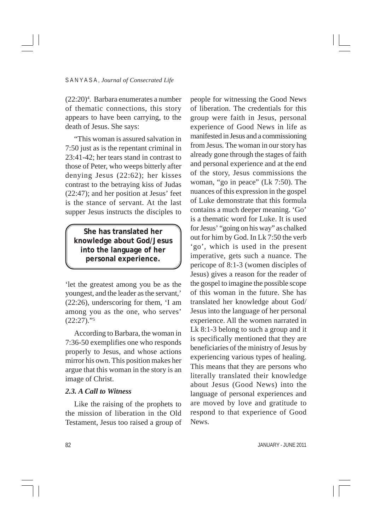(22:20)4 . Barbara enumerates a number of thematic connections, this story appears to have been carrying, to the death of Jesus. She says:

"This woman is assured salvation in 7:50 just as is the repentant criminal in 23:41-42; her tears stand in contrast to those of Peter, who weeps bitterly after denying Jesus (22:62); her kisses contrast to the betraying kiss of Judas (22:47); and her position at Jesus' feet is the stance of servant. At the last supper Jesus instructs the disciples to

**She has translated her knowledge about God/Jesus into the language of her personal experience.**

'let the greatest among you be as the youngest, and the leader as the servant,' (22:26), underscoring for them, 'I am among you as the one, who serves'  $(22:27)$ ."<sup>5</sup>

According to Barbara, the woman in 7:36-50 exemplifies one who responds properly to Jesus, and whose actions mirror his own. This position makes her argue that this woman in the story is an image of Christ.

### *2.3. A Call to Witness*

Like the raising of the prophets to the mission of liberation in the Old Testament, Jesus too raised a group of people for witnessing the Good News of liberation. The credentials for this group were faith in Jesus, personal experience of Good News in life as manifested in Jesus and a commissioning from Jesus. The woman in our story has already gone through the stages of faith and personal experience and at the end of the story, Jesus commissions the woman, "go in peace" (Lk 7:50). The nuances of this expression in the gospel of Luke demonstrate that this formula contains a much deeper meaning. 'Go' is a thematic word for Luke. It is used for Jesus' "going on his way" as chalked out for him by God. In Lk 7:50 the verb 'go', which is used in the present imperative, gets such a nuance. The pericope of 8:1-3 (women disciples of Jesus) gives a reason for the reader of the gospel to imagine the possible scope of this woman in the future. She has translated her knowledge about God/ Jesus into the language of her personal experience. All the women narrated in Lk 8:1-3 belong to such a group and it is specifically mentioned that they are beneficiaries of the ministry of Jesus by experiencing various types of healing. This means that they are persons who literally translated their knowledge about Jesus (Good News) into the language of personal experiences and are moved by love and gratitude to respond to that experience of Good News.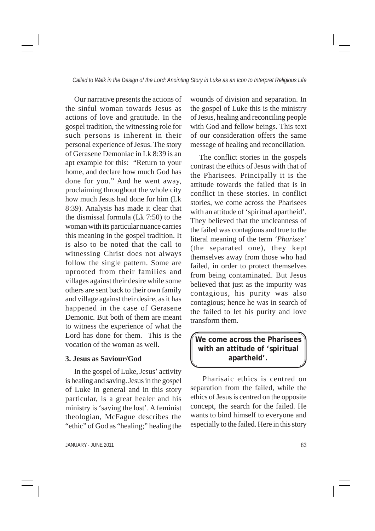Our narrative presents the actions of the sinful woman towards Jesus as actions of love and gratitude. In the gospel tradition, the witnessing role for such persons is inherent in their personal experience of Jesus. The story of Gerasene Demoniac in Lk 8:39 is an apt example for this: "Return to your home, and declare how much God has done for you." And he went away, proclaiming throughout the whole city how much Jesus had done for him (Lk 8:39). Analysis has made it clear that the dismissal formula (Lk 7:50) to the woman with its particular nuance carries this meaning in the gospel tradition. It is also to be noted that the call to witnessing Christ does not always follow the single pattern. Some are uprooted from their families and villages against their desire while some others are sent back to their own family and village against their desire, as it has happened in the case of Gerasene Demonic. But both of them are meant to witness the experience of what the Lord has done for them. This is the vocation of the woman as well.

### **3. Jesus as Saviour/God**

In the gospel of Luke, Jesus' activity is healing and saving. Jesus in the gospel of Luke in general and in this story particular, is a great healer and his ministry is 'saving the lost'. A feminist theologian, McFague describes the "ethic" of God as "healing;" healing the

JANUARY - JUNE 2011 83

wounds of division and separation. In the gospel of Luke this is the ministry of Jesus, healing and reconciling people with God and fellow beings. This text of our consideration offers the same message of healing and reconciliation.

The conflict stories in the gospels contrast the ethics of Jesus with that of the Pharisees. Principally it is the attitude towards the failed that is in conflict in these stories. In conflict stories, we come across the Pharisees with an attitude of 'spiritual apartheid'. They believed that the uncleanness of the failed was contagious and true to the literal meaning of the term *'Pharisee'* (the separated one), they kept themselves away from those who had failed, in order to protect themselves from being contaminated. But Jesus believed that just as the impurity was contagious, his purity was also contagious; hence he was in search of the failed to let his purity and love transform them.

# **We come across the Pharisees with an attitude of 'spiritual apartheid'.**

 Pharisaic ethics is centred on separation from the failed, while the ethics of Jesus is centred on the opposite concept, the search for the failed. He wants to bind himself to everyone and especially to the failed. Here in this story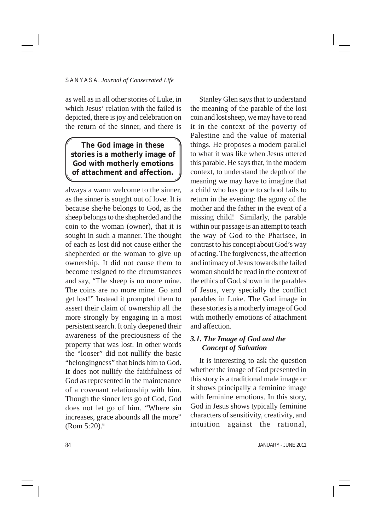as well as in all other stories of Luke, in which Jesus' relation with the failed is depicted, there is joy and celebration on the return of the sinner, and there is

**The God image in these stories is a motherly image of God with motherly emotions of attachment and affection.**

always a warm welcome to the sinner, as the sinner is sought out of love. It is because she/he belongs to God, as the sheep belongs to the shepherded and the coin to the woman (owner), that it is sought in such a manner. The thought of each as lost did not cause either the shepherded or the woman to give up ownership. It did not cause them to become resigned to the circumstances and say, "The sheep is no more mine. The coins are no more mine. Go and get lost!" Instead it prompted them to assert their claim of ownership all the more strongly by engaging in a most persistent search. It only deepened their awareness of the preciousness of the property that was lost. In other words the "looser" did not nullify the basic "belongingness" that binds him to God. It does not nullify the faithfulness of God as represented in the maintenance of a covenant relationship with him. Though the sinner lets go of God, God does not let go of him. "Where sin increases, grace abounds all the more" (Rom 5:20).6

Stanley Glen says that to understand the meaning of the parable of the lost coin and lost sheep, we may have to read it in the context of the poverty of Palestine and the value of material things. He proposes a modern parallel to what it was like when Jesus uttered this parable. He says that, in the modern context, to understand the depth of the meaning we may have to imagine that a child who has gone to school fails to return in the evening: the agony of the mother and the father in the event of a missing child! Similarly, the parable within our passage is an attempt to teach the way of God to the Pharisee, in contrast to his concept about God's way of acting. The forgiveness, the affection and intimacy of Jesus towards the failed woman should be read in the context of the ethics of God, shown in the parables of Jesus, very specially the conflict parables in Luke. The God image in these stories is a motherly image of God with motherly emotions of attachment and affection.

# *3.1. The Image of God and the Concept of Salvation*

It is interesting to ask the question whether the image of God presented in this story is a traditional male image or it shows principally a feminine image with feminine emotions. In this story, God in Jesus shows typically feminine characters of sensitivity, creativity, and intuition against the rational,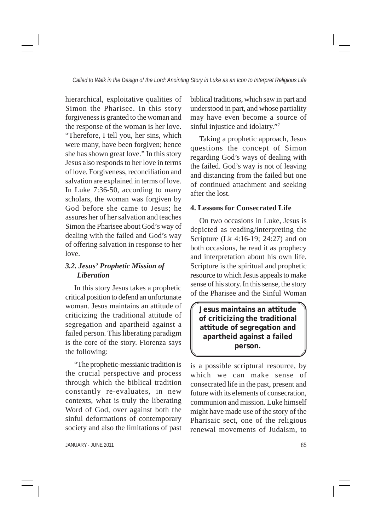hierarchical, exploitative qualities of Simon the Pharisee. In this story forgiveness is granted to the woman and the response of the woman is her love. "Therefore, I tell you, her sins, which were many, have been forgiven; hence she has shown great love." In this story Jesus also responds to her love in terms of love. Forgiveness, reconciliation and salvation are explained in terms of love. In Luke 7:36-50, according to many scholars, the woman was forgiven by God before she came to Jesus; he assures her of her salvation and teaches Simon the Pharisee about God's way of dealing with the failed and God's way of offering salvation in response to her love.

# *3.2. Jesus' Prophetic Mission of Liberation*

In this story Jesus takes a prophetic critical position to defend an unfortunate woman. Jesus maintains an attitude of criticizing the traditional attitude of segregation and apartheid against a failed person. This liberating paradigm is the core of the story. Fiorenza says the following:

"The prophetic-messianic tradition is the crucial perspective and process through which the biblical tradition constantly re-evaluates, in new contexts, what is truly the liberating Word of God, over against both the sinful deformations of contemporary society and also the limitations of past

JANUARY - JUNE 2011 85

biblical traditions, which saw in part and understood in part, and whose partiality may have even become a source of sinful injustice and idolatry."7

Taking a prophetic approach, Jesus questions the concept of Simon regarding God's ways of dealing with the failed. God's way is not of leaving and distancing from the failed but one of continued attachment and seeking after the lost.

### **4. Lessons for Consecrated Life**

On two occasions in Luke, Jesus is depicted as reading/interpreting the Scripture (Lk 4:16-19; 24:27) and on both occasions, he read it as prophecy and interpretation about his own life. Scripture is the spiritual and prophetic resource to which Jesus appeals to make sense of his story. In this sense, the story of the Pharisee and the Sinful Woman

**Jesus maintains an attitude of criticizing the traditional attitude of segregation and apartheid against a failed person.**

is a possible scriptural resource, by which we can make sense of consecrated life in the past, present and future with its elements of consecration. communion and mission. Luke himself might have made use of the story of the Pharisaic sect, one of the religious renewal movements of Judaism, to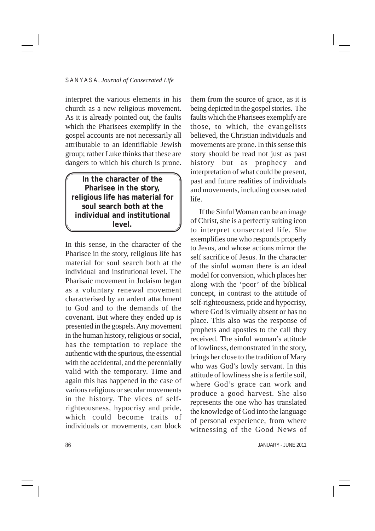interpret the various elements in his church as a new religious movement. As it is already pointed out, the faults which the Pharisees exemplify in the gospel accounts are not necessarily all attributable to an identifiable Jewish group; rather Luke thinks that these are dangers to which his church is prone.

**In the character of the Pharisee in the story, religious life has material for soul search both at the individual and institutional level.**

In this sense, in the character of the Pharisee in the story, religious life has material for soul search both at the individual and institutional level. The Pharisaic movement in Judaism began as a voluntary renewal movement characterised by an ardent attachment to God and to the demands of the covenant. But where they ended up is presented in the gospels. Any movement in the human history, religious or social, has the temptation to replace the authentic with the spurious, the essential with the accidental, and the perennially valid with the temporary. Time and again this has happened in the case of various religious or secular movements in the history. The vices of selfrighteousness, hypocrisy and pride, which could become traits of individuals or movements, can block

them from the source of grace, as it is being depicted in the gospel stories. The faults which the Pharisees exemplify are those, to which, the evangelists believed, the Christian individuals and movements are prone. In this sense this story should be read not just as past history but as prophecy and interpretation of what could be present, past and future realities of individuals and movements, including consecrated life.

If the Sinful Woman can be an image of Christ, she is a perfectly suiting icon to interpret consecrated life. She exemplifies one who responds properly to Jesus, and whose actions mirror the self sacrifice of Jesus. In the character of the sinful woman there is an ideal model for conversion, which places her along with the 'poor' of the biblical concept, in contrast to the attitude of self-righteousness, pride and hypocrisy, where God is virtually absent or has no place. This also was the response of prophets and apostles to the call they received. The sinful woman's attitude of lowliness, demonstrated in the story, brings her close to the tradition of Mary who was God's lowly servant. In this attitude of lowliness she is a fertile soil, where God's grace can work and produce a good harvest. She also represents the one who has translated the knowledge of God into the language of personal experience, from where witnessing of the Good News of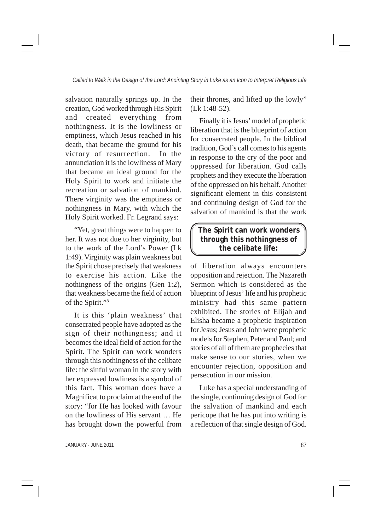salvation naturally springs up. In the creation, God worked through His Spirit and created everything from nothingness. It is the lowliness or emptiness, which Jesus reached in his death, that became the ground for his victory of resurrection. In the annunciation it is the lowliness of Mary that became an ideal ground for the Holy Spirit to work and initiate the recreation or salvation of mankind. There virginity was the emptiness or nothingness in Mary, with which the Holy Spirit worked. Fr. Legrand says:

"Yet, great things were to happen to her. It was not due to her virginity, but to the work of the Lord's Power (Lk 1:49). Virginity was plain weakness but the Spirit chose precisely that weakness to exercise his action. Like the nothingness of the origins (Gen 1:2), that weakness became the field of action of the Spirit."8

It is this 'plain weakness' that consecrated people have adopted as the sign of their nothingness; and it becomes the ideal field of action for the Spirit. The Spirit can work wonders through this nothingness of the celibate life: the sinful woman in the story with her expressed lowliness is a symbol of this fact. This woman does have a Magnificat to proclaim at the end of the story: "for He has looked with favour on the lowliness of His servant … He has brought down the powerful from

JANUARY - JUNE 2011 87

their thrones, and lifted up the lowly" (Lk 1:48-52).

Finally it is Jesus' model of prophetic liberation that is the blueprint of action for consecrated people. In the biblical tradition, God's call comes to his agents in response to the cry of the poor and oppressed for liberation. God calls prophets and they execute the liberation of the oppressed on his behalf. Another significant element in this consistent and continuing design of God for the salvation of mankind is that the work

# **The Spirit can work wonders through this nothingness of the celibate life:**

of liberation always encounters opposition and rejection. The Nazareth Sermon which is considered as the blueprint of Jesus' life and his prophetic ministry had this same pattern exhibited. The stories of Elijah and Elisha became a prophetic inspiration for Jesus; Jesus and John were prophetic models for Stephen, Peter and Paul; and stories of all of them are prophecies that make sense to our stories, when we encounter rejection, opposition and persecution in our mission.

Luke has a special understanding of the single, continuing design of God for the salvation of mankind and each pericope that he has put into writing is a reflection of that single design of God.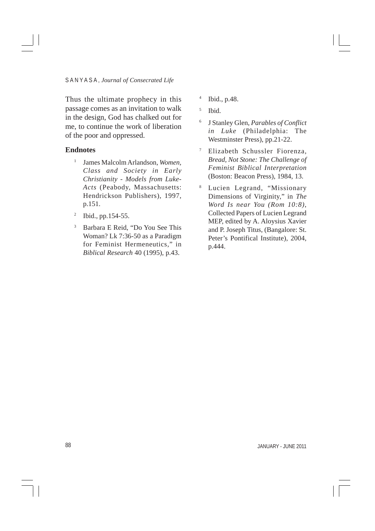Thus the ultimate prophecy in this passage comes as an invitation to walk in the design, God has chalked out for me, to continue the work of liberation of the poor and oppressed.

### **Endnotes**

- <sup>1</sup> James Malcolm Arlandson, *Women, Class and Society in Early Christianity - Models from Luke-Acts* (Peabody, Massachusetts: Hendrickson Publishers), 1997, p.151.
- <sup>2</sup> Ibid., pp.154-55.
- <sup>3</sup> Barbara E Reid, "Do You See This Woman? Lk 7:36-50 as a Paradigm for Feminist Hermeneutics," in *Biblical Research* 40 (1995), p.43.
- <sup>4</sup> Ibid., p.48.
- <sup>5</sup> Ibid.
- <sup>6</sup> J Stanley Glen, *Parables of Conflict in Luke* (Philadelphia: The Westminster Press), pp.21-22.
- <sup>7</sup> Elizabeth Schussler Fiorenza, *Bread, Not Stone: The Challenge of Feminist Biblical Interpretation* (Boston: Beacon Press), 1984, 13.
- <sup>8</sup> Lucien Legrand, "Missionary Dimensions of Virginity," in *The Word Is near You (Rom 10:8)*, Collected Papers of Lucien Legrand MEP, edited by A. Aloysius Xavier and P. Joseph Titus, (Bangalore: St. Peter's Pontifical Institute), 2004, p.444.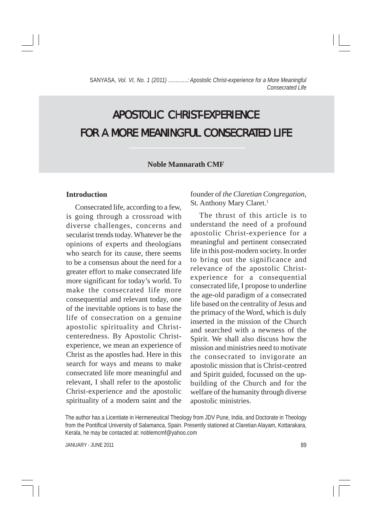SANYASA, *Vol. VI, No. 1 (2011) .............: Apostolic Christ-experience for a More Meaningful Consecrated Life*

# APOSTOLIC CHRIST-EXPERIENCE FOR A MORE MEANINGFUL CONSECRATED LIFE

### **Noble Mannarath CMF**

#### **Introduction**

Consecrated life, according to a few, is going through a crossroad with diverse challenges, concerns and secularist trends today. Whatever be the opinions of experts and theologians who search for its cause, there seems to be a consensus about the need for a greater effort to make consecrated life more significant for today's world. To make the consecrated life more consequential and relevant today, one of the inevitable options is to base the life of consecration on a genuine apostolic spirituality and Christcenteredness. By Apostolic Christexperience, we mean an experience of Christ as the apostles had. Here in this search for ways and means to make consecrated life more meaningful and relevant, I shall refer to the apostolic Christ-experience and the apostolic spirituality of a modern saint and the

founder of *the Claretian Congregation*, St. Anthony Mary Claret.<sup>1</sup>

The thrust of this article is to understand the need of a profound apostolic Christ-experience for a meaningful and pertinent consecrated life in this post-modern society. In order to bring out the significance and relevance of the apostolic Christexperience for a consequential consecrated life, I propose to underline the age-old paradigm of a consecrated life based on the centrality of Jesus and the primacy of the Word, which is duly inserted in the mission of the Church and searched with a newness of the Spirit. We shall also discuss how the mission and ministries need to motivate the consecrated to invigorate an apostolic mission that is Christ-centred and Spirit guided, focussed on the upbuilding of the Church and for the welfare of the humanity through diverse apostolic ministries.

JANUARY - JUNE 2011 89

The author has a Licentiate in Hermeneutical Theology from JDV Pune, India, and Doctorate in Theology from the Pontifical University of Salamanca, Spain. Presently stationed at Claretian Alayam, Kottarakara, Kerala, he may be contacted at: noblemcmf@yahoo.com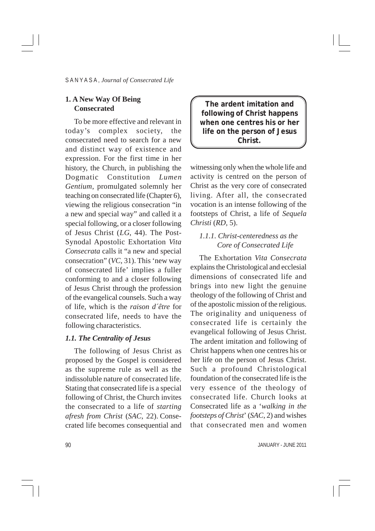# **1. A New Way Of Being Consecrated**

To be more effective and relevant in today's complex society, the consecrated need to search for a new and distinct way of existence and expression. For the first time in her history, the Church, in publishing the Dogmatic Constitution *Lumen Gentium*, promulgated solemnly her teaching on consecrated life (Chapter 6), viewing the religious consecration "in a new and special way" and called it a special following, or a closer following of Jesus Christ (*LG*, 44). The Post-Synodal Apostolic Exhortation *Vita Consecrata* calls it "a new and special consecration" (*VC*, 31). This 'new way of consecrated life' implies a fuller conforming to and a closer following of Jesus Christ through the profession of the evangelical counsels. Such a way of life, which is the *raison d´être* for consecrated life, needs to have the following characteristics.

## *1.1. The Centrality of Jesus*

The following of Jesus Christ as proposed by the Gospel is considered as the supreme rule as well as the indissoluble nature of consecrated life. Stating that consecrated life is a special following of Christ, the Church invites the consecrated to a life of *starting afresh from Christ* (*SAC*, 22). Consecrated life becomes consequential and

**The ardent imitation and following of Christ happens when one centres his or her life on the person of Jesus Christ.**

witnessing only when the whole life and activity is centred on the person of Christ as the very core of consecrated living. After all, the consecrated vocation is an intense following of the footsteps of Christ, a life of *Sequela Christi* (*RD,* 5).

## *1.1.1. Christ-centeredness as the Core of Consecrated Life*

The Exhortation *Vita Consecrata* explains the Christological and ecclesial dimensions of consecrated life and brings into new light the genuine theology of the following of Christ and of the apostolic mission of the religious. The originality and uniqueness of consecrated life is certainly the evangelical following of Jesus Christ. The ardent imitation and following of Christ happens when one centres his or her life on the person of Jesus Christ. Such a profound Christological foundation of the consecrated life is the very essence of the theology of consecrated life. Church looks at Consecrated life as a '*walking in the footsteps of Christ*' (*SAC*, 2) and wishes that consecrated men and women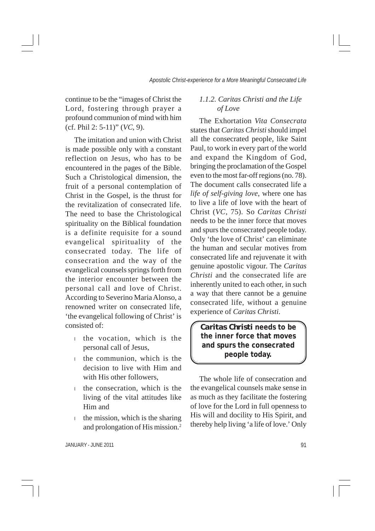continue to be the "images of Christ the Lord, fostering through prayer a profound communion of mind with him (cf. Phil 2: 5-11)" (*VC*, 9).

The imitation and union with Christ is made possible only with a constant reflection on Jesus, who has to be encountered in the pages of the Bible. Such a Christological dimension, the fruit of a personal contemplation of Christ in the Gospel, is the thrust for the revitalization of consecrated life. The need to base the Christological spirituality on the Biblical foundation is a definite requisite for a sound evangelical spirituality of the consecrated today. The life of consecration and the way of the evangelical counsels springs forth from the interior encounter between the personal call and love of Christ. According to Severino Maria Alonso, a renowned writer on consecrated life, 'the evangelical following of Christ' is consisted of:

- the vocation, which is the  $\mathbf{L}$ personal call of Jesus,
- $\frac{1}{1}$  the communion, which is the decision to live with Him and with His other followers.
- $\mathbf{L}$ the consecration, which is the living of the vital attitudes like Him and
- the mission, which is the sharing  $\mathbf{I}$ and prolongation of His mission.2

### *1.1.2. Caritas Christi and the Life of Love*

The Exhortation *Vita Consecrata* states that *Caritas Christi* should impel all the consecrated people, like Saint Paul, to work in every part of the world and expand the Kingdom of God, bringing the proclamation of the Gospel even to the most far-off regions (no. 78). The document calls consecrated life a *life of self-giving love*, where one has to live a life of love with the heart of Christ (*VC*, 75). So *Caritas Christi* needs to be the inner force that moves and spurs the consecrated people today. Only 'the love of Christ' can eliminate the human and secular motives from consecrated life and rejuvenate it with genuine apostolic vigour. The *Caritas Christi* and the consecrated life are inherently united to each other, in such a way that there cannot be a genuine consecrated life, without a genuine experience of *Caritas Christi*.

*Caritas Christi* **needs to be the inner force that moves and spurs the consecrated people today.**

The whole life of consecration and the evangelical counsels make sense in as much as they facilitate the fostering of love for the Lord in full openness to His will and docility to His Spirit, and thereby help living 'a life of love.' Only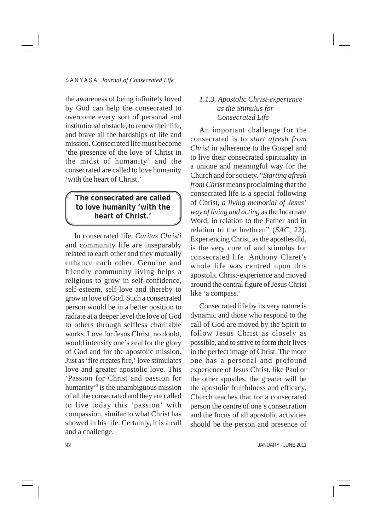the awareness of being infinitely loved by God can help the consecrated to overcome every sort of personal and institutional obstacle, to renew their life, and brave all the hardships of life and mission. Consecrated life must become 'the presence of the love of Christ in the midst of humanity' and the consecrated are called to love humanity 'with the heart of Christ.'

# **The consecrated are called to love humanity 'with the heart of Christ.'**

In consecrated life, *Caritas Christi* and community life are inseparably related to each other and they mutually enhance each other. Genuine and friendly community living helps a religious to grow in self-confidence, self-esteem, self-love and thereby to grow in love of God. Such a consecrated person would be in a better position to radiate at a deeper level the love of God to others through selfless charitable works. Love for Jesus Christ, no doubt, would intensify one's zeal for the glory of God and for the apostolic mission. Just as 'fire creates fire,' love stimulates love and greater apostolic love. This 'Passion for Christ and passion for humanity<sup>3</sup> is the unambiguous mission of all the consecrated and they are called to live today this 'passion' with compassion, similar to what Christ has showed in his life. Certainly, it is a call and a challenge.

# *1.1.3. Apostolic Christ-experience as the Stimulus for Consecrated Life*

An important challenge for the consecrated is to *start afresh from Christ* in adherence to the Gospel and to live their consecrated spirituality in a unique and meaningful way for the Church and for society. "*Starting afresh from Christ* means proclaiming that the consecrated life is a special following of Christ, *a living memorial of Jesus' way of living and acting* as the Incarnate Word, in relation to the Father and in relation to the brethren" (*SAC*, 22). Experiencing Christ, as the apostles did, is the very core of and stimulus for consecrated life. Anthony Claret's whole life was centred upon this apostolic Christ-experience and moved around the central figure of Jesus Christ like 'a compass.'

Consecrated life by its very nature is dynamic and those who respond to the call of God are moved by the Spirit to follow Jesus Christ as closely as possible, and to strive to form their lives in the perfect image of Christ. The more one has a personal and profound experience of Jesus Christ, like Paul or the other apostles, the greater will be the apostolic fruitfulness and efficacy. Church teaches that for a consecrated person the centre of one's consecration and the focus of all apostolic activities should be the person and presence of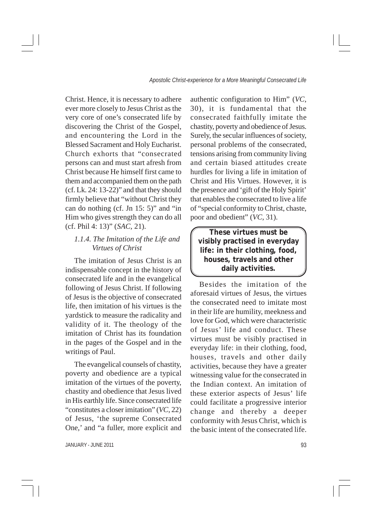Christ. Hence, it is necessary to adhere ever more closely to Jesus Christ as the very core of one's consecrated life by discovering the Christ of the Gospel, and encountering the Lord in the Blessed Sacrament and Holy Eucharist. Church exhorts that "consecrated persons can and must start afresh from Christ because He himself first came to them and accompanied them on the path (cf. Lk. 24: 13-22)" and that they should firmly believe that "without Christ they can do nothing (cf. Jn 15: 5)" and "in Him who gives strength they can do all (cf. Phil 4: 13)" (*SAC*, 21).

### *1.1.4. The Imitation of the Life and Virtues of Christ*

The imitation of Jesus Christ is an indispensable concept in the history of consecrated life and in the evangelical following of Jesus Christ. If following of Jesus is the objective of consecrated life, then imitation of his virtues is the yardstick to measure the radicality and validity of it. The theology of the imitation of Christ has its foundation in the pages of the Gospel and in the writings of Paul.

The evangelical counsels of chastity, poverty and obedience are a typical imitation of the virtues of the poverty, chastity and obedience that Jesus lived in His earthly life. Since consecrated life "constitutes a closer imitation" (*VC*, 22) of Jesus, 'the supreme Consecrated One,' and "a fuller, more explicit and

JANUARY - JUNE 2011 93

authentic configuration to Him" (*VC*, 30), it is fundamental that the consecrated faithfully imitate the chastity, poverty and obedience of Jesus. Surely, the secular influences of society, personal problems of the consecrated, tensions arising from community living and certain biased attitudes create hurdles for living a life in imitation of Christ and His Virtues. However, it is the presence and 'gift of the Holy Spirit' that enables the consecrated to live a life of "special conformity to Christ, chaste, poor and obedient" (*VC*, 31).

# **These virtues must be visibly practised in everyday life: in their clothing, food, houses, travels and other daily activities.**

Besides the imitation of the aforesaid virtues of Jesus, the virtues the consecrated need to imitate most in their life are humility, meekness and love for God, which were characteristic of Jesus' life and conduct. These virtues must be visibly practised in everyday life: in their clothing, food, houses, travels and other daily activities, because they have a greater witnessing value for the consecrated in the Indian context. An imitation of these exterior aspects of Jesus' life could facilitate a progressive interior change and thereby a deeper conformity with Jesus Christ, which is the basic intent of the consecrated life.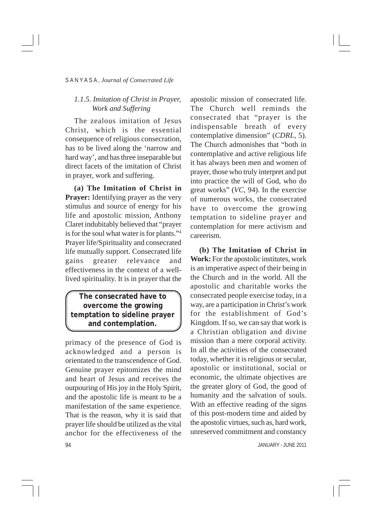### *1.1.5. Imitation of Christ in Prayer, Work and Suffering*

The zealous imitation of Jesus Christ, which is the essential consequence of religious consecration, has to be lived along the 'narrow and hard way', and has three inseparable but direct facets of the imitation of Christ in prayer, work and suffering.

**(a) The Imitation of Christ in Prayer:** Identifying prayer as the very stimulus and source of energy for his life and apostolic mission, Anthony Claret indubitably believed that "prayer is for the soul what water is for plants."4 Prayer life/Spirituality and consecrated life mutually support. Consecrated life gains greater relevance and effectiveness in the context of a welllived spirituality. It is in prayer that the

# **The consecrated have to overcome the growing temptation to sideline prayer and contemplation.**

primacy of the presence of God is acknowledged and a person is orientated to the transcendence of God. Genuine prayer epitomizes the mind and heart of Jesus and receives the outpouring of His joy in the Holy Spirit, and the apostolic life is meant to be a manifestation of the same experience. That is the reason, why it is said that prayer life should be utilized as the vital anchor for the effectiveness of the

apostolic mission of consecrated life. The Church well reminds the consecrated that "prayer is the indispensable breath of every contemplative dimension" (*CDRL*, 5). The Church admonishes that "both in contemplative and active religious life it has always been men and women of prayer, those who truly interpret and put into practice the will of God, who do great works" (*VC*, 94). In the exercise of numerous works, the consecrated have to overcome the growing temptation to sideline prayer and contemplation for mere activism and careerism.

**(b) The Imitation of Christ in Work:** For the apostolic institutes, work is an imperative aspect of their being in the Church and in the world. All the apostolic and charitable works the consecrated people exercise today, in a way, are a participation in Christ's work for the establishment of God's Kingdom. If so, we can say that work is a Christian obligation and divine mission than a mere corporal activity. In all the activities of the consecrated today, whether it is religious or secular, apostolic or institutional, social or economic, the ultimate objectives are the greater glory of God, the good of humanity and the salvation of souls. With an effective reading of the signs of this post-modern time and aided by the apostolic virtues, such as, hard work, unreserved commitment and constancy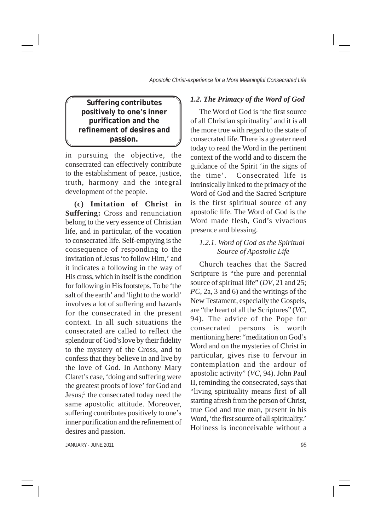*Apostolic Christ-experience for a More Meaningful Consecrated Life*

# **Suffering contributes positively to one's inner purification and the refinement of desires and passion.**

in pursuing the objective, the consecrated can effectively contribute to the establishment of peace, justice, truth, harmony and the integral development of the people.

**(c) Imitation of Christ in Suffering:** Cross and renunciation belong to the very essence of Christian life, and in particular, of the vocation to consecrated life. Self-emptying is the consequence of responding to the invitation of Jesus 'to follow Him,' and it indicates a following in the way of His cross, which in itself is the condition for following in His footsteps. To be 'the salt of the earth' and 'light to the world' involves a lot of suffering and hazards for the consecrated in the present context. In all such situations the consecrated are called to reflect the splendour of God's love by their fidelity to the mystery of the Cross, and to confess that they believe in and live by the love of God. In Anthony Mary Claret's case, 'doing and suffering were the greatest proofs of love' for God and Jesus;<sup>5</sup> the consecrated today need the same apostolic attitude. Moreover, suffering contributes positively to one's inner purification and the refinement of desires and passion.

JANUARY - JUNE 2011 95

#### *1.2. The Primacy of the Word of God*

The Word of God is 'the first source of all Christian spirituality' and it is all the more true with regard to the state of consecrated life. There is a greater need today to read the Word in the pertinent context of the world and to discern the guidance of the Spirit 'in the signs of the time'. Consecrated life is intrinsically linked to the primacy of the Word of God and the Sacred Scripture is the first spiritual source of any apostolic life. The Word of God is the Word made flesh, God's vivacious presence and blessing.

# *1.2.1. Word of God as the Spiritual Source of Apostolic Life*

Church teaches that the Sacred Scripture is "the pure and perennial source of spiritual life" (*DV*, 21 and 25; *PC*, 2a, 3 and 6) and the writings of the New Testament, especially the Gospels, are "the heart of all the Scriptures" (*VC*, 94). The advice of the Pope for consecrated persons is worth mentioning here: "meditation on God's Word and on the mysteries of Christ in particular, gives rise to fervour in contemplation and the ardour of apostolic activity" (*VC*, 94). John Paul II, reminding the consecrated, says that "living spirituality means first of all starting afresh from the person of Christ, true God and true man, present in his Word, 'the first source of all spirituality.' Holiness is inconceivable without a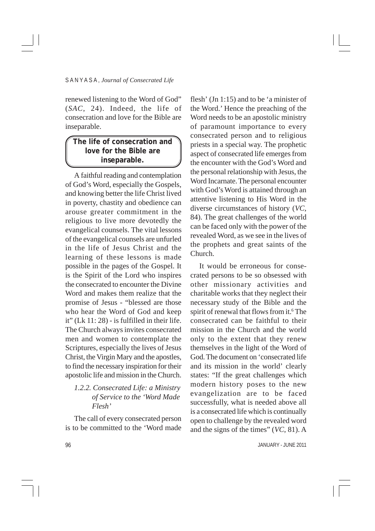renewed listening to the Word of God" (*SAC*, 24). Indeed, the life of consecration and love for the Bible are inseparable.

# **The life of consecration and love for the Bible are inseparable.**

A faithful reading and contemplation of God's Word, especially the Gospels, and knowing better the life Christ lived in poverty, chastity and obedience can arouse greater commitment in the religious to live more devotedly the evangelical counsels. The vital lessons of the evangelical counsels are unfurled in the life of Jesus Christ and the learning of these lessons is made possible in the pages of the Gospel. It is the Spirit of the Lord who inspires the consecrated to encounter the Divine Word and makes them realize that the promise of Jesus - "blessed are those who hear the Word of God and keep it" (Lk 11: 28) - is fulfilled in their life. The Church always invites consecrated men and women to contemplate the Scriptures, especially the lives of Jesus Christ, the Virgin Mary and the apostles, to find the necessary inspiration for their apostolic life and mission in the Church.

# *1.2.2. Consecrated Life: a Ministry of Service to the 'Word Made Flesh'*

The call of every consecrated person is to be committed to the 'Word made

flesh' (Jn 1:15) and to be 'a minister of the Word.' Hence the preaching of the Word needs to be an apostolic ministry of paramount importance to every consecrated person and to religious priests in a special way. The prophetic aspect of consecrated life emerges from the encounter with the God's Word and the personal relationship with Jesus, the Word Incarnate. The personal encounter with God's Word is attained through an attentive listening to His Word in the diverse circumstances of history (*VC*, 84). The great challenges of the world can be faced only with the power of the revealed Word, as we see in the lives of the prophets and great saints of the Church.

It would be erroneous for consecrated persons to be so obsessed with other missionary activities and charitable works that they neglect their necessary study of the Bible and the spirit of renewal that flows from it.<sup>6</sup> The consecrated can be faithful to their mission in the Church and the world only to the extent that they renew themselves in the light of the Word of God. The document on 'consecrated life and its mission in the world' clearly states: "If the great challenges which modern history poses to the new evangelization are to be faced successfully, what is needed above all is a consecrated life which is continually open to challenge by the revealed word and the signs of the times" (*VC*, 81). A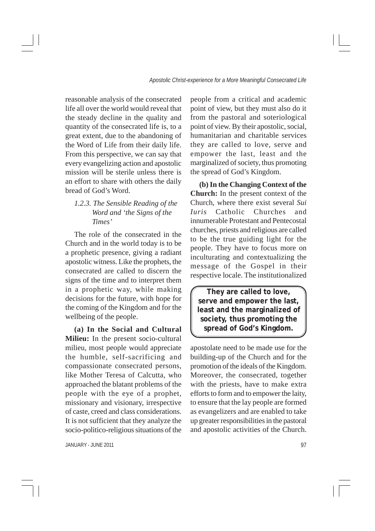reasonable analysis of the consecrated life all over the world would reveal that the steady decline in the quality and quantity of the consecrated life is, to a great extent, due to the abandoning of the Word of Life from their daily life. From this perspective, we can say that every evangelizing action and apostolic mission will be sterile unless there is an effort to share with others the daily bread of God's Word.

# *1.2.3. The Sensible Reading of the Word and 'the Signs of the Times'*

The role of the consecrated in the Church and in the world today is to be a prophetic presence, giving a radiant apostolic witness. Like the prophets, the consecrated are called to discern the signs of the time and to interpret them in a prophetic way, while making decisions for the future, with hope for the coming of the Kingdom and for the wellbeing of the people.

**(a) In the Social and Cultural Milieu:** In the present socio-cultural milieu, most people would appreciate the humble, self-sacrificing and compassionate consecrated persons, like Mother Teresa of Calcutta, who approached the blatant problems of the people with the eye of a prophet, missionary and visionary, irrespective of caste, creed and class considerations. It is not sufficient that they analyze the socio-politico-religious situations of the

JANUARY - JUNE 2011 97

people from a critical and academic point of view, but they must also do it from the pastoral and soteriological point of view. By their apostolic, social, humanitarian and charitable services they are called to love, serve and empower the last, least and the marginalized of society, thus promoting the spread of God's Kingdom.

**(b) In the Changing Context of the Church:** In the present context of the Church, where there exist several *Sui Iuris* Catholic Churches and innumerable Protestant and Pentecostal churches, priests and religious are called to be the true guiding light for the people. They have to focus more on inculturating and contextualizing the message of the Gospel in their respective locale. The institutionalized

**They are called to love, serve and empower the last, least and the marginalized of society, thus promoting the spread of God's Kingdom.**

apostolate need to be made use for the building-up of the Church and for the promotion of the ideals of the Kingdom. Moreover, the consecrated, together with the priests, have to make extra efforts to form and to empower the laity, to ensure that the lay people are formed as evangelizers and are enabled to take up greater responsibilities in the pastoral and apostolic activities of the Church.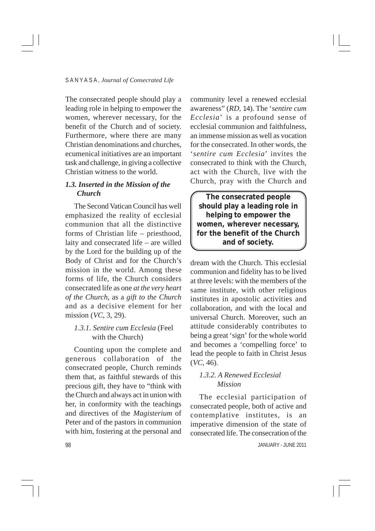The consecrated people should play a leading role in helping to empower the women, wherever necessary, for the benefit of the Church and of society. Furthermore, where there are many Christian denominations and churches, ecumenical initiatives are an important task and challenge, in giving a collective Christian witness to the world.

# *1.3. Inserted in the Mission of the Church*

The Second Vatican Council has well emphasized the reality of ecclesial communion that all the distinctive forms of Christian life – priesthood, laity and consecrated life – are willed by the Lord for the building up of the Body of Christ and for the Church's mission in the world. Among these forms of life, the Church considers consecrated life as one *at the very heart of the Church,* as a *gift to the Church* and as a decisive element for her mission (*VC*, 3, 29).

## *1.3.1. Sentire cum Ecclesia* (Feel with the Church)

Counting upon the complete and generous collaboration of the consecrated people, Church reminds them that, as faithful stewards of this precious gift, they have to "think with the Church and always act in union with her, in conformity with the teachings and directives of the *Magisterium* of Peter and of the pastors in communion with him, fostering at the personal and community level a renewed ecclesial awareness" (*RD*, 14). The '*sentire cum Ecclesia*' is a profound sense of ecclesial communion and faithfulness, an immense mission as well as vocation for the consecrated. In other words, the '*sentire cum Ecclesia*' invites the consecrated to think with the Church, act with the Church, live with the Church, pray with the Church and

**The consecrated people should play a leading role in helping to empower the women, wherever necessary, for the benefit of the Church and of society.**

dream with the Church. This ecclesial communion and fidelity has to be lived at three levels: with the members of the same institute, with other religious institutes in apostolic activities and collaboration, and with the local and universal Church. Moreover, such an attitude considerably contributes to being a great 'sign' for the whole world and becomes a 'compelling force' to lead the people to faith in Christ Jesus (*VC*, 46).

### *1.3.2. A Renewed Ecclesial Mission*

98 JANUARY - JUNE 2011 The ecclesial participation of consecrated people, both of active and contemplative institutes, is an imperative dimension of the state of consecrated life. The consecration of the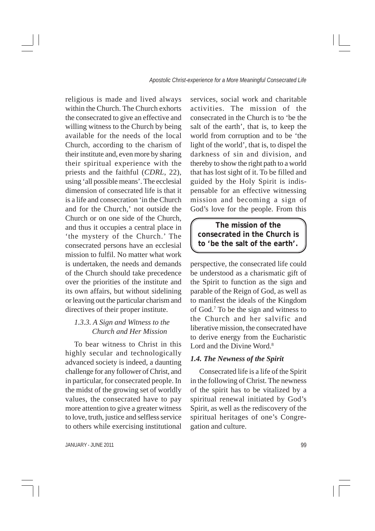religious is made and lived always within the Church. The Church exhorts the consecrated to give an effective and willing witness to the Church by being available for the needs of the local Church, according to the charism of their institute and, even more by sharing their spiritual experience with the priests and the faithful (*CDRL*, 22), using 'all possible means'. The ecclesial dimension of consecrated life is that it is a life and consecration 'in the Church and for the Church,' not outside the Church or on one side of the Church, and thus it occupies a central place in 'the mystery of the Church.' The consecrated persons have an ecclesial mission to fulfil. No matter what work is undertaken, the needs and demands of the Church should take precedence over the priorities of the institute and its own affairs, but without sidelining or leaving out the particular charism and directives of their proper institute.

# *1.3.3. A Sign and Witness to the Church and Her Mission*

To bear witness to Christ in this highly secular and technologically advanced society is indeed, a daunting challenge for any follower of Christ, and in particular, for consecrated people. In the midst of the growing set of worldly values, the consecrated have to pay more attention to give a greater witness to love, truth, justice and selfless service to others while exercising institutional

JANUARY - JUNE 2011 99

services, social work and charitable activities. The mission of the consecrated in the Church is to 'be the salt of the earth', that is, to keep the world from corruption and to be 'the light of the world', that is, to dispel the darkness of sin and division, and thereby to show the right path to a world that has lost sight of it. To be filled and guided by the Holy Spirit is indispensable for an effective witnessing mission and becoming a sign of God's love for the people. From this

# **The mission of the consecrated in the Church is to 'be the salt of the earth'.**

perspective, the consecrated life could be understood as a charismatic gift of the Spirit to function as the sign and parable of the Reign of God, as well as to manifest the ideals of the Kingdom of God.7 To be the sign and witness to the Church and her salvific and liberative mission, the consecrated have to derive energy from the Eucharistic Lord and the Divine Word.<sup>8</sup>

#### *1.4. The Newness of the Spirit*

Consecrated life is a life of the Spirit in the following of Christ. The newness of the spirit has to be vitalized by a spiritual renewal initiated by God's Spirit, as well as the rediscovery of the spiritual heritages of one's Congregation and culture.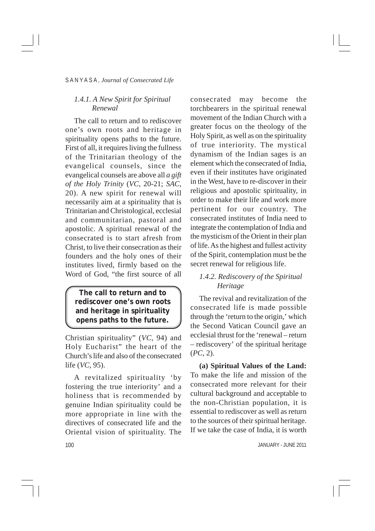### *1.4.1. A New Spirit for Spiritual Renewal*

The call to return and to rediscover one's own roots and heritage in spirituality opens paths to the future. First of all, it requires living the fullness of the Trinitarian theology of the evangelical counsels, since the evangelical counsels are above all *a gift of the Holy Trinity* (*VC*, 20-21; *SAC*, 20). A new spirit for renewal will necessarily aim at a spirituality that is Trinitarian and Christological, ecclesial and communitarian, pastoral and apostolic. A spiritual renewal of the consecrated is to start afresh from Christ, to live their consecration as their founders and the holy ones of their institutes lived, firmly based on the Word of God, "the first source of all

# **The call to return and to rediscover one's own roots and heritage in spirituality opens paths to the future.**

Christian spirituality" (*VC*, 94) and Holy Eucharist" the heart of the Church's life and also of the consecrated life (*VC*, 95).

A revitalized spirituality 'by fostering the true interiority' and a holiness that is recommended by genuine Indian spirituality could be more appropriate in line with the directives of consecrated life and the Oriental vision of spirituality. The consecrated may become the torchbearers in the spiritual renewal movement of the Indian Church with a greater focus on the theology of the Holy Spirit, as well as on the spirituality of true interiority. The mystical dynamism of the Indian sages is an element which the consecrated of India, even if their institutes have originated in the West, have to re-discover in their religious and apostolic spirituality, in order to make their life and work more pertinent for our country. The consecrated institutes of India need to integrate the contemplation of India and the mysticism of the Orient in their plan of life. As the highest and fullest activity of the Spirit, contemplation must be the secret renewal for religious life.

# *1.4.2. Rediscovery of the Spiritual Heritage*

The revival and revitalization of the consecrated life is made possible through the 'return to the origin,' which the Second Vatican Council gave an ecclesial thrust for the 'renewal – return – rediscovery' of the spiritual heritage (*PC*, 2).

**(a) Spiritual Values of the Land:** To make the life and mission of the consecrated more relevant for their cultural background and acceptable to the non-Christian population, it is essential to rediscover as well as return to the sources of their spiritual heritage. If we take the case of India, it is worth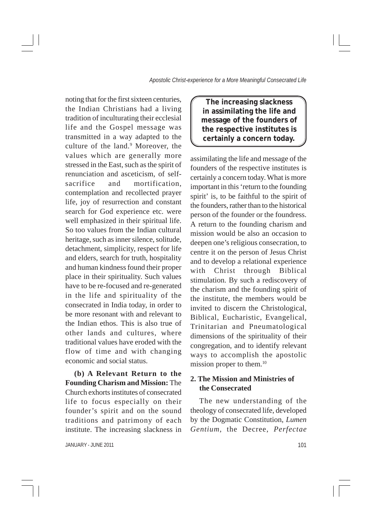noting that for the first sixteen centuries, the Indian Christians had a living tradition of inculturating their ecclesial life and the Gospel message was transmitted in a way adapted to the culture of the land.<sup>9</sup> Moreover, the values which are generally more stressed in the East, such as the spirit of renunciation and asceticism, of selfsacrifice and mortification, contemplation and recollected prayer life, joy of resurrection and constant search for God experience etc. were well emphasized in their spiritual life. So too values from the Indian cultural heritage, such as inner silence, solitude, detachment, simplicity, respect for life and elders, search for truth, hospitality and human kindness found their proper place in their spirituality. Such values have to be re-focused and re-generated in the life and spirituality of the consecrated in India today, in order to be more resonant with and relevant to the Indian ethos. This is also true of other lands and cultures, where traditional values have eroded with the flow of time and with changing economic and social status.

**(b) A Relevant Return to the Founding Charism and Mission:** The Church exhorts institutes of consecrated life to focus especially on their founder's spirit and on the sound traditions and patrimony of each institute. The increasing slackness in

JANUARY - JUNE 2011 2001 2002 12:00 12:00 12:00 12:00 12:00 12:00 12:00 12:00 12:00 12:00 12:00 12:00 12:00 12:00 12:00 12:00 12:00 12:00 12:00 12:00 12:00 12:00 12:00 12:00 12:00 12:00 12:00 12:00 12:00 12:00 12:00 12:00

**The increasing slackness in assimilating the life and message of the founders of the respective institutes is certainly a concern today.**

assimilating the life and message of the founders of the respective institutes is certainly a concern today. What is more important in this 'return to the founding spirit' is, to be faithful to the spirit of the founders, rather than to the historical person of the founder or the foundress. A return to the founding charism and mission would be also an occasion to deepen one's religious consecration, to centre it on the person of Jesus Christ and to develop a relational experience with Christ through Biblical stimulation. By such a rediscovery of the charism and the founding spirit of the institute, the members would be invited to discern the Christological, Biblical, Eucharistic, Evangelical, Trinitarian and Pneumatological dimensions of the spirituality of their congregation, and to identify relevant ways to accomplish the apostolic mission proper to them.<sup>10</sup>

# **2. The Mission and Ministries of the Consecrated**

The new understanding of the theology of consecrated life, developed by the Dogmatic Constitution, *Lumen Gentium*, the Decree, *Perfectae*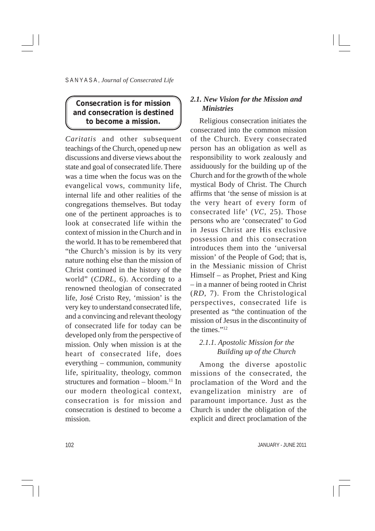# **Consecration is for mission and consecration is destined to become a mission.**

*Caritatis* and other subsequent teachings of the Church, opened up new discussions and diverse views about the state and goal of consecrated life. There was a time when the focus was on the evangelical vows, community life, internal life and other realities of the congregations themselves. But today one of the pertinent approaches is to look at consecrated life within the context of mission in the Church and in the world. It has to be remembered that "the Church's mission is by its very nature nothing else than the mission of Christ continued in the history of the world" (*CDRL*, 6). According to a renowned theologian of consecrated life, José Cristo Rey, 'mission' is the very key to understand consecrated life, and a convincing and relevant theology of consecrated life for today can be developed only from the perspective of mission. Only when mission is at the heart of consecrated life, does everything – communion, community life, spirituality, theology, common structures and formation – bloom.<sup>11</sup> In our modern theological context, consecration is for mission and consecration is destined to become a mission.

### *2.1. New Vision for the Mission and Ministries*

Religious consecration initiates the consecrated into the common mission of the Church. Every consecrated person has an obligation as well as responsibility to work zealously and assiduously for the building up of the Church and for the growth of the whole mystical Body of Christ. The Church affirms that 'the sense of mission is at the very heart of every form of consecrated life' (*VC*, 25). Those persons who are 'consecrated' to God in Jesus Christ are His exclusive possession and this consecration introduces them into the 'universal mission' of the People of God; that is, in the Messianic mission of Christ Himself – as Prophet, Priest and King – in a manner of being rooted in Christ (*RD*, 7). From the Christological perspectives, consecrated life is presented as "the continuation of the mission of Jesus in the discontinuity of the times."12

### *2.1.1. Apostolic Mission for the Building up of the Church*

Among the diverse apostolic missions of the consecrated, the proclamation of the Word and the evangelization ministry are of paramount importance. Just as the Church is under the obligation of the explicit and direct proclamation of the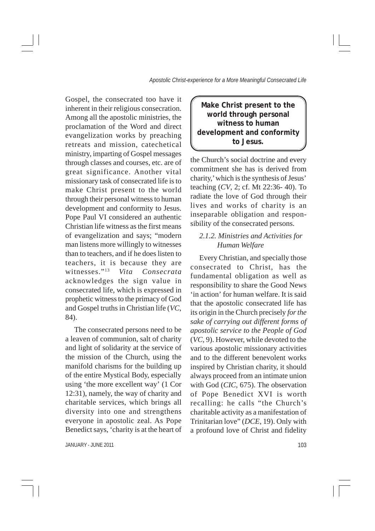Gospel, the consecrated too have it inherent in their religious consecration. Among all the apostolic ministries, the proclamation of the Word and direct evangelization works by preaching retreats and mission, catechetical ministry, imparting of Gospel messages through classes and courses, etc. are of great significance. Another vital missionary task of consecrated life is to make Christ present to the world through their personal witness to human development and conformity to Jesus. Pope Paul VI considered an authentic Christian life witness as the first means of evangelization and says; "modern man listens more willingly to witnesses than to teachers, and if he does listen to teachers, it is because they are witnesses."13 *Vita Consecrata* acknowledges the sign value in consecrated life, which is expressed in prophetic witness to the primacy of God and Gospel truths in Christian life (*VC*, 84).

The consecrated persons need to be a leaven of communion, salt of charity and light of solidarity at the service of the mission of the Church, using the manifold charisms for the building up of the entire Mystical Body, especially using 'the more excellent way' (1 Cor 12:31), namely, the way of charity and charitable services, which brings all diversity into one and strengthens everyone in apostolic zeal. As Pope Benedict says, 'charity is at the heart of

JANUARY - JUNE 2011 2003 103

**Make Christ present to the world through personal witness to human development and conformity to Jesus.**

the Church's social doctrine and every commitment she has is derived from charity,' which is the synthesis of Jesus' teaching (*CV*, 2; cf. Mt 22:36- 40). To radiate the love of God through their lives and works of charity is an inseparable obligation and responsibility of the consecrated persons.

### *2.1.2. Ministries and Activities for Human Welfare*

Every Christian, and specially those consecrated to Christ, has the fundamental obligation as well as responsibility to share the Good News 'in action' for human welfare. It is said that the apostolic consecrated life has its origin in the Church precisely *for the sake of carrying out different forms of apostolic service to the People of God* (*VC*, 9). However, while devoted to the various apostolic missionary activities and to the different benevolent works inspired by Christian charity, it should always proceed from an intimate union with God (*CIC*, 675). The observation of Pope Benedict XVI is worth recalling: he calls "the Church's charitable activity as a manifestation of Trinitarian love" (*DCE*, 19). Only with a profound love of Christ and fidelity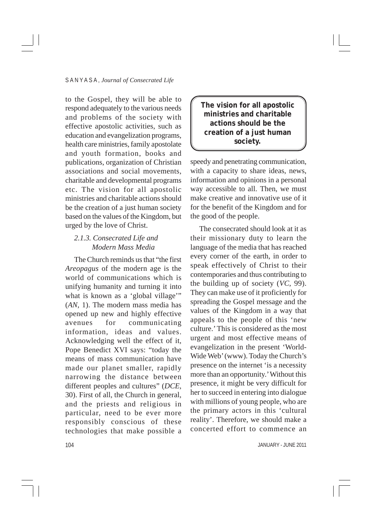to the Gospel, they will be able to respond adequately to the various needs and problems of the society with effective apostolic activities, such as education and evangelization programs, health care ministries, family apostolate and youth formation, books and publications, organization of Christian associations and social movements, charitable and developmental programs etc. The vision for all apostolic ministries and charitable actions should be the creation of a just human society based on the values of the Kingdom, but urged by the love of Christ.

# *2.1.3. Consecrated Life and Modern Mass Media*

The Church reminds us that "the first *Areopagus* of the modern age is the world of communications which is unifying humanity and turning it into what is known as a 'global village'" (*AN*, 1). The modern mass media has opened up new and highly effective avenues for communicating information, ideas and values. Acknowledging well the effect of it, Pope Benedict XVI says: "today the means of mass communication have made our planet smaller, rapidly narrowing the distance between different peoples and cultures" (*DCE*, 30). First of all, the Church in general, and the priests and religious in particular, need to be ever more responsibly conscious of these technologies that make possible a

**The vision for all apostolic ministries and charitable actions should be the creation of a just human society.**

speedy and penetrating communication, with a capacity to share ideas, news, information and opinions in a personal way accessible to all. Then, we must make creative and innovative use of it for the benefit of the Kingdom and for the good of the people.

The consecrated should look at it as their missionary duty to learn the language of the media that has reached every corner of the earth, in order to speak effectively of Christ to their contemporaries and thus contributing to the building up of society (*VC*, 99). They can make use of it proficiently for spreading the Gospel message and the values of the Kingdom in a way that appeals to the people of this 'new culture.' This is considered as the most urgent and most effective means of evangelization in the present 'World-Wide Web' (www). Today the Church's presence on the internet 'is a necessity more than an opportunity.' Without this presence, it might be very difficult for her to succeed in entering into dialogue with millions of young people, who are the primary actors in this 'cultural reality'. Therefore, we should make a concerted effort to commence an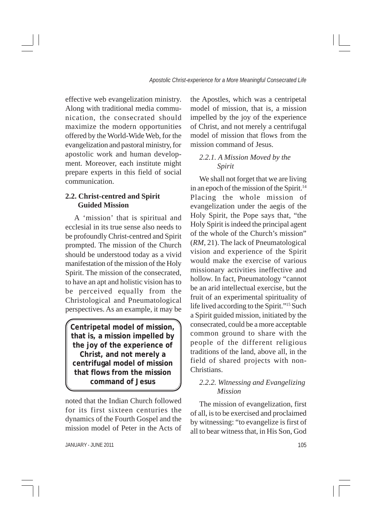effective web evangelization ministry. Along with traditional media communication, the consecrated should maximize the modern opportunities offered by the World-Wide Web, for the evangelization and pastoral ministry, for apostolic work and human development. Moreover, each institute might prepare experts in this field of social communication.

# **2.2. Christ-centred and Spirit Guided Mission**

A 'mission' that is spiritual and ecclesial in its true sense also needs to be profoundly Christ-centred and Spirit prompted. The mission of the Church should be understood today as a vivid manifestation of the mission of the Holy Spirit. The mission of the consecrated, to have an apt and holistic vision has to be perceived equally from the Christological and Pneumatological perspectives. As an example, it may be

**Centripetal model of mission, that is, a mission impelled by the joy of the experience of Christ, and not merely a centrifugal model of mission that flows from the mission command of Jesus**

noted that the Indian Church followed for its first sixteen centuries the dynamics of the Fourth Gospel and the mission model of Peter in the Acts of

JANUARY - JUNE 2011 105

the Apostles, which was a centripetal model of mission, that is, a mission impelled by the joy of the experience of Christ, and not merely a centrifugal model of mission that flows from the mission command of Jesus.

# *2.2.1. A Mission Moved by the Spirit*

We shall not forget that we are living in an epoch of the mission of the Spirit.<sup>14</sup> Placing the whole mission of evangelization under the aegis of the Holy Spirit, the Pope says that, "the Holy Spirit is indeed the principal agent of the whole of the Church's mission" (*RM*, 21). The lack of Pneumatological vision and experience of the Spirit would make the exercise of various missionary activities ineffective and hollow. In fact, Pneumatology "cannot be an arid intellectual exercise, but the fruit of an experimental spirituality of life lived according to the Spirit."15 Such a Spirit guided mission, initiated by the consecrated, could be a more acceptable common ground to share with the people of the different religious traditions of the land, above all, in the field of shared projects with non-Christians.

### *2.2.2. Witnessing and Evangelizing Mission*

The mission of evangelization, first of all, is to be exercised and proclaimed by witnessing: "to evangelize is first of all to bear witness that, in His Son, God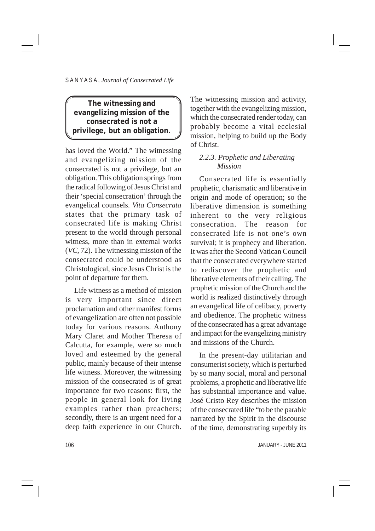# **The witnessing and evangelizing mission of the consecrated is not a privilege, but an obligation.**

has loved the World." The witnessing and evangelizing mission of the consecrated is not a privilege, but an obligation. This obligation springs from the radical following of Jesus Christ and their 'special consecration' through the evangelical counsels. *Vita Consecrata* states that the primary task of consecrated life is making Christ present to the world through personal witness, more than in external works (*VC*, 72). The witnessing mission of the consecrated could be understood as Christological, since Jesus Christ is the point of departure for them.

Life witness as a method of mission is very important since direct proclamation and other manifest forms of evangelization are often not possible today for various reasons. Anthony Mary Claret and Mother Theresa of Calcutta, for example, were so much loved and esteemed by the general public, mainly because of their intense life witness. Moreover, the witnessing mission of the consecrated is of great importance for two reasons: first, the people in general look for living examples rather than preachers; secondly, there is an urgent need for a deep faith experience in our Church.

The witnessing mission and activity, together with the evangelizing mission, which the consecrated render today, can probably become a vital ecclesial mission, helping to build up the Body of Christ.

## *2.2.3. Prophetic and Liberating Mission*

Consecrated life is essentially prophetic, charismatic and liberative in origin and mode of operation; so the liberative dimension is something inherent to the very religious consecration. The reason for consecrated life is not one's own survival; it is prophecy and liberation. It was after the Second Vatican Council that the consecrated everywhere started to rediscover the prophetic and liberative elements of their calling. The prophetic mission of the Church and the world is realized distinctively through an evangelical life of celibacy, poverty and obedience. The prophetic witness of the consecrated has a great advantage and impact for the evangelizing ministry and missions of the Church.

In the present-day utilitarian and consumerist society, which is perturbed by so many social, moral and personal problems, a prophetic and liberative life has substantial importance and value. José Cristo Rey describes the mission of the consecrated life "to be the parable narrated by the Spirit in the discourse of the time, demonstrating superbly its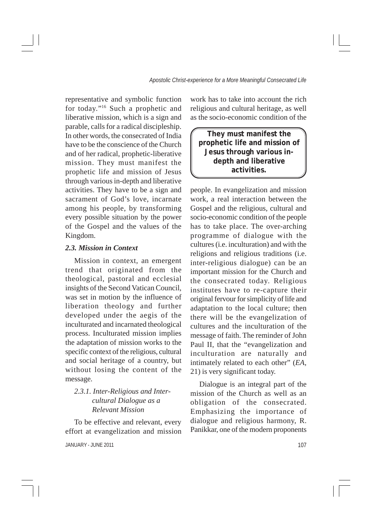representative and symbolic function for today."16 Such a prophetic and liberative mission, which is a sign and parable, calls for a radical discipleship. In other words, the consecrated of India have to be the conscience of the Church and of her radical, prophetic-liberative mission. They must manifest the prophetic life and mission of Jesus through various in-depth and liberative activities. They have to be a sign and sacrament of God's love, incarnate among his people, by transforming every possible situation by the power of the Gospel and the values of the Kingdom.

### *2.3. Mission in Context*

Mission in context, an emergent trend that originated from the theological, pastoral and ecclesial insights of the Second Vatican Council, was set in motion by the influence of liberation theology and further developed under the aegis of the inculturated and incarnated theological process. Inculturated mission implies the adaptation of mission works to the specific context of the religious, cultural and social heritage of a country, but without losing the content of the message.

# *2.3.1. Inter-Religious and Intercultural Dialogue as a Relevant Mission*

To be effective and relevant, every effort at evangelization and mission

JANUARY - JUNE 2011 2007 107

work has to take into account the rich religious and cultural heritage, as well as the socio-economic condition of the



people. In evangelization and mission work, a real interaction between the Gospel and the religious, cultural and socio-economic condition of the people has to take place. The over-arching programme of dialogue with the cultures (i.e. inculturation) and with the religions and religious traditions (i.e. inter-religious dialogue) can be an important mission for the Church and the consecrated today. Religious institutes have to re-capture their original fervour for simplicity of life and adaptation to the local culture; then there will be the evangelization of cultures and the inculturation of the message of faith. The reminder of John Paul II, that the "evangelization and inculturation are naturally and intimately related to each other" (*EA*, 21) is very significant today.

Dialogue is an integral part of the mission of the Church as well as an obligation of the consecrated. Emphasizing the importance of dialogue and religious harmony, R. Panikkar, one of the modern proponents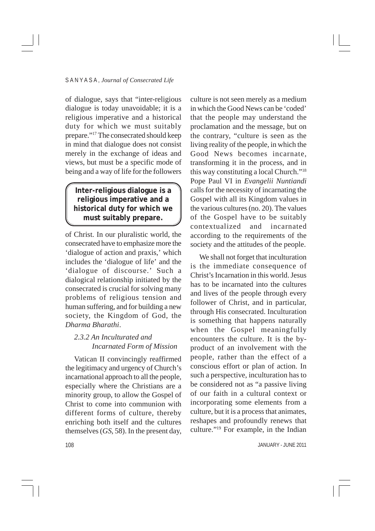of dialogue, says that "inter-religious dialogue is today unavoidable; it is a religious imperative and a historical duty for which we must suitably prepare."17 The consecrated should keep in mind that dialogue does not consist merely in the exchange of ideas and views, but must be a specific mode of being and a way of life for the followers

# **Inter-religious dialogue is a religious imperative and a historical duty for which we must suitably prepare.**

of Christ. In our pluralistic world, the consecrated have to emphasize more the 'dialogue of action and praxis,' which includes the 'dialogue of life' and the 'dialogue of discourse.' Such a dialogical relationship initiated by the consecrated is crucial for solving many problems of religious tension and human suffering, and for building a new society, the Kingdom of God, the *Dharma Bharathi*.

# *2.3.2 An Inculturated and Incarnated Form of Mission*

Vatican II convincingly reaffirmed the legitimacy and urgency of Church's incarnational approach to all the people, especially where the Christians are a minority group, to allow the Gospel of Christ to come into communion with different forms of culture, thereby enriching both itself and the cultures themselves (*GS*, 58). In the present day, culture is not seen merely as a medium in which the Good News can be 'coded' that the people may understand the proclamation and the message, but on the contrary, "culture is seen as the living reality of the people, in which the Good News becomes incarnate, transforming it in the process, and in this way constituting a local Church."18 Pope Paul VI in *Evangelii Nuntiandi* calls for the necessity of incarnating the Gospel with all its Kingdom values in the various cultures (no. 20). The values of the Gospel have to be suitably contextualized and incarnated according to the requirements of the society and the attitudes of the people.

We shall not forget that inculturation is the immediate consequence of Christ's Incarnation in this world. Jesus has to be incarnated into the cultures and lives of the people through every follower of Christ, and in particular, through His consecrated. Inculturation is something that happens naturally when the Gospel meaningfully encounters the culture. It is the byproduct of an involvement with the people, rather than the effect of a conscious effort or plan of action. In such a perspective, inculturation has to be considered not as "a passive living of our faith in a cultural context or incorporating some elements from a culture, but it is a process that animates, reshapes and profoundly renews that culture."19 For example, in the Indian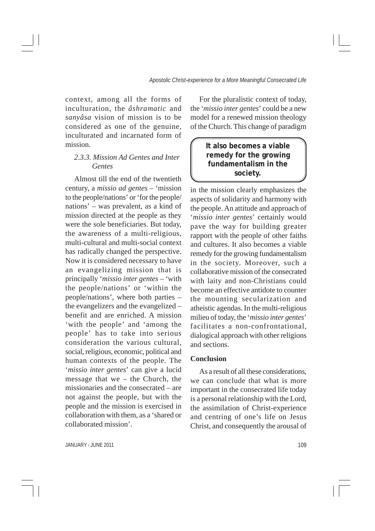#### *Apostolic Christ-experience for a More Meaningful Consecrated Life*

context, among all the forms of inculturation, the *âshramatic* and *sanyâsa* vision of mission is to be considered as one of the genuine, inculturated and incarnated form of mission.

# *2.3.3. Mission Ad Gentes and Inter Gentes*

Almost till the end of the twentieth century, a *missio ad gentes* – 'mission to the people/nations' or 'for the people/ nations' – was prevalent, as a kind of mission directed at the people as they were the sole beneficiaries. But today, the awareness of a multi-religious, multi-cultural and multi-social context has radically changed the perspective. Now it is considered necessary to have an evangelizing mission that is principally '*missio inter gentes* – 'with the people/nations' or 'within the people/nations', where both parties – the evangelizers and the evangelized – benefit and are enriched. A mission 'with the people' and 'among the people' has to take into serious consideration the various cultural, social, religious, economic, political and human contexts of the people. The '*missio inter gentes*' can give a lucid message that we – the Church, the missionaries and the consecrated – are not against the people, but with the people and the mission is exercised in collaboration with them, as a 'shared or collaborated mission'.

JANUARY - JUNE 2011 109

For the pluralistic context of today, the '*missio inter gentes*' could be a new model for a renewed mission theology of the Church. This change of paradigm

# **It also becomes a viable remedy for the growing fundamentalism in the society.**

in the mission clearly emphasizes the aspects of solidarity and harmony with the people. An attitude and approach of '*missio inter gentes*' certainly would pave the way for building greater rapport with the people of other faiths and cultures. It also becomes a viable remedy for the growing fundamentalism in the society. Moreover, such a collaborative mission of the consecrated with laity and non-Christians could become an effective antidote to counter the mounting secularization and atheistic agendas. In the multi-religious milieu of today, the '*missio inter gentes*' facilitates a non-confrontational, dialogical approach with other religions and sections.

## **Conclusion**

As a result of all these considerations, we can conclude that what is more important in the consecrated life today is a personal relationship with the Lord, the assimilation of Christ-experience and centring of one's life on Jesus Christ, and consequently the arousal of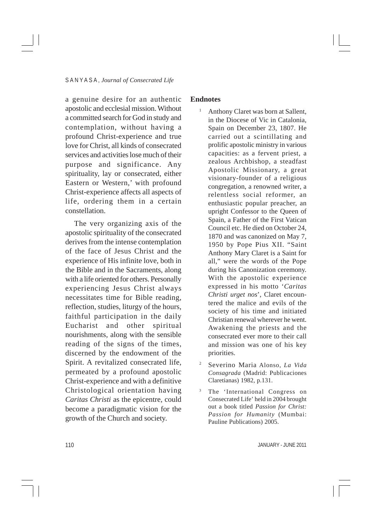a genuine desire for an authentic apostolic and ecclesial mission. Without a committed search for God in study and contemplation, without having a profound Christ-experience and true love for Christ, all kinds of consecrated services and activities lose much of their purpose and significance. Any spirituality, lay or consecrated, either Eastern or Western,' with profound Christ-experience affects all aspects of life, ordering them in a certain constellation.

The very organizing axis of the apostolic spirituality of the consecrated derives from the intense contemplation of the face of Jesus Christ and the experience of His infinite love, both in the Bible and in the Sacraments, along with a life oriented for others. Personally experiencing Jesus Christ always necessitates time for Bible reading, reflection, studies, liturgy of the hours, faithful participation in the daily Eucharist and other spiritual nourishments, along with the sensible reading of the signs of the times, discerned by the endowment of the Spirit. A revitalized consecrated life, permeated by a profound apostolic Christ-experience and with a definitive Christological orientation having *Caritas Christi* as the epicentre, could become a paradigmatic vision for the growth of the Church and society.

## **Endnotes**

- <sup>1</sup> Anthony Claret was born at Sallent, in the Diocese of Vic in Catalonia, Spain on December 23, 1807. He carried out a scintillating and prolific apostolic ministry in various capacities: as a fervent priest, a zealous Archbishop, a steadfast Apostolic Missionary, a great visionary-founder of a religious congregation, a renowned writer, a relentless social reformer, an enthusiastic popular preacher, an upright Confessor to the Queen of Spain, a Father of the First Vatican Council etc. He died on October 24, 1870 and was canonized on May 7, 1950 by Pope Pius XII. "Saint Anthony Mary Claret is a Saint for all," were the words of the Pope during his Canonization ceremony. With the apostolic experience expressed in his motto '*Caritas Christi urget nos*', Claret encountered the malice and evils of the society of his time and initiated Christian renewal wherever he went. Awakening the priests and the consecrated ever more to their call and mission was one of his key priorities.
- <sup>2</sup> Severino Maria Alonso, *La Vida Consagrada* (Madrid: Publicaciones Claretianas) 1982, p.131.
- The 'International Congress on Consecrated Life' held in 2004 brought out a book titled *Passion for Christ: Passion for Humanity* (Mumbai: Pauline Publications) 2005.

110 JANUARY - JUNE 2011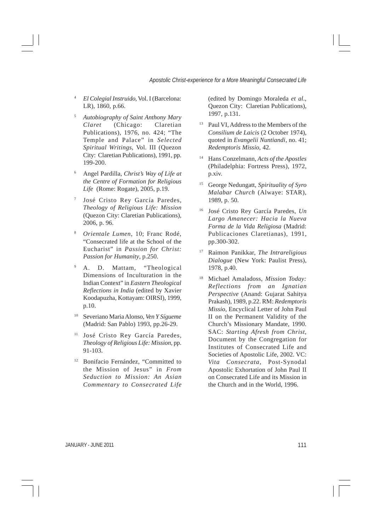#### *Apostolic Christ-experience for a More Meaningful Consecrated Life*

- <sup>4</sup> *El Colegial Instruido*, Vol. I (Barcelona: LR), 1860, p.66.
- <sup>5</sup> *Autobiography of Saint Anthony Mary Claret* (Chicago: Claretian Publications), 1976, no. 424; "The Temple and Palace" in *Selected Spiritual Writings*, Vol. III (Quezon City: Claretian Publications), 1991, pp. 199-200.
- <sup>6</sup> Angel Pardilla, *Christ's Way of Life at the Centre of Formation for Religious Life* (Rome: Rogate), 2005, p.19.
- José Cristo Rey García Paredes, *Theology of Religious Life: Mission* (Quezon City: Claretian Publications), 2006, p. 96.
- <sup>8</sup> *Orientale Lumen*, 10; Franc Rodé, "Consecrated life at the School of the Eucharist" in *Passion for Christ: Passion for Humanity*, p.250.
- A. D. Mattam, "Theological Dimensions of Inculturation in the Indian Context" in *Eastern Theological Reflections in India* (edited by Xavier Koodapuzha, Kottayam: OIRSI), 1999, p.10.
- <sup>10</sup> Severiano Maria Alonso, *Ven Y Sígueme* (Madrid: San Pablo) 1993, pp.26-29.
- José Cristo Rey García Paredes, *Theology of Religious Life: Mission*, pp. 91-103.
- <sup>12</sup> Bonifacio Fernández, "Committed to the Mission of Jesus" in *From Seduction to Mission: An Asian Commentary to Consecrated Life*

(edited by Domingo Moraleda *et al*., Quezon City: Claretian Publications), 1997, p.131.

- <sup>13</sup> Paul VI, Address to the Members of the *Consilium de Laicis* (2 October 1974), quoted in *Evangelii Nuntiandi*, no. 41; *Redemptoris Missio*, 42.
- <sup>14</sup> Hans Conzelmann, *Acts of the Apostles* (Philadelphia: Fortress Press), 1972, p.xiv.
- <sup>15</sup> George Nedungatt, *Spirituality of Syro Malabar Church* (Alwaye: STAR), 1989, p. 50.
- <sup>16</sup> José Cristo Rey García Paredes, *Un Largo Amanecer: Hacia la Nueva Forma de la Vida Religiosa* (Madrid: Publicaciones Claretianas), 1991, pp.300-302.
- <sup>17</sup> Raimon Panikkar, *The Intrareligious Dialogue* (New York: Paulist Press), 1978, p.40.
- <sup>18</sup> Michael Amaladoss, *Mission Today: Reflections from an Ignatian Perspective* (Anand: Gujarat Sahitya Prakash), 1989, p.22. RM: *Redemptoris Missio*, Encyclical Letter of John Paul II on the Permanent Validity of the Church's Missionary Mandate, 1990. SAC: *Starting Afresh from Christ*, Document by the Congregation for Institutes of Consecrated Life and Societies of Apostolic Life, 2002. VC: *Vita Consecrata*, Post-Synodal Apostolic Exhortation of John Paul II on Consecrated Life and its Mission in the Church and in the World, 1996.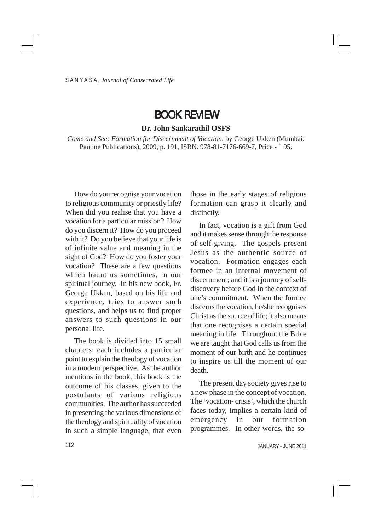# BOOK REVIEW

**Dr. John Sankarathil OSFS**

*Come and See: Formation for Discernment of Vocation*, by George Ukken (Mumbai: Pauline Publications), 2009, p. 191, ISBN. 978-81-7176-669-7, Price - ` 95.

How do you recognise your vocation to religious community or priestly life? When did you realise that you have a vocation for a particular mission? How do you discern it? How do you proceed with it? Do you believe that your life is of infinite value and meaning in the sight of God? How do you foster your vocation? These are a few questions which haunt us sometimes, in our spiritual journey. In his new book, Fr. George Ukken, based on his life and experience, tries to answer such questions, and helps us to find proper answers to such questions in our personal life.

The book is divided into 15 small chapters; each includes a particular point to explain the theology of vocation in a modern perspective. As the author mentions in the book, this book is the outcome of his classes, given to the postulants of various religious communities. The author has succeeded in presenting the various dimensions of the theology and spirituality of vocation in such a simple language, that even

those in the early stages of religious formation can grasp it clearly and distinctly.

In fact, vocation is a gift from God and it makes sense through the response of self-giving. The gospels present Jesus as the authentic source of vocation. Formation engages each formee in an internal movement of discernment; and it is a journey of selfdiscovery before God in the context of one's commitment. When the formee discerns the vocation, he/she recognises Christ as the source of life; it also means that one recognises a certain special meaning in life. Throughout the Bible we are taught that God calls us from the moment of our birth and he continues to inspire us till the moment of our death.

The present day society gives rise to a new phase in the concept of vocation. The 'vocation- crisis', which the church faces today, implies a certain kind of emergency in our formation programmes. In other words, the so-

JANUARY - JUNE 2011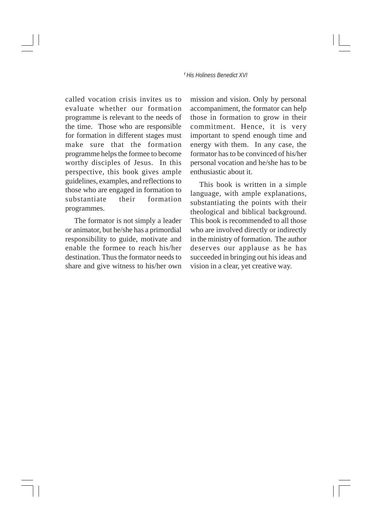### SANYASA, *Vol. V, No. 2 (2010)220-223*: *Homily of His Holiness Benedict XVI*

called vocation crisis invites us to evaluate whether our formation programme is relevant to the needs of the time. Those who are responsible for formation in different stages must make sure that the formation programme helps the formee to become worthy disciples of Jesus. In this perspective, this book gives ample guidelines, examples, and reflections to those who are engaged in formation to substantiate their formation programmes.

The formator is not simply a leader or animator, but he/she has a primordial responsibility to guide, motivate and enable the formee to reach his/her destination. Thus the formator needs to share and give witness to his/her own mission and vision. Only by personal accompaniment, the formator can help those in formation to grow in their commitment. Hence, it is very important to spend enough time and energy with them. In any case, the formator has to be convinced of his/her personal vocation and he/she has to be enthusiastic about it.

This book is written in a simple language, with ample explanations, substantiating the points with their theological and biblical background. This book is recommended to all those who are involved directly or indirectly in the ministry of formation. The author deserves our applause as he has succeeded in bringing out his ideas and vision in a clear, yet creative way.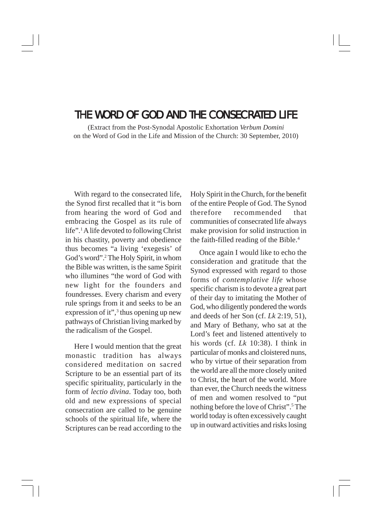# THE WORD OF GOD AND THE CONSECRATED LIFE

(Extract from the Post-Synodal Apostolic Exhortation *Verbum Domini* on the Word of God in the Life and Mission of the Church: 30 September, 2010)

With regard to the consecrated life, the Synod first recalled that it "is born from hearing the word of God and embracing the Gospel as its rule of life".1 A life devoted to following Christ in his chastity, poverty and obedience thus becomes "a living 'exegesis' of God's word".2 The Holy Spirit, in whom the Bible was written, is the same Spirit who illumines "the word of God with new light for the founders and foundresses. Every charism and every rule springs from it and seeks to be an expression of it", $3$  thus opening up new pathways of Christian living marked by the radicalism of the Gospel.

Here I would mention that the great monastic tradition has always considered meditation on sacred Scripture to be an essential part of its specific spirituality, particularly in the form of *lectio divina*. Today too, both old and new expressions of special consecration are called to be genuine schools of the spiritual life, where the Scriptures can be read according to the

Holy Spirit in the Church, for the benefit of the entire People of God. The Synod therefore recommended that communities of consecrated life always make provision for solid instruction in the faith-filled reading of the Bible.<sup>4</sup>

Once again I would like to echo the consideration and gratitude that the Synod expressed with regard to those forms of *contemplative life* whose specific charism is to devote a great part of their day to imitating the Mother of God, who diligently pondered the words and deeds of her Son (cf. *Lk* 2:19, 51), and Mary of Bethany, who sat at the Lord's feet and listened attentively to his words (cf. *Lk* 10:38). I think in particular of monks and cloistered nuns, who by virtue of their separation from the world are all the more closely united to Christ, the heart of the world. More than ever, the Church needs the witness of men and women resolved to "put nothing before the love of Christ".<sup>5</sup> The world today is often excessively caught up in outward activities and risks losing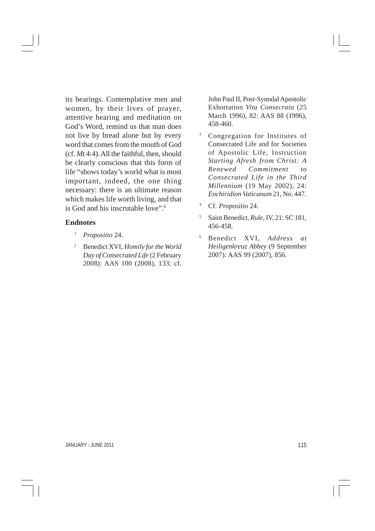its bearings. Contemplative men and women, by their lives of prayer, attentive hearing and meditation on God's Word, remind us that man does not live by bread alone but by every word that comes from the mouth of God (cf. *Mt* 4:4). All the faithful, then, should be clearly conscious that this form of life "shows today's world what is most important, indeed, the one thing necessary: there is an ultimate reason which makes life worth living, and that is God and his inscrutable love".6

### **Endnotes**

- <sup>1</sup> *Propositio* 24.
- <sup>2</sup> Benedict XVI, *Homily for the World Day of Consecrated Life* (2 February 2008): AAS 100 (2008), 133; cf.

John Paul II, Post-Synodal Apostolic Exhortation *Vita Consecrata* (25 March 1996), 82: AAS 88 (1996), 458-460.

- <sup>3</sup> Congregation for Institutes of Consecrated Life and for Societies of Apostolic Life, Instruction *Starting Afresh from Christ: A Renewed Commitment to Consecrated Life in the Third Millennium* (19 May 2002), 24: *Enchiridion Vaticanum* 21, No. 447.
- <sup>4</sup> Cf. *Propositio* 24.
- <sup>5</sup> Saint Benedict, *Rule*, IV, 21: SC 181, 456-458.
- <sup>6</sup> Benedict XVI, *Address at Heiligenkreuz Abbey* (9 September 2007): AAS 99 (2007), 856.